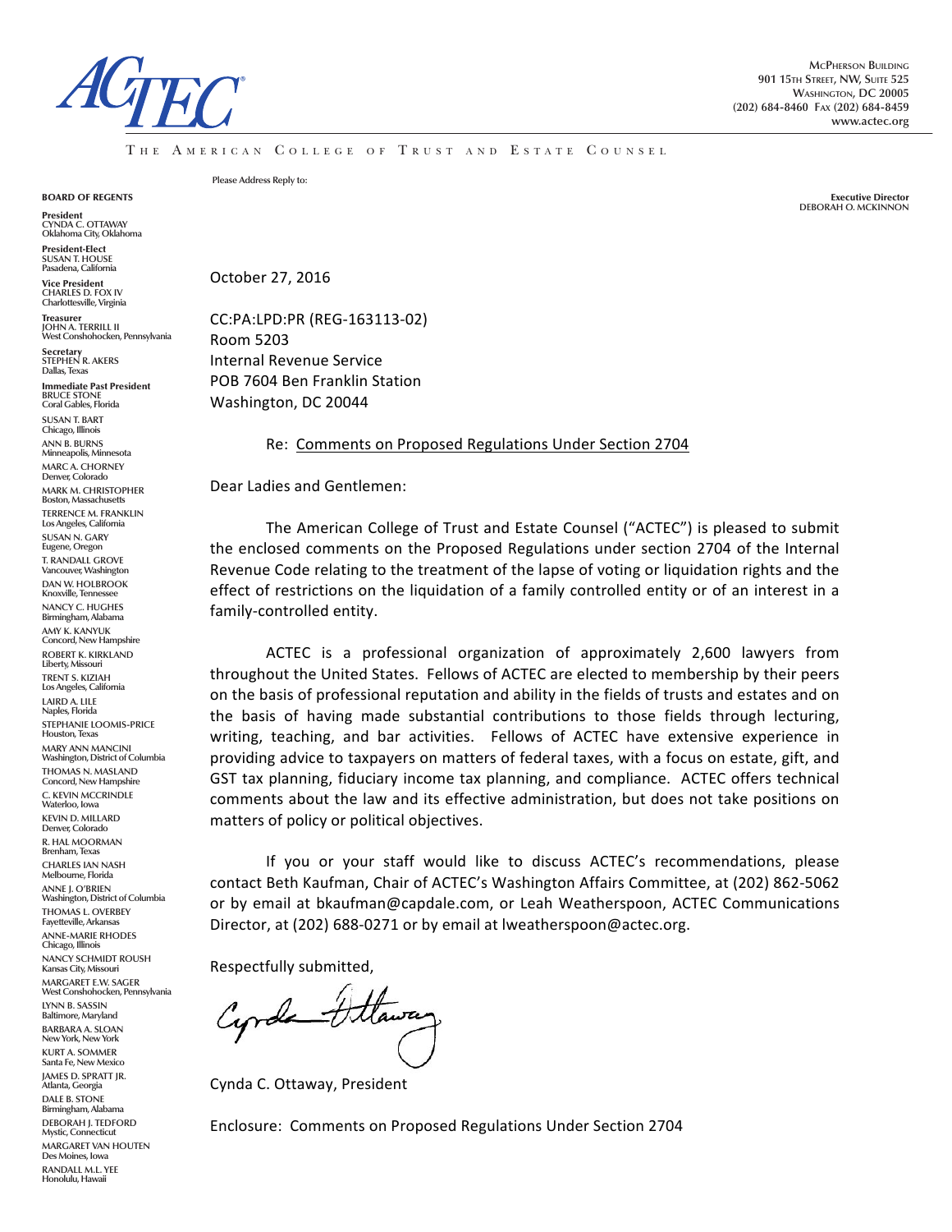

THE AMERICAN COLLEGE OF TRUST AND ESTATE COUNSEL

BOARD OF REGENTS

President **CYNDA C. OTTAWAY Oklahoma City, Oklahoma**

President-Elect **SUSAN T. HOUSE Pasadena, California**

Vice President **CHARLES D. FOX IV Charlottesville, Virginia** Treasurer

**JOHN A. TERRILL II West Conshohocken, Pennsylvania**

Secretary **STEPHEN R. AKERS Dallas, Texas**

Immediate Past President **BRUCE STONE Coral Gables, Florida**

**SUSAN T. BART Chicago, Illinois ANN B. BURNS Minneapolis, Minnesota MARC A. CHORNEY Denver, Colorado MARK M. CHRISTOPHER Boston, Massachusett TERRENCE M. FRANKLIN Los Angeles, California SUSAN N. GARY Eugene, Oregon T. RANDALL GROVE Vancouver, Washington DAN W. HOLBROOK Knoxville, Tennes NANCY C. HUGHES Birmingham, Alabama AMY K. KANYUK Concord, New Hampshire ROBERT K. KIRKLAND** Liberty, Missou **TRENT S. KIZIAH Los Angeles, California LAIRD A. LILE Naples, Florida STEPHANIE LOOMIS-PRICE Houston, Texas MARY ANN MANCINI Washington, District of Columbia THOMAS N. MASLAND Concord, New Hampshire C. KEVIN MCCRINDLE Waterloo, Iowa KEVIN D. MILLARD Denver, Colorado R. HAL MOORMAN Brenham, Texas CHARLES IAN NASH Melbourne, Florida ANNE J. O'BRIEN Washington, District of Columbia THOMAS L. OVERBEY Fayetteville, Arkansas ANNE-MARIE RHODES Chicago, Illinois NANCY SCHMIDT ROUSH Kansas City, Missouri MARGARET E.W. SAGER West Conshohocken, Pennsylvania LYNN B. SASSIN Baltimore, Maryland BARBARA A. SLOAN New York, New York KURT A. SOMMER Santa Fe, New Mexico JAMES D. SPRATT JR. Atlanta, Georgia DALE B. STONE Birmingham, Alabama DEBORAH J. TEDFORD Mystic, Connecticut MARGARET VAN HOUTEN Des Moines, Iowa RANDALL M.L. YEE Honolulu, Hawaii**

**Please Address Reply to:**

Executive Director **DEBORAH O. MCKINNON**

October 27, 2016

CC:PA:LPD:PR (REG-163113-02) Room 5203 Internal Revenue Service POB 7604 Ben Franklin Station Washington, DC 20044

Re: Comments on Proposed Regulations Under Section 2704

Dear Ladies and Gentlemen:

The American College of Trust and Estate Counsel ("ACTEC") is pleased to submit the enclosed comments on the Proposed Regulations under section 2704 of the Internal Revenue Code relating to the treatment of the lapse of voting or liquidation rights and the effect of restrictions on the liquidation of a family controlled entity or of an interest in a family-controlled entity.

ACTEC is a professional organization of approximately 2,600 lawyers from throughout the United States. Fellows of ACTEC are elected to membership by their peers on the basis of professional reputation and ability in the fields of trusts and estates and on the basis of having made substantial contributions to those fields through lecturing, writing, teaching, and bar activities. Fellows of ACTEC have extensive experience in providing advice to taxpayers on matters of federal taxes, with a focus on estate, gift, and GST tax planning, fiduciary income tax planning, and compliance. ACTEC offers technical comments about the law and its effective administration, but does not take positions on matters of policy or political objectives.

If you or your staff would like to discuss ACTEC's recommendations, please contact Beth Kaufman, Chair of ACTEC's Washington Affairs Committee, at (202) 862-5062 or by email at bkaufman@capdale.com, or Leah Weatherspoon, ACTEC Communications Director, at (202) 688-0271 or by email at lweatherspoon@actec.org.

Respectfully submitted,

Cyrcle Utawa

Cynda C. Ottaway, President

Enclosure: Comments on Proposed Regulations Under Section 2704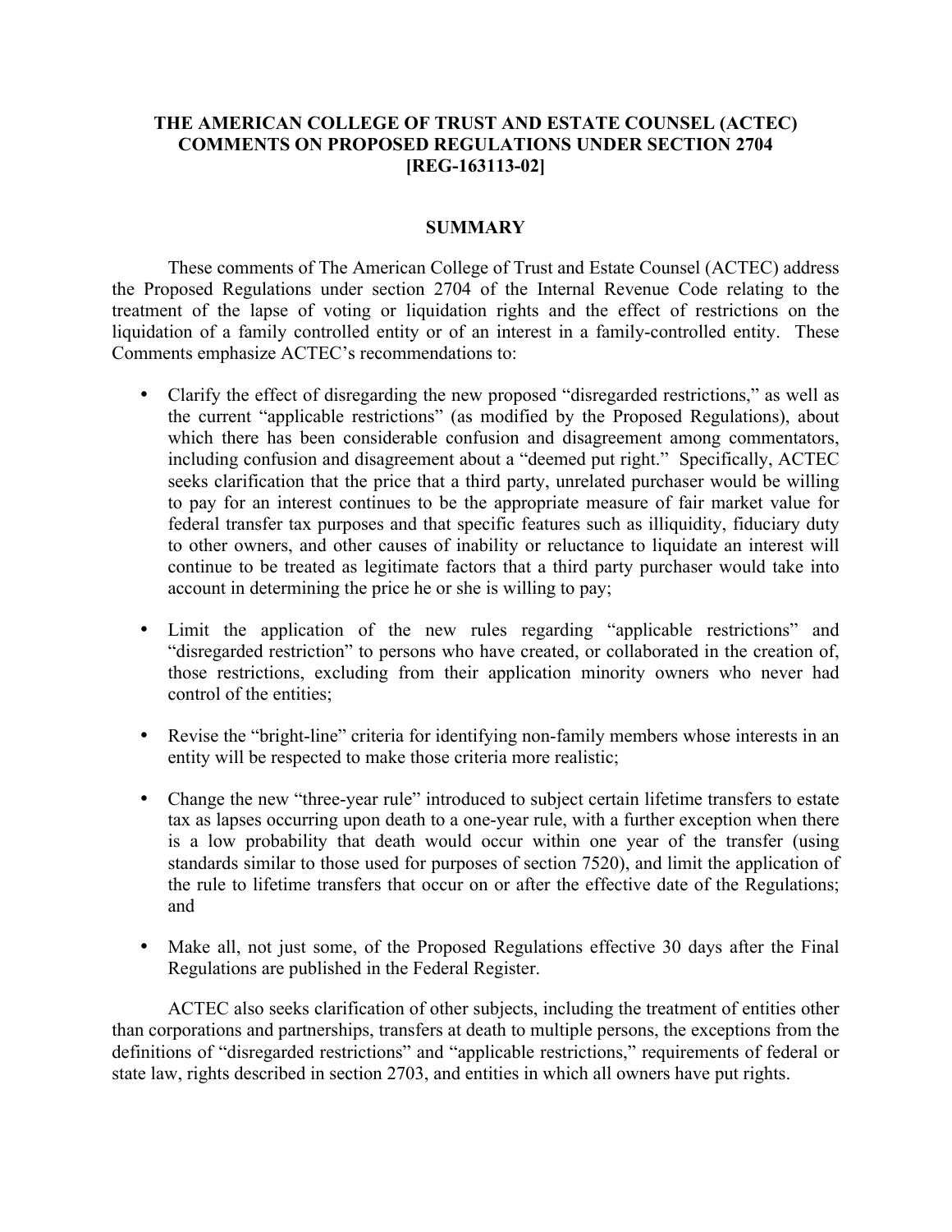# **THE AMERICAN COLLEGE OF TRUST AND ESTATE COUNSEL (ACTEC) COMMENTS ON PROPOSED REGULATIONS UNDER SECTION 2704 [REG-163113-02]**

#### **SUMMARY**

These comments of The American College of Trust and Estate Counsel (ACTEC) address the Proposed Regulations under section 2704 of the Internal Revenue Code relating to the treatment of the lapse of voting or liquidation rights and the effect of restrictions on the liquidation of a family controlled entity or of an interest in a family-controlled entity. These Comments emphasize ACTEC's recommendations to:

- Clarify the effect of disregarding the new proposed "disregarded restrictions," as well as the current "applicable restrictions" (as modified by the Proposed Regulations), about which there has been considerable confusion and disagreement among commentators, including confusion and disagreement about a "deemed put right." Specifically, ACTEC seeks clarification that the price that a third party, unrelated purchaser would be willing to pay for an interest continues to be the appropriate measure of fair market value for federal transfer tax purposes and that specific features such as illiquidity, fiduciary duty to other owners, and other causes of inability or reluctance to liquidate an interest will continue to be treated as legitimate factors that a third party purchaser would take into account in determining the price he or she is willing to pay;
- Limit the application of the new rules regarding "applicable restrictions" and "disregarded restriction" to persons who have created, or collaborated in the creation of, those restrictions, excluding from their application minority owners who never had control of the entities;
- Revise the "bright-line" criteria for identifying non-family members whose interests in an entity will be respected to make those criteria more realistic;
- Change the new "three-year rule" introduced to subject certain lifetime transfers to estate tax as lapses occurring upon death to a one-year rule, with a further exception when there is a low probability that death would occur within one year of the transfer (using standards similar to those used for purposes of section 7520), and limit the application of the rule to lifetime transfers that occur on or after the effective date of the Regulations; and
- Make all, not just some, of the Proposed Regulations effective 30 days after the Final Regulations are published in the Federal Register.

ACTEC also seeks clarification of other subjects, including the treatment of entities other than corporations and partnerships, transfers at death to multiple persons, the exceptions from the definitions of "disregarded restrictions" and "applicable restrictions," requirements of federal or state law, rights described in section 2703, and entities in which all owners have put rights.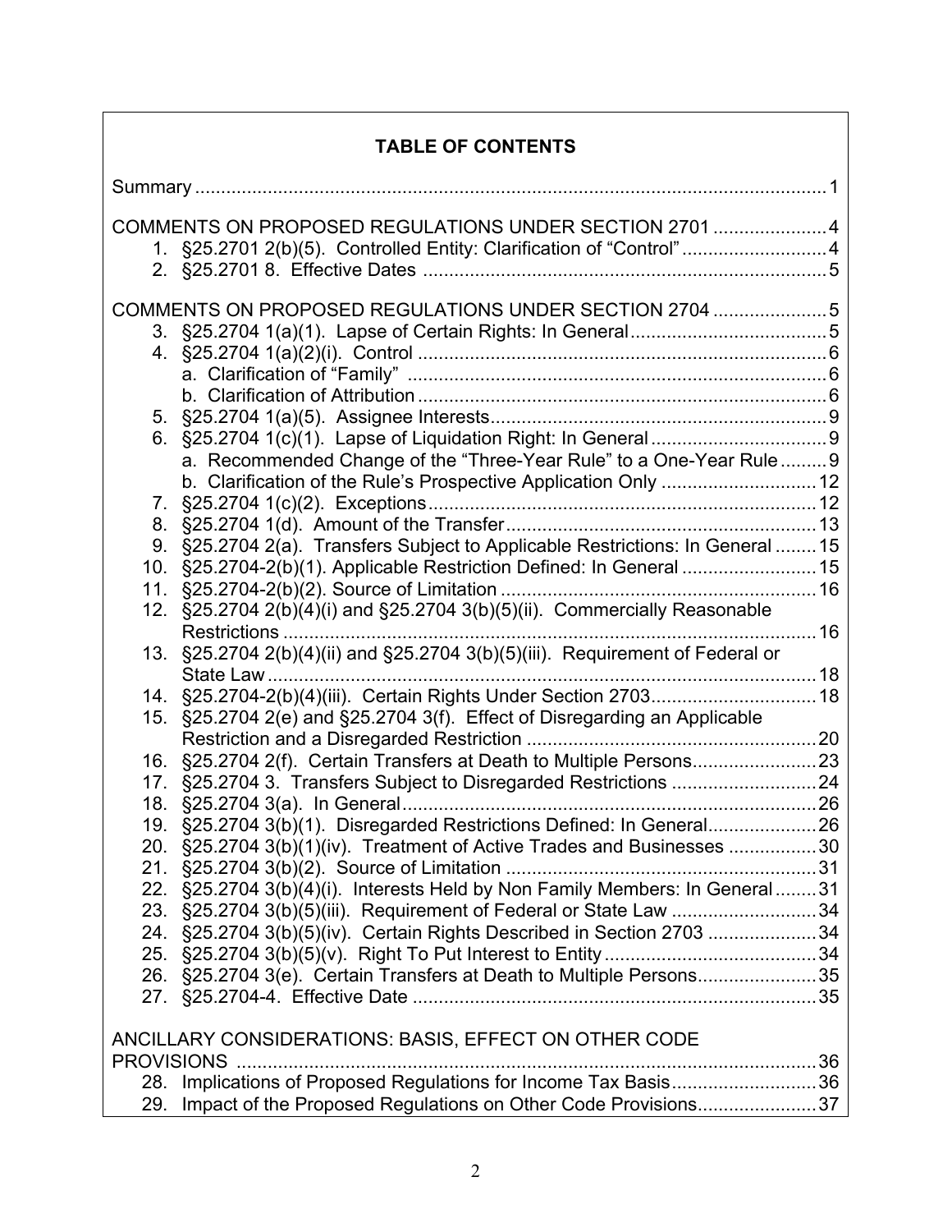# **TABLE OF CONTENTS**

|                                                       | COMMENTS ON PROPOSED REGULATIONS UNDER SECTION 2701 4<br>1. §25.2701 2(b)(5). Controlled Entity: Clarification of "Control"4 |  |  |
|-------------------------------------------------------|------------------------------------------------------------------------------------------------------------------------------|--|--|
| COMMENTS ON PROPOSED REGULATIONS UNDER SECTION 2704 5 |                                                                                                                              |  |  |
|                                                       |                                                                                                                              |  |  |
|                                                       |                                                                                                                              |  |  |
|                                                       |                                                                                                                              |  |  |
|                                                       |                                                                                                                              |  |  |
|                                                       |                                                                                                                              |  |  |
|                                                       |                                                                                                                              |  |  |
|                                                       | a. Recommended Change of the "Three-Year Rule" to a One-Year Rule 9                                                          |  |  |
|                                                       | b. Clarification of the Rule's Prospective Application Only  12                                                              |  |  |
| 7.                                                    |                                                                                                                              |  |  |
|                                                       |                                                                                                                              |  |  |
|                                                       | 9. §25.2704 2(a). Transfers Subject to Applicable Restrictions: In General  15                                               |  |  |
|                                                       | 10. §25.2704-2(b)(1). Applicable Restriction Defined: In General  15                                                         |  |  |
|                                                       |                                                                                                                              |  |  |
|                                                       | 12. §25.2704 2(b)(4)(i) and §25.2704 3(b)(5)(ii). Commercially Reasonable                                                    |  |  |
|                                                       | Restrictions                                                                                                                 |  |  |
| 13.                                                   | §25.2704 2(b)(4)(ii) and §25.2704 3(b)(5)(iii). Requirement of Federal or                                                    |  |  |
|                                                       | 14. §25.2704-2(b)(4)(iii). Certain Rights Under Section 2703 18                                                              |  |  |
| 15.                                                   | §25.2704 2(e) and §25.2704 3(f). Effect of Disregarding an Applicable                                                        |  |  |
|                                                       |                                                                                                                              |  |  |
| 16.                                                   |                                                                                                                              |  |  |
| 17.                                                   |                                                                                                                              |  |  |
| 18.                                                   |                                                                                                                              |  |  |
|                                                       | 19. §25.2704 3(b)(1). Disregarded Restrictions Defined: In General 26                                                        |  |  |
|                                                       | 20. §25.2704 3(b)(1)(iv). Treatment of Active Trades and Businesses 30                                                       |  |  |
|                                                       |                                                                                                                              |  |  |
|                                                       | 22. §25.2704 3(b)(4)(i). Interests Held by Non Family Members: In General31                                                  |  |  |
|                                                       | 23. §25.2704 3(b)(5)(iii). Requirement of Federal or State Law 34                                                            |  |  |
|                                                       | 24. §25.2704 3(b)(5)(iv). Certain Rights Described in Section 2703 34                                                        |  |  |
|                                                       |                                                                                                                              |  |  |
|                                                       | 26. §25.2704 3(e). Certain Transfers at Death to Multiple Persons35                                                          |  |  |
|                                                       |                                                                                                                              |  |  |
| ANCILLARY CONSIDERATIONS: BASIS, EFFECT ON OTHER CODE |                                                                                                                              |  |  |
|                                                       |                                                                                                                              |  |  |
|                                                       | 28. Implications of Proposed Regulations for Income Tax Basis36                                                              |  |  |
| 29.                                                   | Impact of the Proposed Regulations on Other Code Provisions37                                                                |  |  |
|                                                       |                                                                                                                              |  |  |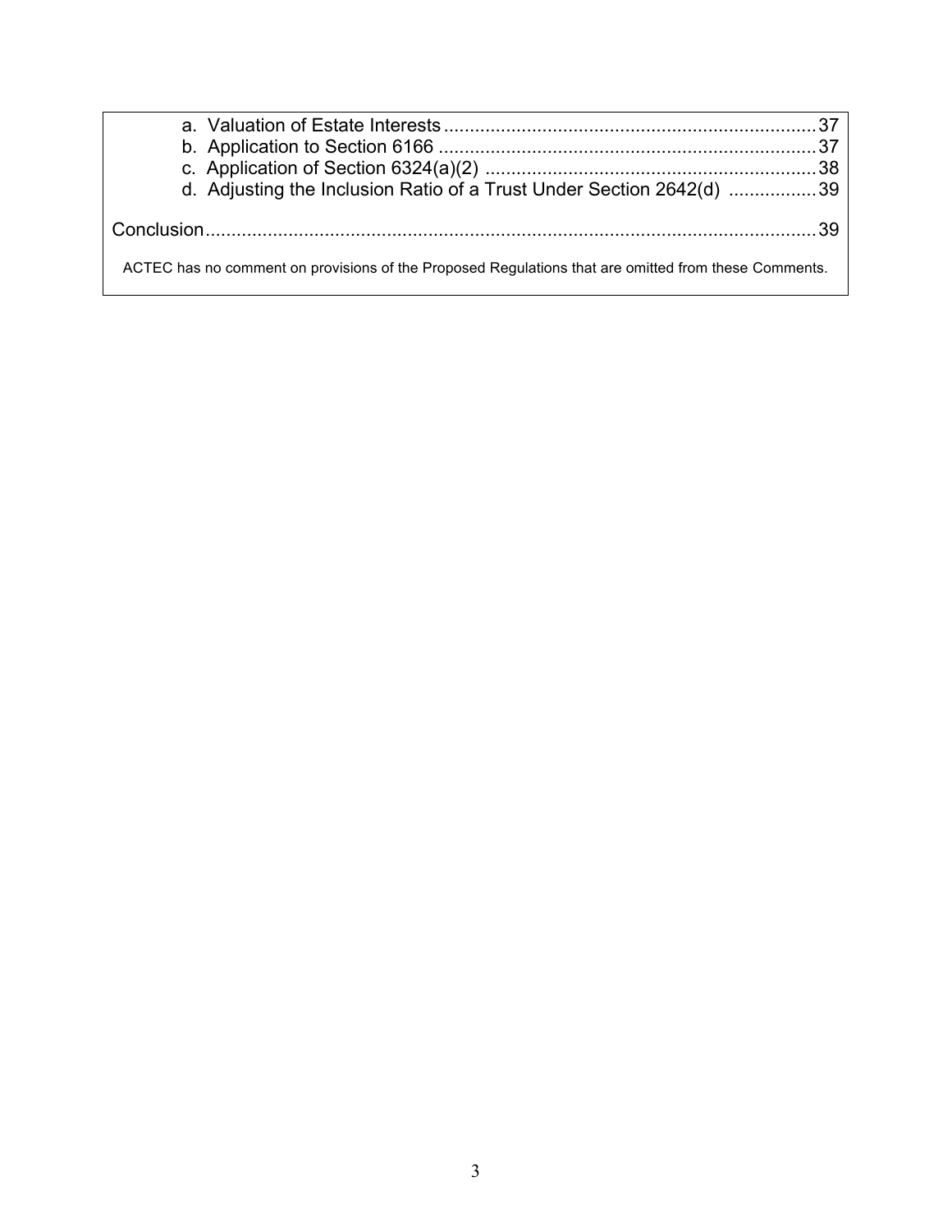| d. Adjusting the Inclusion Ratio of a Trust Under Section 2642(d) 39                                 |  |  |  |
|------------------------------------------------------------------------------------------------------|--|--|--|
|                                                                                                      |  |  |  |
|                                                                                                      |  |  |  |
| ACTEC has no comment on provisions of the Proposed Regulations that are omitted from these Comments. |  |  |  |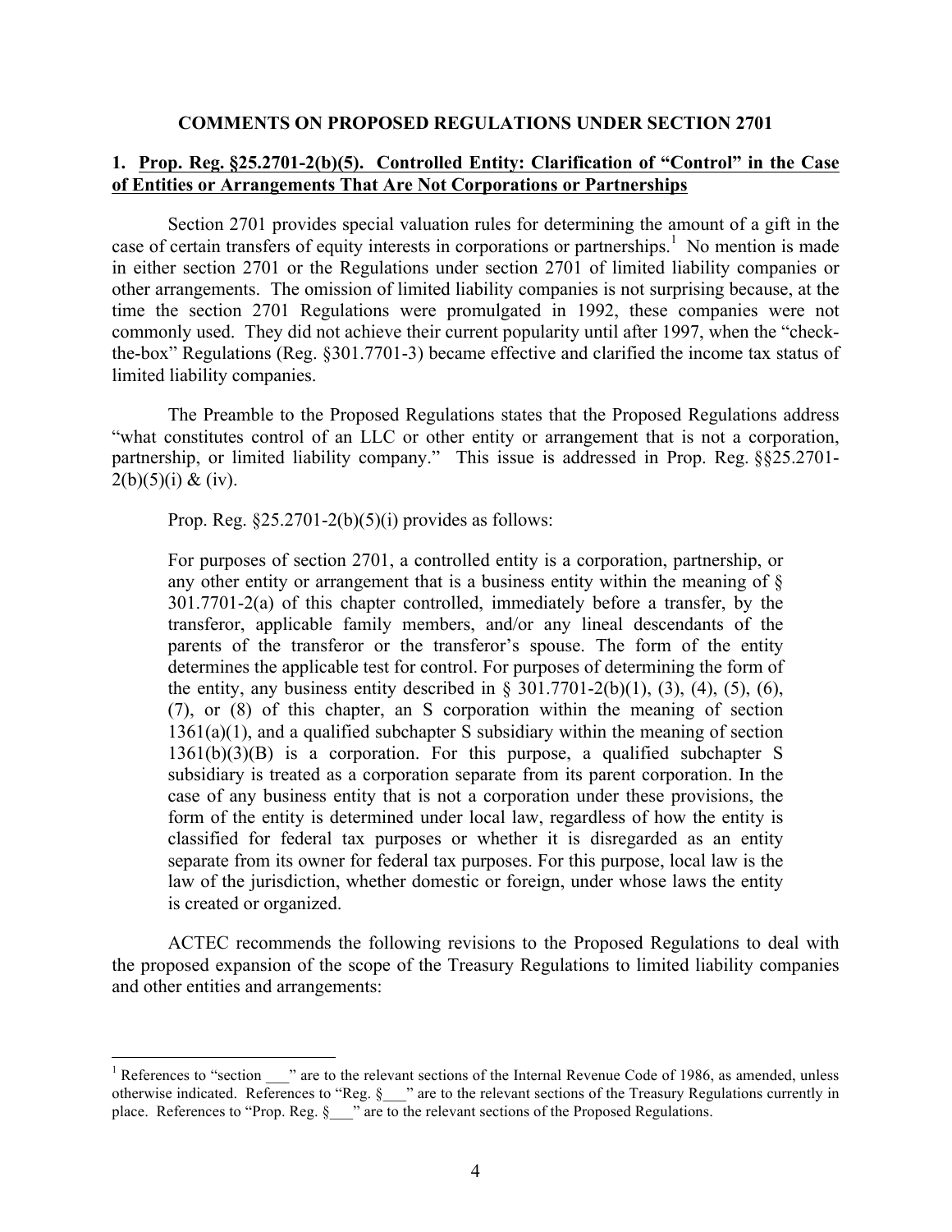### **COMMENTS ON PROPOSED REGULATIONS UNDER SECTION 2701**

# **1. Prop. Reg. §25.2701-2(b)(5). Controlled Entity: Clarification of "Control" in the Case of Entities or Arrangements That Are Not Corporations or Partnerships**

Section 2701 provides special valuation rules for determining the amount of a gift in the case of certain transfers of equity interests in corporations or partnerships.<sup>1</sup> No mention is made in either section 2701 or the Regulations under section 2701 of limited liability companies or other arrangements. The omission of limited liability companies is not surprising because, at the time the section 2701 Regulations were promulgated in 1992, these companies were not commonly used. They did not achieve their current popularity until after 1997, when the "checkthe-box" Regulations (Reg. §301.7701-3) became effective and clarified the income tax status of limited liability companies.

The Preamble to the Proposed Regulations states that the Proposed Regulations address "what constitutes control of an LLC or other entity or arrangement that is not a corporation, partnership, or limited liability company." This issue is addressed in Prop. Reg. §§25.2701-  $2(b)(5)(i) \& (iv).$ 

Prop. Reg.  $$25.2701-2(b)(5)(i)$  provides as follows:

For purposes of section 2701, a controlled entity is a corporation, partnership, or any other entity or arrangement that is a business entity within the meaning of § 301.7701-2(a) of this chapter controlled, immediately before a transfer, by the transferor, applicable family members, and/or any lineal descendants of the parents of the transferor or the transferor's spouse. The form of the entity determines the applicable test for control. For purposes of determining the form of the entity, any business entity described in  $\S 301.7701-2(b)(1)$ , (3), (4), (5), (6), (7), or (8) of this chapter, an S corporation within the meaning of section  $1361(a)(1)$ , and a qualified subchapter S subsidiary within the meaning of section 1361(b)(3)(B) is a corporation. For this purpose, a qualified subchapter S subsidiary is treated as a corporation separate from its parent corporation. In the case of any business entity that is not a corporation under these provisions, the form of the entity is determined under local law, regardless of how the entity is classified for federal tax purposes or whether it is disregarded as an entity separate from its owner for federal tax purposes. For this purpose, local law is the law of the jurisdiction, whether domestic or foreign, under whose laws the entity is created or organized.

ACTEC recommends the following revisions to the Proposed Regulations to deal with the proposed expansion of the scope of the Treasury Regulations to limited liability companies and other entities and arrangements:

<sup>&</sup>lt;sup>1</sup> References to "section \_\_\_" are to the relevant sections of the Internal Revenue Code of 1986, as amended, unless otherwise indicated. References to "Reg. §\_\_\_" are to the relevant sections of the Treasury Regulations currently in place. References to "Prop. Reg. § <sup>2</sup> are to the relevant sections of the Proposed Regulations.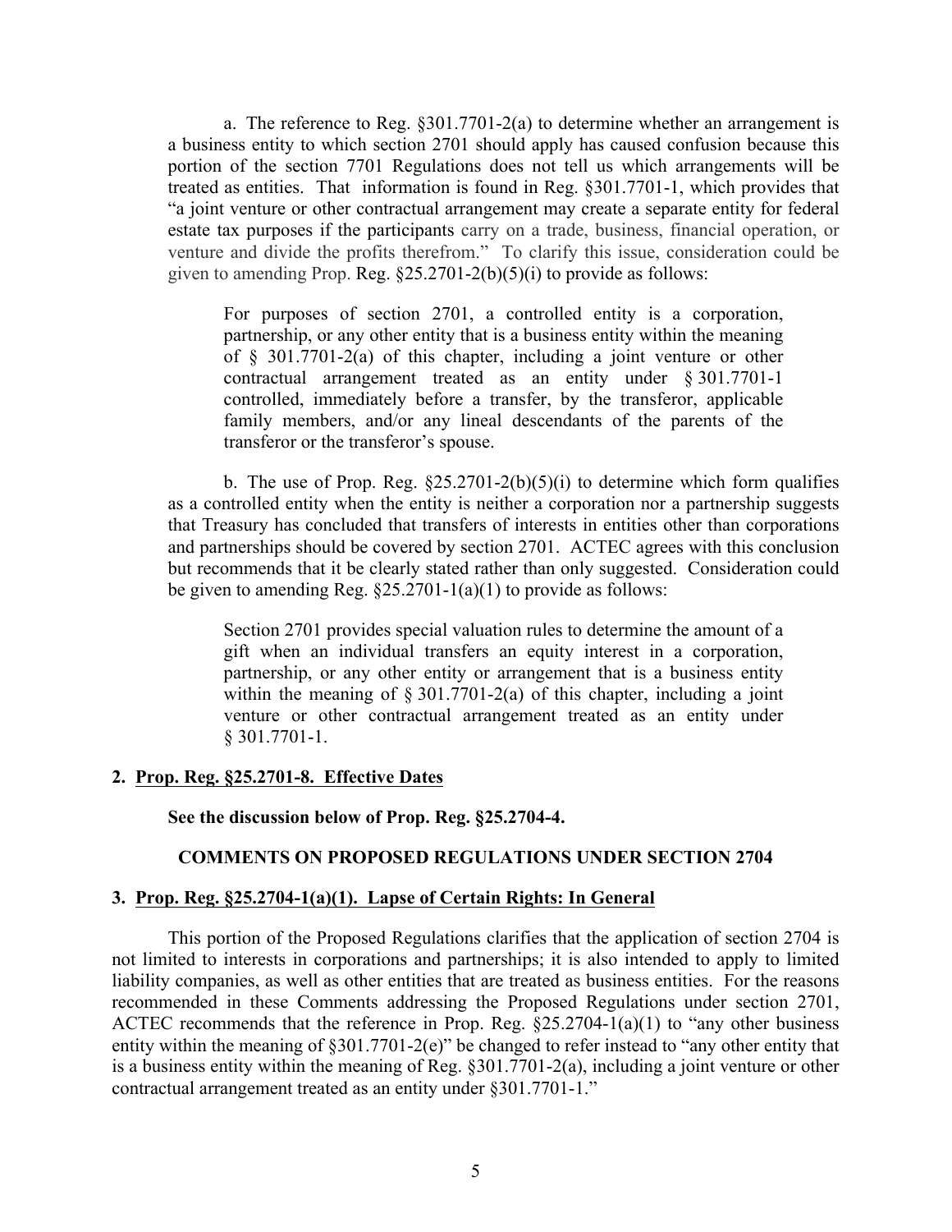a. The reference to Reg. §301.7701-2(a) to determine whether an arrangement is a business entity to which section 2701 should apply has caused confusion because this portion of the section 7701 Regulations does not tell us which arrangements will be treated as entities. That information is found in Reg. §301.7701-1, which provides that "a joint venture or other contractual arrangement may create a separate entity for federal estate tax purposes if the participants carry on a trade, business, financial operation, or venture and divide the profits therefrom." To clarify this issue, consideration could be given to amending Prop. Reg.  $§25.2701-2(b)(5)(i)$  to provide as follows:

For purposes of section 2701, a controlled entity is a corporation, partnership, or any other entity that is a business entity within the meaning of § 301.7701-2(a) of this chapter, including a joint venture or other contractual arrangement treated as an entity under § 301.7701-1 controlled, immediately before a transfer, by the transferor, applicable family members, and/or any lineal descendants of the parents of the transferor or the transferor's spouse.

b. The use of Prop. Reg.  $\S25.2701-2(b)(5)(i)$  to determine which form qualifies as a controlled entity when the entity is neither a corporation nor a partnership suggests that Treasury has concluded that transfers of interests in entities other than corporations and partnerships should be covered by section 2701. ACTEC agrees with this conclusion but recommends that it be clearly stated rather than only suggested. Consideration could be given to amending Reg.  $\S25.2701 - 1(a)(1)$  to provide as follows:

Section 2701 provides special valuation rules to determine the amount of a gift when an individual transfers an equity interest in a corporation, partnership, or any other entity or arrangement that is a business entity within the meaning of  $\S 301.7701-2(a)$  of this chapter, including a joint venture or other contractual arrangement treated as an entity under § 301.7701-1.

#### **2. Prop. Reg. §25.2701-8. Effective Dates**

**See the discussion below of Prop. Reg. §25.2704-4.**

### **COMMENTS ON PROPOSED REGULATIONS UNDER SECTION 2704**

### **3. Prop. Reg. §25.2704-1(a)(1). Lapse of Certain Rights: In General**

This portion of the Proposed Regulations clarifies that the application of section 2704 is not limited to interests in corporations and partnerships; it is also intended to apply to limited liability companies, as well as other entities that are treated as business entities. For the reasons recommended in these Comments addressing the Proposed Regulations under section 2701, ACTEC recommends that the reference in Prop. Reg. §25.2704-1(a)(1) to "any other business entity within the meaning of §301.7701-2(e)" be changed to refer instead to "any other entity that is a business entity within the meaning of Reg. §301.7701-2(a), including a joint venture or other contractual arrangement treated as an entity under §301.7701-1."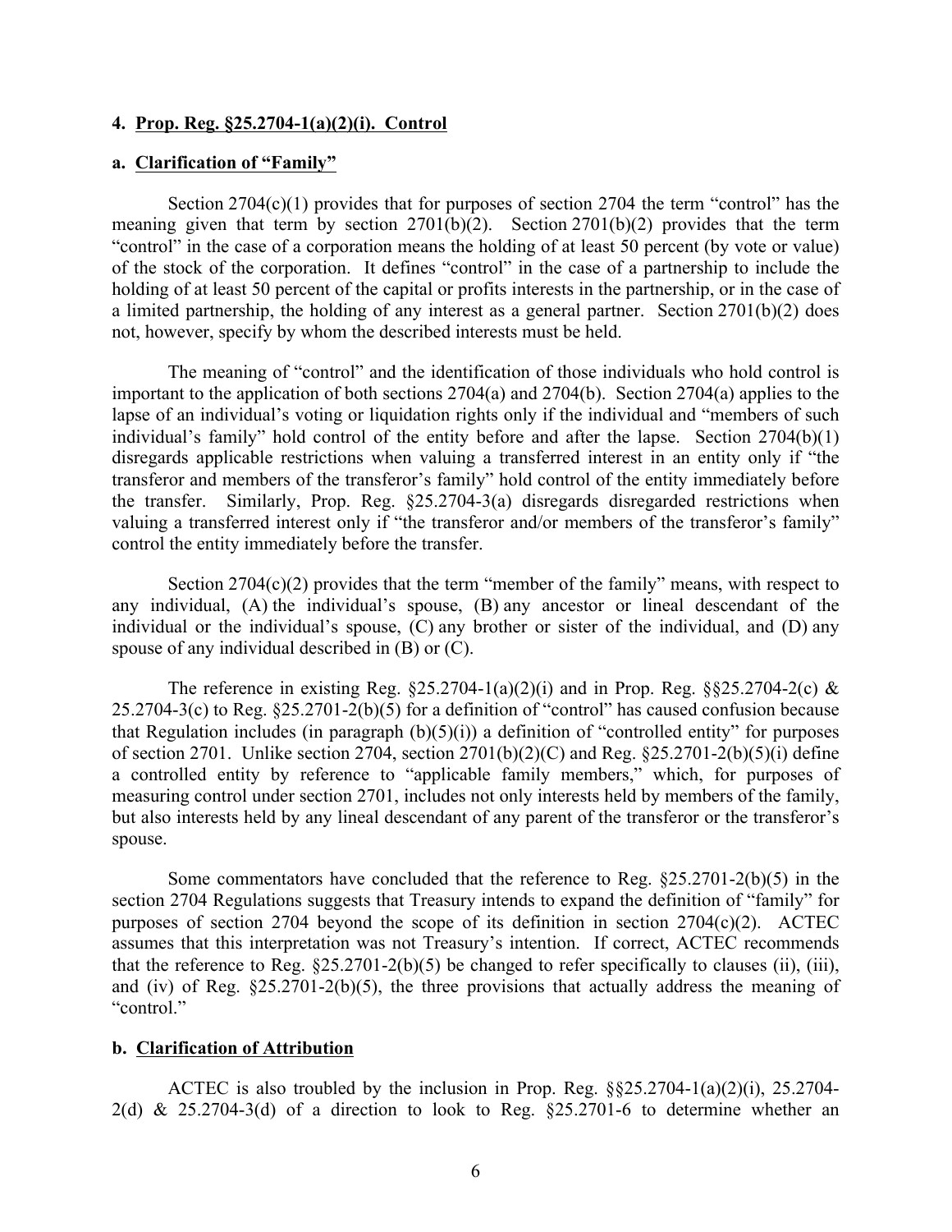#### **4. Prop. Reg. §25.2704-1(a)(2)(i). Control**

### **a. Clarification of "Family"**

Section  $2704(c)(1)$  provides that for purposes of section  $2704$  the term "control" has the meaning given that term by section  $2701(b)(2)$ . Section  $2701(b)(2)$  provides that the term "control" in the case of a corporation means the holding of at least 50 percent (by vote or value) of the stock of the corporation. It defines "control" in the case of a partnership to include the holding of at least 50 percent of the capital or profits interests in the partnership, or in the case of a limited partnership, the holding of any interest as a general partner. Section 2701(b)(2) does not, however, specify by whom the described interests must be held.

The meaning of "control" and the identification of those individuals who hold control is important to the application of both sections 2704(a) and 2704(b). Section 2704(a) applies to the lapse of an individual's voting or liquidation rights only if the individual and "members of such individual's family" hold control of the entity before and after the lapse. Section 2704(b)(1) disregards applicable restrictions when valuing a transferred interest in an entity only if "the transferor and members of the transferor's family" hold control of the entity immediately before the transfer. Similarly, Prop. Reg. §25.2704-3(a) disregards disregarded restrictions when valuing a transferred interest only if "the transferor and/or members of the transferor's family" control the entity immediately before the transfer.

Section 2704(c)(2) provides that the term "member of the family" means, with respect to any individual, (A) the individual's spouse, (B) any ancestor or lineal descendant of the individual or the individual's spouse, (C) any brother or sister of the individual, and (D) any spouse of any individual described in (B) or (C).

The reference in existing Reg.  $\S25.2704-1(a)(2)(i)$  and in Prop. Reg.  $\S525.2704-2(c)$  & 25.2704-3(c) to Reg. §25.2701-2(b)(5) for a definition of "control" has caused confusion because that Regulation includes (in paragraph  $(b)(5)(i)$ ) a definition of "controlled entity" for purposes of section 2701. Unlike section 2704, section 2701(b)(2)(C) and Reg. §25.2701-2(b)(5)(i) define a controlled entity by reference to "applicable family members," which, for purposes of measuring control under section 2701, includes not only interests held by members of the family, but also interests held by any lineal descendant of any parent of the transferor or the transferor's spouse.

Some commentators have concluded that the reference to Reg. §25.2701-2(b)(5) in the section 2704 Regulations suggests that Treasury intends to expand the definition of "family" for purposes of section 2704 beyond the scope of its definition in section 2704(c)(2). ACTEC assumes that this interpretation was not Treasury's intention. If correct, ACTEC recommends that the reference to Reg.  $\S 25.2701-2(b)(5)$  be changed to refer specifically to clauses (ii), (iii), and (iv) of Reg. §25.2701-2(b)(5), the three provisions that actually address the meaning of "control."

#### **b. Clarification of Attribution**

ACTEC is also troubled by the inclusion in Prop. Reg. §§25.2704-1(a)(2)(i), 25.2704- 2(d) & 25.2704-3(d) of a direction to look to Reg.  $\S25.2701-6$  to determine whether an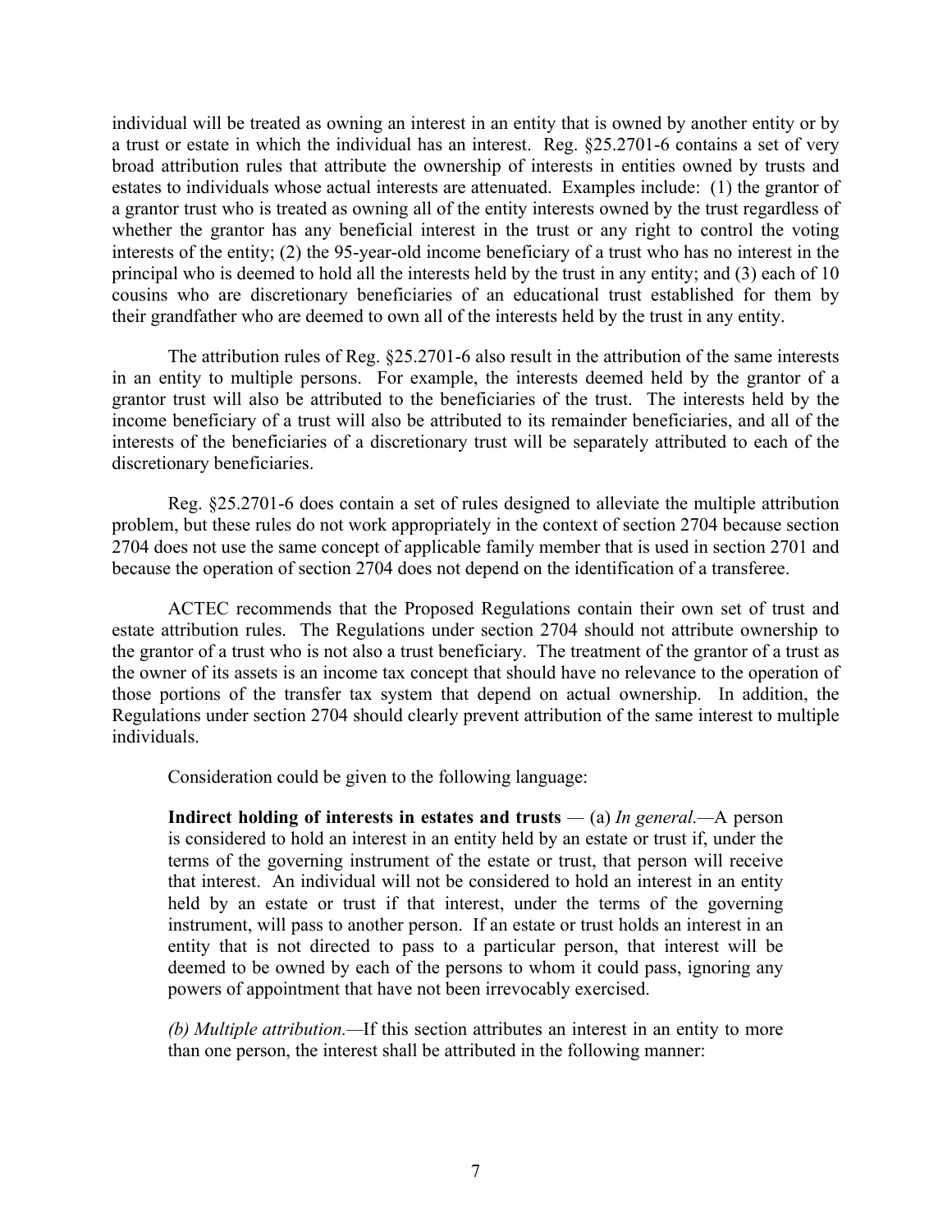individual will be treated as owning an interest in an entity that is owned by another entity or by a trust or estate in which the individual has an interest. Reg. §25.2701-6 contains a set of very broad attribution rules that attribute the ownership of interests in entities owned by trusts and estates to individuals whose actual interests are attenuated. Examples include: (1) the grantor of a grantor trust who is treated as owning all of the entity interests owned by the trust regardless of whether the grantor has any beneficial interest in the trust or any right to control the voting interests of the entity; (2) the 95-year-old income beneficiary of a trust who has no interest in the principal who is deemed to hold all the interests held by the trust in any entity; and (3) each of 10 cousins who are discretionary beneficiaries of an educational trust established for them by their grandfather who are deemed to own all of the interests held by the trust in any entity.

The attribution rules of Reg. §25.2701-6 also result in the attribution of the same interests in an entity to multiple persons. For example, the interests deemed held by the grantor of a grantor trust will also be attributed to the beneficiaries of the trust. The interests held by the income beneficiary of a trust will also be attributed to its remainder beneficiaries, and all of the interests of the beneficiaries of a discretionary trust will be separately attributed to each of the discretionary beneficiaries.

Reg. §25.2701-6 does contain a set of rules designed to alleviate the multiple attribution problem, but these rules do not work appropriately in the context of section 2704 because section 2704 does not use the same concept of applicable family member that is used in section 2701 and because the operation of section 2704 does not depend on the identification of a transferee.

ACTEC recommends that the Proposed Regulations contain their own set of trust and estate attribution rules. The Regulations under section 2704 should not attribute ownership to the grantor of a trust who is not also a trust beneficiary. The treatment of the grantor of a trust as the owner of its assets is an income tax concept that should have no relevance to the operation of those portions of the transfer tax system that depend on actual ownership. In addition, the Regulations under section 2704 should clearly prevent attribution of the same interest to multiple individuals.

Consideration could be given to the following language:

**Indirect holding of interests in estates and trusts** *—* (a) *In general.—*A person is considered to hold an interest in an entity held by an estate or trust if, under the terms of the governing instrument of the estate or trust, that person will receive that interest. An individual will not be considered to hold an interest in an entity held by an estate or trust if that interest, under the terms of the governing instrument, will pass to another person. If an estate or trust holds an interest in an entity that is not directed to pass to a particular person, that interest will be deemed to be owned by each of the persons to whom it could pass, ignoring any powers of appointment that have not been irrevocably exercised.

*(b) Multiple attribution.—*If this section attributes an interest in an entity to more than one person, the interest shall be attributed in the following manner: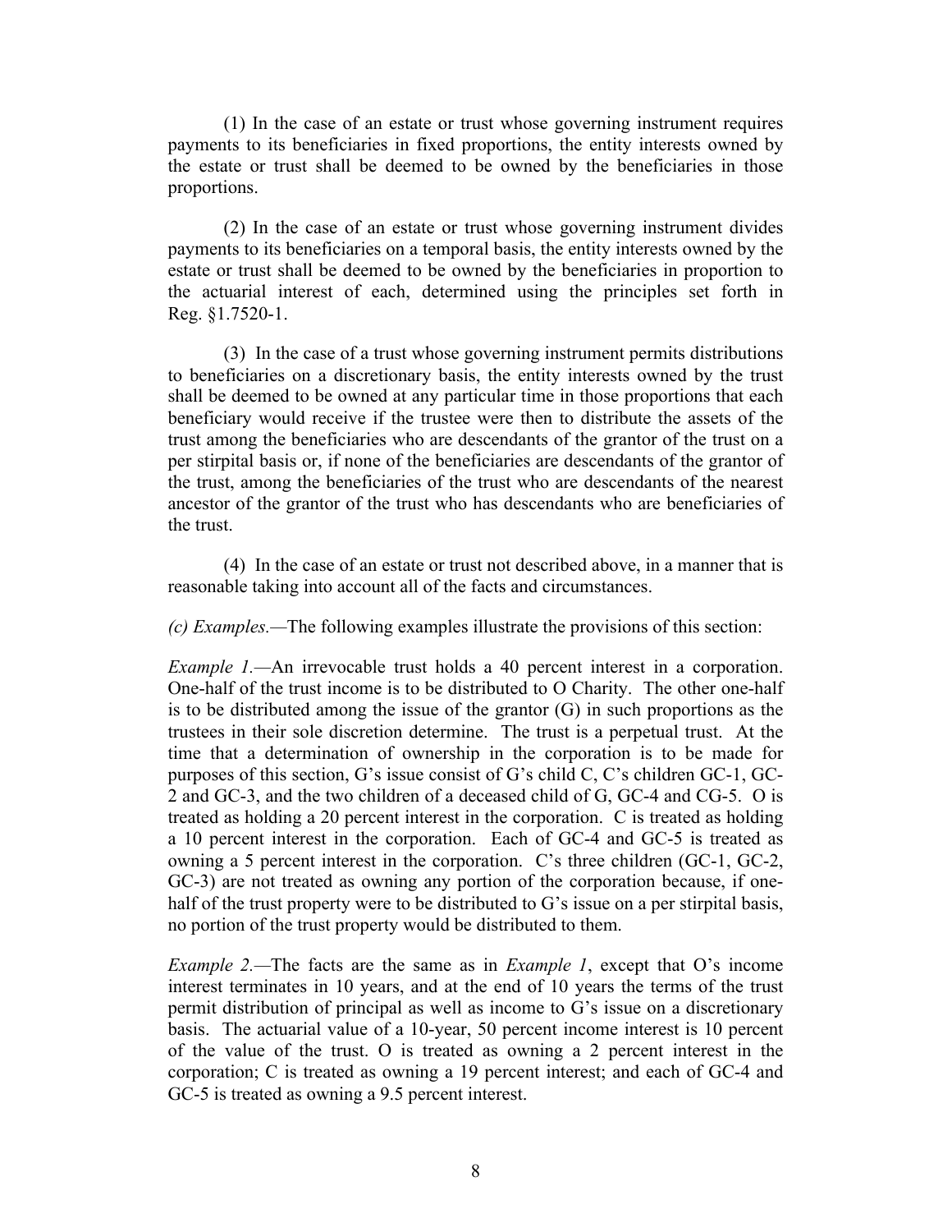(1) In the case of an estate or trust whose governing instrument requires payments to its beneficiaries in fixed proportions, the entity interests owned by the estate or trust shall be deemed to be owned by the beneficiaries in those proportions.

(2) In the case of an estate or trust whose governing instrument divides payments to its beneficiaries on a temporal basis, the entity interests owned by the estate or trust shall be deemed to be owned by the beneficiaries in proportion to the actuarial interest of each, determined using the principles set forth in Reg. §1.7520-1.

(3) In the case of a trust whose governing instrument permits distributions to beneficiaries on a discretionary basis, the entity interests owned by the trust shall be deemed to be owned at any particular time in those proportions that each beneficiary would receive if the trustee were then to distribute the assets of the trust among the beneficiaries who are descendants of the grantor of the trust on a per stirpital basis or, if none of the beneficiaries are descendants of the grantor of the trust, among the beneficiaries of the trust who are descendants of the nearest ancestor of the grantor of the trust who has descendants who are beneficiaries of the trust.

(4) In the case of an estate or trust not described above, in a manner that is reasonable taking into account all of the facts and circumstances.

*(c) Examples.—*The following examples illustrate the provisions of this section:

*Example 1.*—An irrevocable trust holds a 40 percent interest in a corporation. One-half of the trust income is to be distributed to O Charity. The other one-half is to be distributed among the issue of the grantor (G) in such proportions as the trustees in their sole discretion determine. The trust is a perpetual trust. At the time that a determination of ownership in the corporation is to be made for purposes of this section, G's issue consist of G's child C, C's children GC-1, GC-2 and GC-3, and the two children of a deceased child of G, GC-4 and CG-5. O is treated as holding a 20 percent interest in the corporation. C is treated as holding a 10 percent interest in the corporation. Each of GC-4 and GC-5 is treated as owning a 5 percent interest in the corporation. C's three children (GC-1, GC-2, GC-3) are not treated as owning any portion of the corporation because, if onehalf of the trust property were to be distributed to G's issue on a per stirpital basis, no portion of the trust property would be distributed to them.

*Example 2.—*The facts are the same as in *Example 1*, except that O's income interest terminates in 10 years, and at the end of 10 years the terms of the trust permit distribution of principal as well as income to G's issue on a discretionary basis. The actuarial value of a 10-year, 50 percent income interest is 10 percent of the value of the trust. O is treated as owning a 2 percent interest in the corporation; C is treated as owning a 19 percent interest; and each of GC-4 and GC-5 is treated as owning a 9.5 percent interest.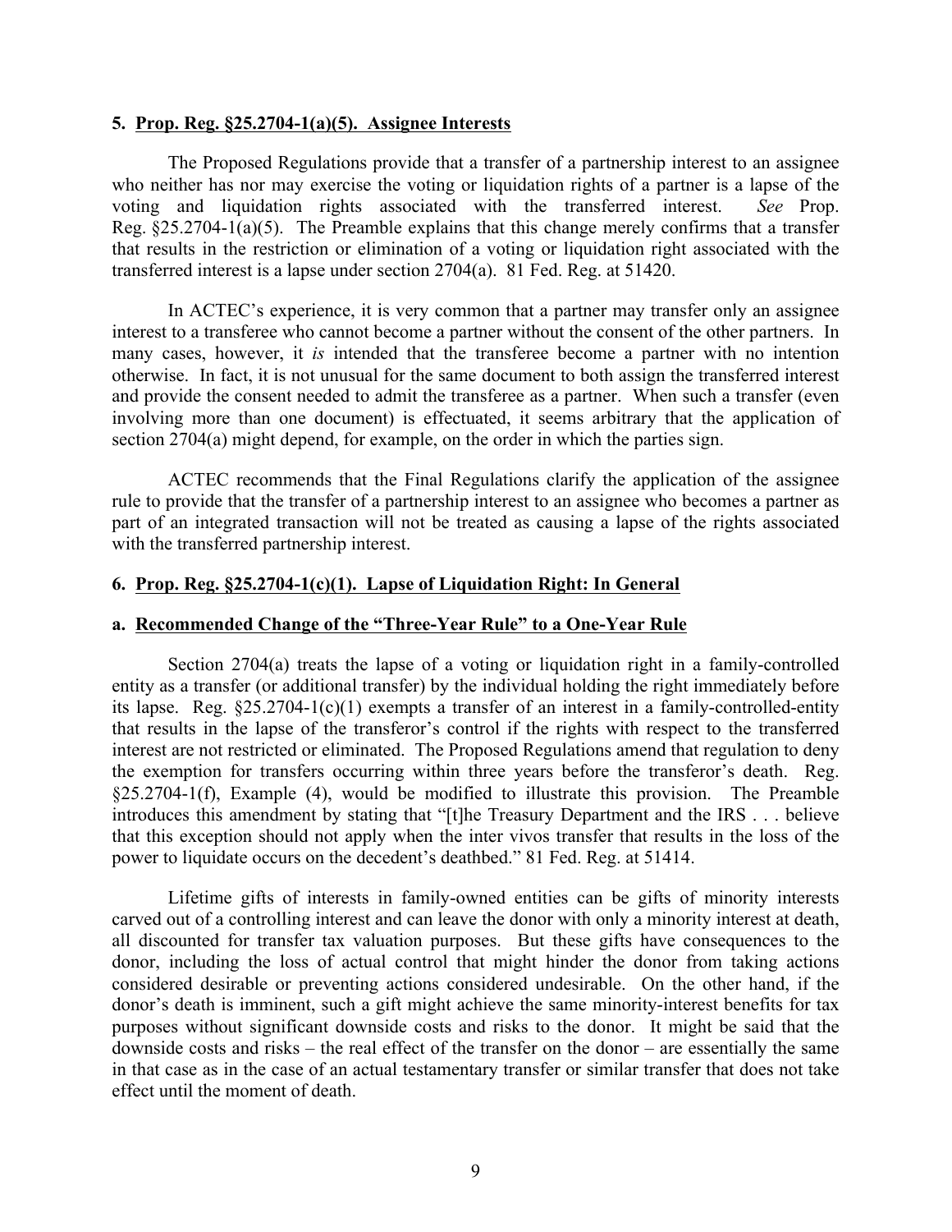#### **5. Prop. Reg. §25.2704-1(a)(5). Assignee Interests**

The Proposed Regulations provide that a transfer of a partnership interest to an assignee who neither has nor may exercise the voting or liquidation rights of a partner is a lapse of the voting and liquidation rights associated with the transferred interest. *See* Prop. Reg.  $\S25.2704-1(a)(5)$ . The Preamble explains that this change merely confirms that a transfer that results in the restriction or elimination of a voting or liquidation right associated with the transferred interest is a lapse under section 2704(a). 81 Fed. Reg. at 51420.

In ACTEC's experience, it is very common that a partner may transfer only an assignee interest to a transferee who cannot become a partner without the consent of the other partners. In many cases, however, it *is* intended that the transferee become a partner with no intention otherwise. In fact, it is not unusual for the same document to both assign the transferred interest and provide the consent needed to admit the transferee as a partner. When such a transfer (even involving more than one document) is effectuated, it seems arbitrary that the application of section 2704(a) might depend, for example, on the order in which the parties sign.

ACTEC recommends that the Final Regulations clarify the application of the assignee rule to provide that the transfer of a partnership interest to an assignee who becomes a partner as part of an integrated transaction will not be treated as causing a lapse of the rights associated with the transferred partnership interest.

### **6. Prop. Reg. §25.2704-1(c)(1). Lapse of Liquidation Right: In General**

#### **a. Recommended Change of the "Three-Year Rule" to a One-Year Rule**

Section 2704(a) treats the lapse of a voting or liquidation right in a family-controlled entity as a transfer (or additional transfer) by the individual holding the right immediately before its lapse. Reg.  $\S25.2704-1(c)(1)$  exempts a transfer of an interest in a family-controlled-entity that results in the lapse of the transferor's control if the rights with respect to the transferred interest are not restricted or eliminated. The Proposed Regulations amend that regulation to deny the exemption for transfers occurring within three years before the transferor's death. Reg. §25.2704-1(f), Example (4), would be modified to illustrate this provision. The Preamble introduces this amendment by stating that "[t]he Treasury Department and the IRS . . . believe that this exception should not apply when the inter vivos transfer that results in the loss of the power to liquidate occurs on the decedent's deathbed." 81 Fed. Reg. at 51414.

Lifetime gifts of interests in family-owned entities can be gifts of minority interests carved out of a controlling interest and can leave the donor with only a minority interest at death, all discounted for transfer tax valuation purposes. But these gifts have consequences to the donor, including the loss of actual control that might hinder the donor from taking actions considered desirable or preventing actions considered undesirable. On the other hand, if the donor's death is imminent, such a gift might achieve the same minority-interest benefits for tax purposes without significant downside costs and risks to the donor. It might be said that the downside costs and risks – the real effect of the transfer on the donor – are essentially the same in that case as in the case of an actual testamentary transfer or similar transfer that does not take effect until the moment of death.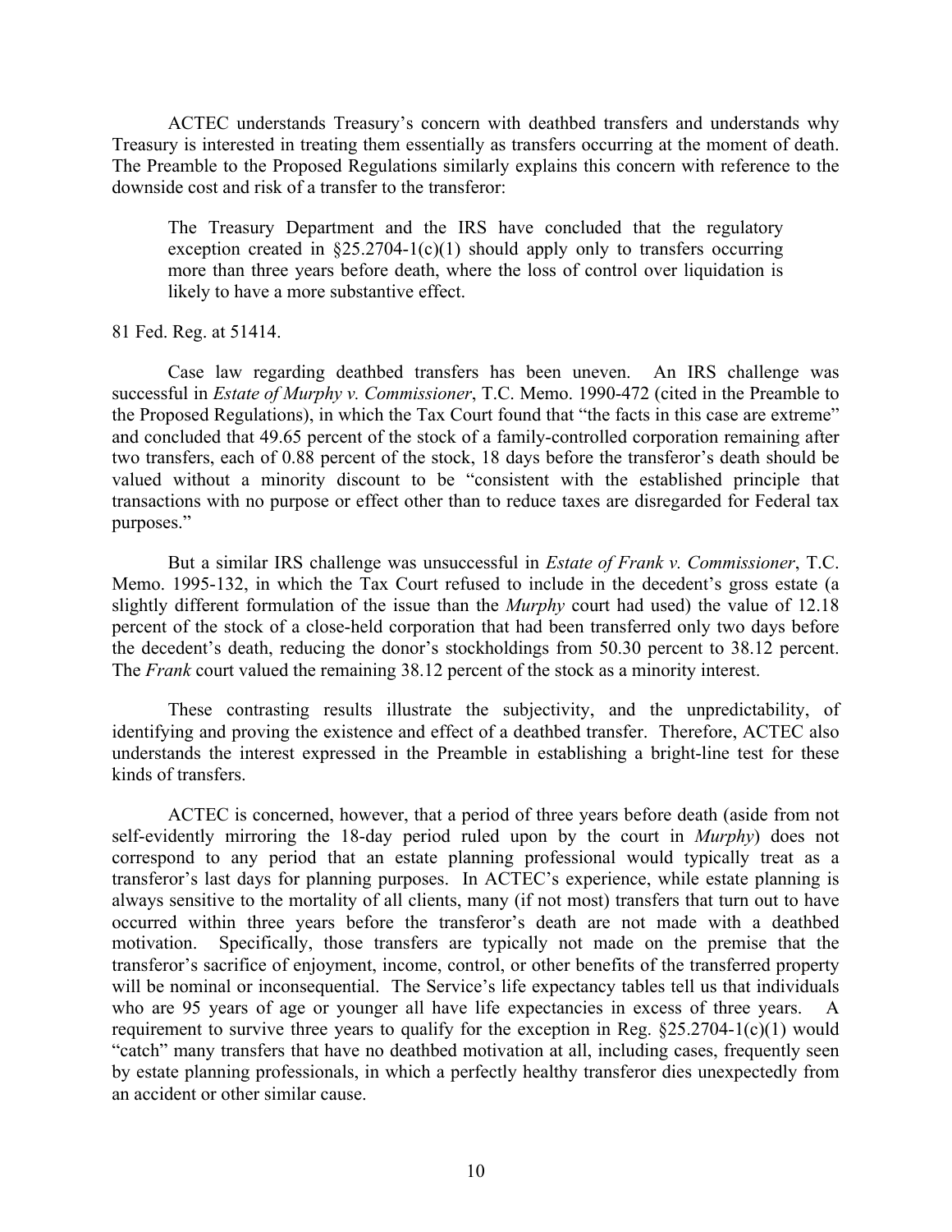ACTEC understands Treasury's concern with deathbed transfers and understands why Treasury is interested in treating them essentially as transfers occurring at the moment of death. The Preamble to the Proposed Regulations similarly explains this concern with reference to the downside cost and risk of a transfer to the transferor:

The Treasury Department and the IRS have concluded that the regulatory exception created in  $\S25.2704-1(c)(1)$  should apply only to transfers occurring more than three years before death, where the loss of control over liquidation is likely to have a more substantive effect.

#### 81 Fed. Reg. at 51414.

Case law regarding deathbed transfers has been uneven. An IRS challenge was successful in *Estate of Murphy v. Commissioner*, T.C. Memo. 1990-472 (cited in the Preamble to the Proposed Regulations), in which the Tax Court found that "the facts in this case are extreme" and concluded that 49.65 percent of the stock of a family-controlled corporation remaining after two transfers, each of 0.88 percent of the stock, 18 days before the transferor's death should be valued without a minority discount to be "consistent with the established principle that transactions with no purpose or effect other than to reduce taxes are disregarded for Federal tax purposes."

But a similar IRS challenge was unsuccessful in *Estate of Frank v. Commissioner*, T.C. Memo. 1995-132, in which the Tax Court refused to include in the decedent's gross estate (a slightly different formulation of the issue than the *Murphy* court had used) the value of 12.18 percent of the stock of a close-held corporation that had been transferred only two days before the decedent's death, reducing the donor's stockholdings from 50.30 percent to 38.12 percent. The *Frank* court valued the remaining 38.12 percent of the stock as a minority interest.

These contrasting results illustrate the subjectivity, and the unpredictability, of identifying and proving the existence and effect of a deathbed transfer. Therefore, ACTEC also understands the interest expressed in the Preamble in establishing a bright-line test for these kinds of transfers.

ACTEC is concerned, however, that a period of three years before death (aside from not self-evidently mirroring the 18-day period ruled upon by the court in *Murphy*) does not correspond to any period that an estate planning professional would typically treat as a transferor's last days for planning purposes. In ACTEC's experience, while estate planning is always sensitive to the mortality of all clients, many (if not most) transfers that turn out to have occurred within three years before the transferor's death are not made with a deathbed motivation. Specifically, those transfers are typically not made on the premise that the transferor's sacrifice of enjoyment, income, control, or other benefits of the transferred property will be nominal or inconsequential. The Service's life expectancy tables tell us that individuals who are 95 years of age or younger all have life expectancies in excess of three years. A requirement to survive three years to qualify for the exception in Reg. §25.2704-1(c)(1) would "catch" many transfers that have no deathbed motivation at all, including cases, frequently seen by estate planning professionals, in which a perfectly healthy transferor dies unexpectedly from an accident or other similar cause.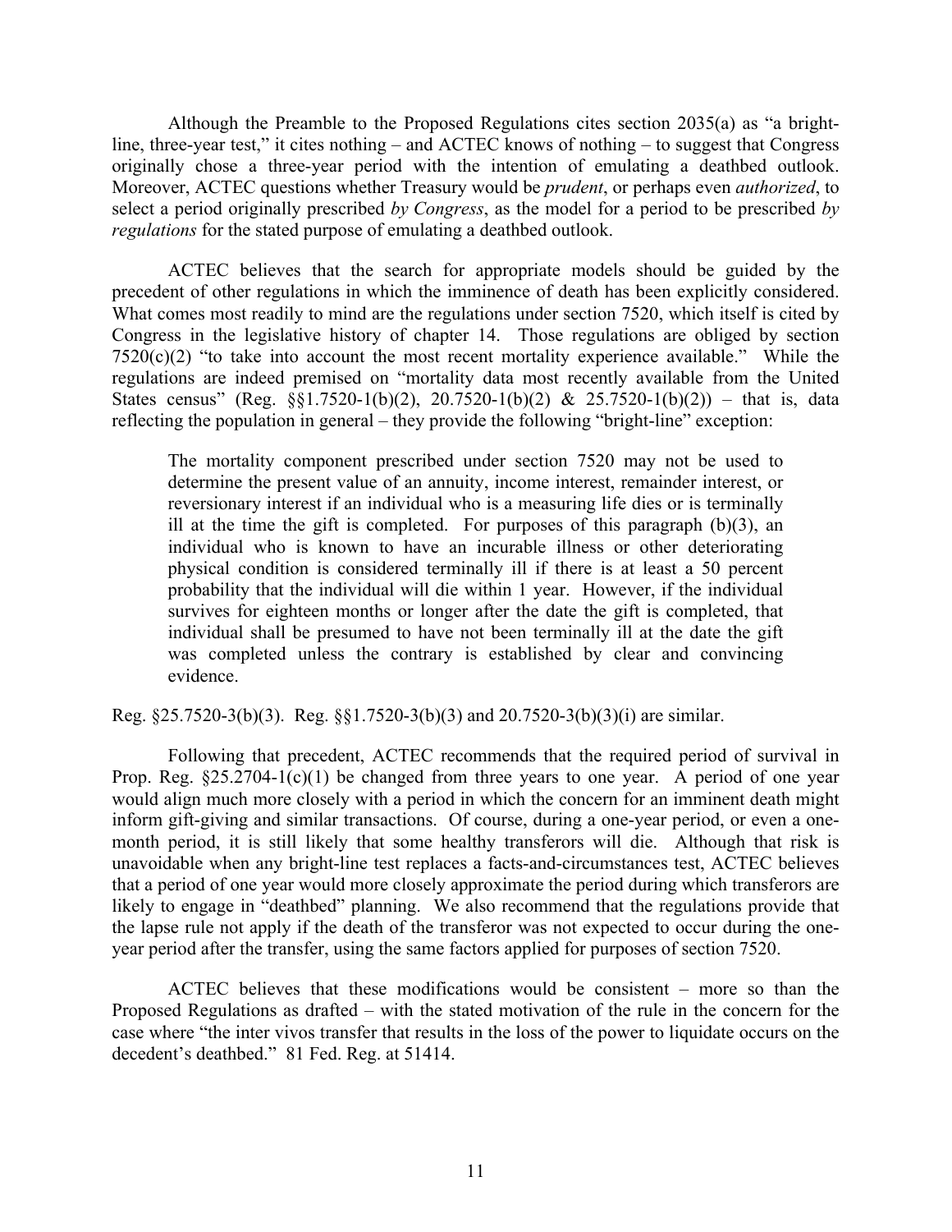Although the Preamble to the Proposed Regulations cites section 2035(a) as "a brightline, three-year test," it cites nothing – and ACTEC knows of nothing – to suggest that Congress originally chose a three-year period with the intention of emulating a deathbed outlook. Moreover, ACTEC questions whether Treasury would be *prudent*, or perhaps even *authorized*, to select a period originally prescribed *by Congress*, as the model for a period to be prescribed *by regulations* for the stated purpose of emulating a deathbed outlook.

ACTEC believes that the search for appropriate models should be guided by the precedent of other regulations in which the imminence of death has been explicitly considered. What comes most readily to mind are the regulations under section 7520, which itself is cited by Congress in the legislative history of chapter 14. Those regulations are obliged by section  $7520(c)(2)$  "to take into account the most recent mortality experience available." While the regulations are indeed premised on "mortality data most recently available from the United States census" (Reg. §§1.7520-1(b)(2), 20.7520-1(b)(2) & 25.7520-1(b)(2)) – that is, data reflecting the population in general – they provide the following "bright-line" exception:

The mortality component prescribed under section 7520 may not be used to determine the present value of an annuity, income interest, remainder interest, or reversionary interest if an individual who is a measuring life dies or is terminally ill at the time the gift is completed. For purposes of this paragraph  $(b)(3)$ , an individual who is known to have an incurable illness or other deteriorating physical condition is considered terminally ill if there is at least a 50 percent probability that the individual will die within 1 year. However, if the individual survives for eighteen months or longer after the date the gift is completed, that individual shall be presumed to have not been terminally ill at the date the gift was completed unless the contrary is established by clear and convincing evidence.

Reg. §25.7520-3(b)(3). Reg. §§1.7520-3(b)(3) and 20.7520-3(b)(3)(i) are similar.

Following that precedent, ACTEC recommends that the required period of survival in Prop. Reg.  $\S25.2704-1(c)(1)$  be changed from three years to one year. A period of one year would align much more closely with a period in which the concern for an imminent death might inform gift-giving and similar transactions. Of course, during a one-year period, or even a onemonth period, it is still likely that some healthy transferors will die. Although that risk is unavoidable when any bright-line test replaces a facts-and-circumstances test, ACTEC believes that a period of one year would more closely approximate the period during which transferors are likely to engage in "deathbed" planning. We also recommend that the regulations provide that the lapse rule not apply if the death of the transferor was not expected to occur during the oneyear period after the transfer, using the same factors applied for purposes of section 7520.

ACTEC believes that these modifications would be consistent – more so than the Proposed Regulations as drafted – with the stated motivation of the rule in the concern for the case where "the inter vivos transfer that results in the loss of the power to liquidate occurs on the decedent's deathbed." 81 Fed. Reg. at 51414.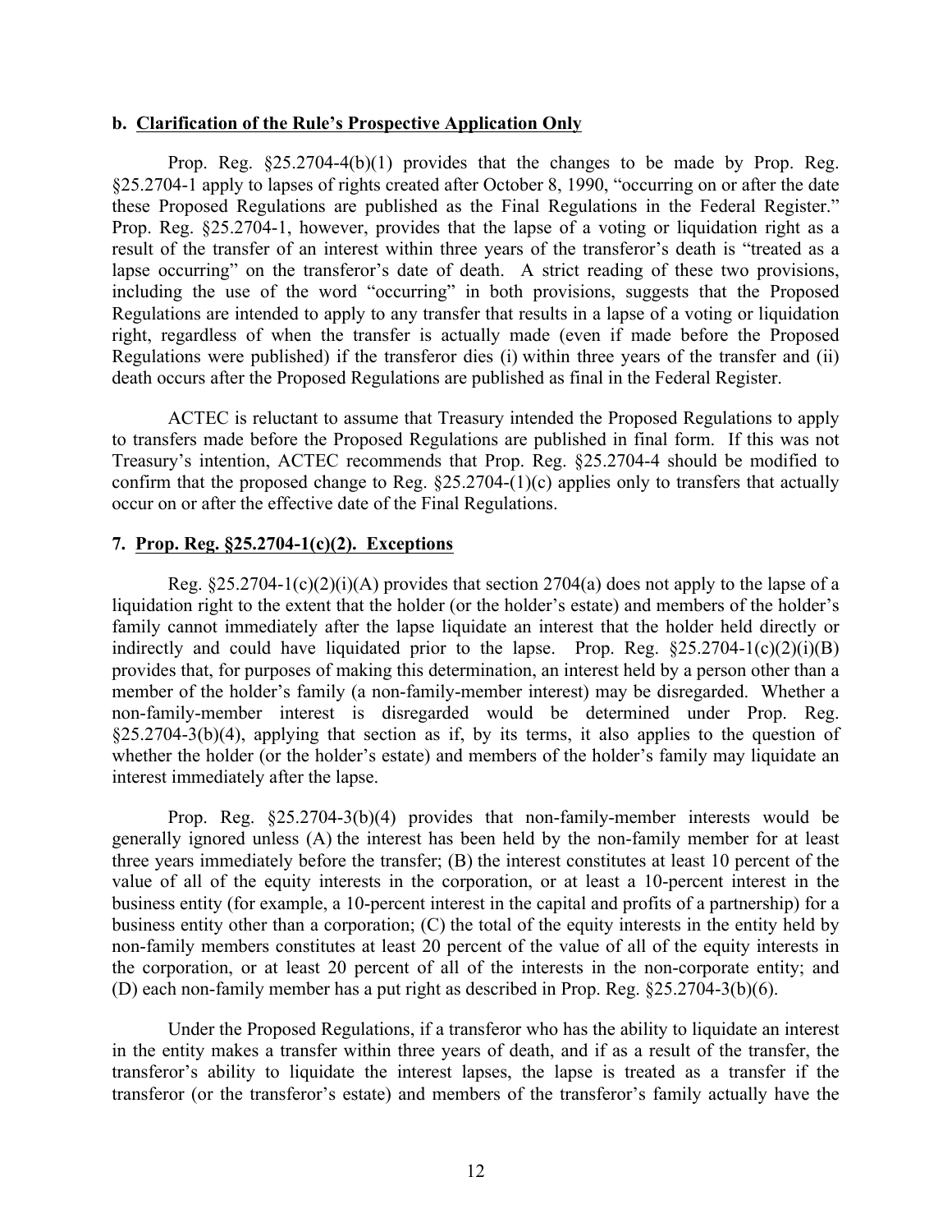#### **b. Clarification of the Rule's Prospective Application Only**

Prop. Reg. §25.2704-4(b)(1) provides that the changes to be made by Prop. Reg. §25.2704-1 apply to lapses of rights created after October 8, 1990, "occurring on or after the date these Proposed Regulations are published as the Final Regulations in the Federal Register." Prop. Reg. §25.2704-1, however, provides that the lapse of a voting or liquidation right as a result of the transfer of an interest within three years of the transferor's death is "treated as a lapse occurring" on the transferor's date of death. A strict reading of these two provisions, including the use of the word "occurring" in both provisions, suggests that the Proposed Regulations are intended to apply to any transfer that results in a lapse of a voting or liquidation right, regardless of when the transfer is actually made (even if made before the Proposed Regulations were published) if the transferor dies (i) within three years of the transfer and (ii) death occurs after the Proposed Regulations are published as final in the Federal Register.

ACTEC is reluctant to assume that Treasury intended the Proposed Regulations to apply to transfers made before the Proposed Regulations are published in final form. If this was not Treasury's intention, ACTEC recommends that Prop. Reg. §25.2704-4 should be modified to confirm that the proposed change to Reg.  $\S25.2704-(1)(c)$  applies only to transfers that actually occur on or after the effective date of the Final Regulations.

# **7. Prop. Reg. §25.2704-1(c)(2). Exceptions**

Reg.  $\S25.2704-1(c)(2)(i)(A)$  provides that section 2704(a) does not apply to the lapse of a liquidation right to the extent that the holder (or the holder's estate) and members of the holder's family cannot immediately after the lapse liquidate an interest that the holder held directly or indirectly and could have liquidated prior to the lapse. Prop. Reg.  $\S25.2704-1(c)(2)(i)(B)$ provides that, for purposes of making this determination, an interest held by a person other than a member of the holder's family (a non-family-member interest) may be disregarded. Whether a non-family-member interest is disregarded would be determined under Prop. Reg.  $\S25.2704-3(b)(4)$ , applying that section as if, by its terms, it also applies to the question of whether the holder (or the holder's estate) and members of the holder's family may liquidate an interest immediately after the lapse.

Prop. Reg. §25.2704-3(b)(4) provides that non-family-member interests would be generally ignored unless (A) the interest has been held by the non-family member for at least three years immediately before the transfer; (B) the interest constitutes at least 10 percent of the value of all of the equity interests in the corporation, or at least a 10-percent interest in the business entity (for example, a 10-percent interest in the capital and profits of a partnership) for a business entity other than a corporation; (C) the total of the equity interests in the entity held by non-family members constitutes at least 20 percent of the value of all of the equity interests in the corporation, or at least 20 percent of all of the interests in the non-corporate entity; and (D) each non-family member has a put right as described in Prop. Reg. §25.2704-3(b)(6).

Under the Proposed Regulations, if a transferor who has the ability to liquidate an interest in the entity makes a transfer within three years of death, and if as a result of the transfer, the transferor's ability to liquidate the interest lapses, the lapse is treated as a transfer if the transferor (or the transferor's estate) and members of the transferor's family actually have the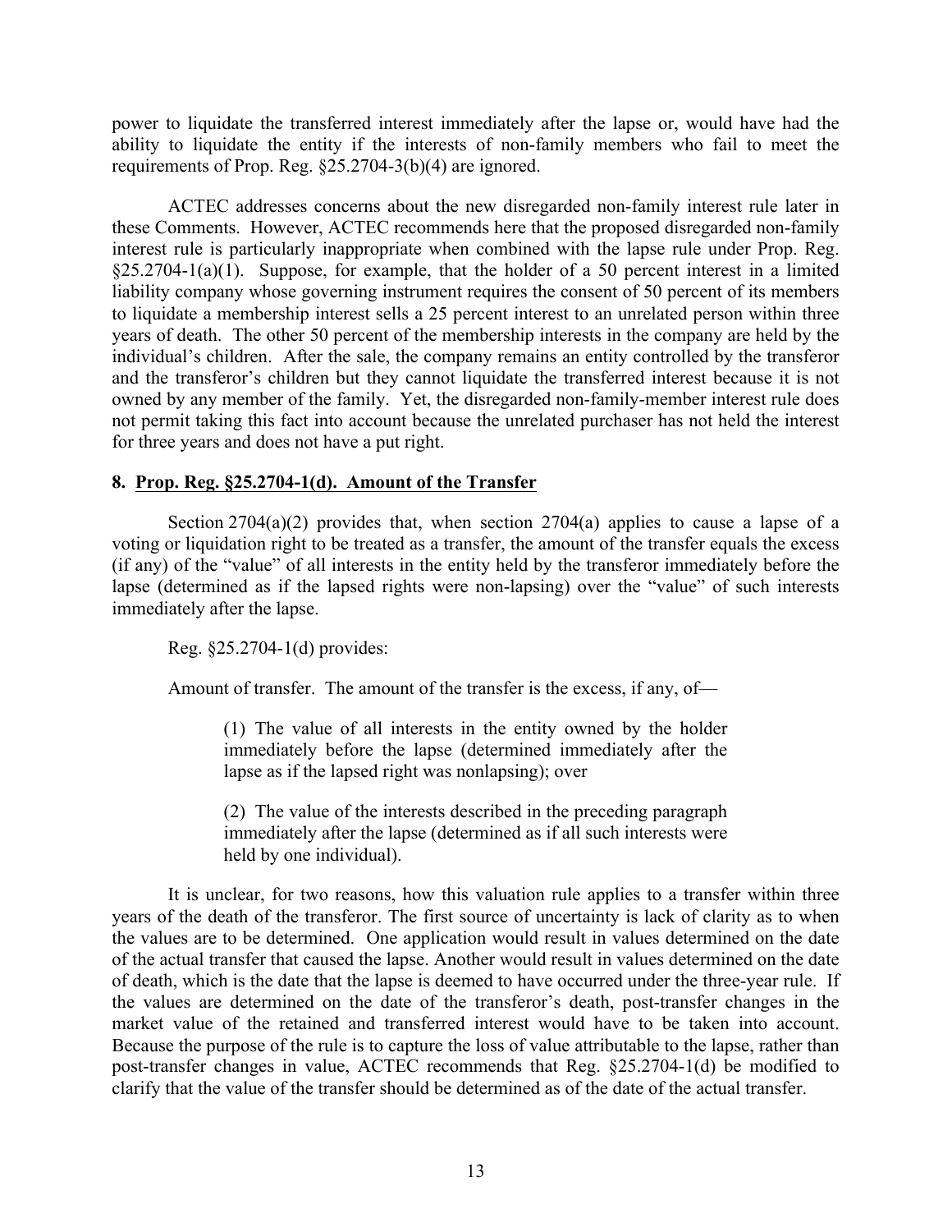power to liquidate the transferred interest immediately after the lapse or, would have had the ability to liquidate the entity if the interests of non-family members who fail to meet the requirements of Prop. Reg. §25.2704-3(b)(4) are ignored.

ACTEC addresses concerns about the new disregarded non-family interest rule later in these Comments. However, ACTEC recommends here that the proposed disregarded non-family interest rule is particularly inappropriate when combined with the lapse rule under Prop. Reg.  $§25.2704-1(a)(1)$ . Suppose, for example, that the holder of a 50 percent interest in a limited liability company whose governing instrument requires the consent of 50 percent of its members to liquidate a membership interest sells a 25 percent interest to an unrelated person within three years of death. The other 50 percent of the membership interests in the company are held by the individual's children. After the sale, the company remains an entity controlled by the transferor and the transferor's children but they cannot liquidate the transferred interest because it is not owned by any member of the family. Yet, the disregarded non-family-member interest rule does not permit taking this fact into account because the unrelated purchaser has not held the interest for three years and does not have a put right.

# **8. Prop. Reg. §25.2704-1(d). Amount of the Transfer**

Section  $2704(a)(2)$  provides that, when section  $2704(a)$  applies to cause a lapse of a voting or liquidation right to be treated as a transfer, the amount of the transfer equals the excess (if any) of the "value" of all interests in the entity held by the transferor immediately before the lapse (determined as if the lapsed rights were non-lapsing) over the "value" of such interests immediately after the lapse.

Reg. §25.2704-1(d) provides:

Amount of transfer. The amount of the transfer is the excess, if any, of—

(1) The value of all interests in the entity owned by the holder immediately before the lapse (determined immediately after the lapse as if the lapsed right was nonlapsing); over

(2) The value of the interests described in the preceding paragraph immediately after the lapse (determined as if all such interests were held by one individual).

It is unclear, for two reasons, how this valuation rule applies to a transfer within three years of the death of the transferor. The first source of uncertainty is lack of clarity as to when the values are to be determined. One application would result in values determined on the date of the actual transfer that caused the lapse. Another would result in values determined on the date of death, which is the date that the lapse is deemed to have occurred under the three-year rule. If the values are determined on the date of the transferor's death, post-transfer changes in the market value of the retained and transferred interest would have to be taken into account. Because the purpose of the rule is to capture the loss of value attributable to the lapse, rather than post-transfer changes in value, ACTEC recommends that Reg. §25.2704-1(d) be modified to clarify that the value of the transfer should be determined as of the date of the actual transfer.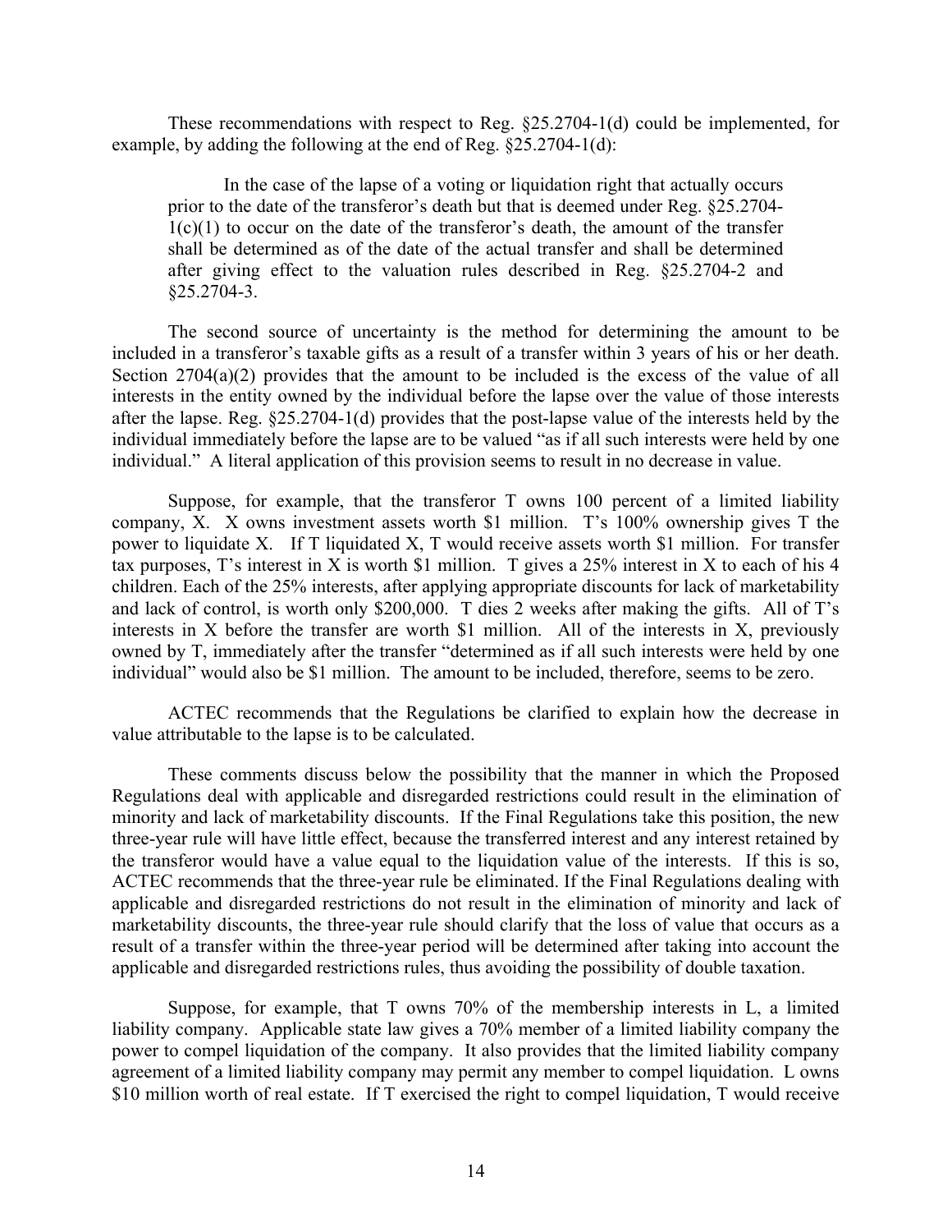These recommendations with respect to Reg. §25.2704-1(d) could be implemented, for example, by adding the following at the end of Reg. §25.2704-1(d):

In the case of the lapse of a voting or liquidation right that actually occurs prior to the date of the transferor's death but that is deemed under Reg. §25.2704-  $1(c)(1)$  to occur on the date of the transferor's death, the amount of the transfer shall be determined as of the date of the actual transfer and shall be determined after giving effect to the valuation rules described in Reg. §25.2704-2 and  $$25.2704-3.$ 

The second source of uncertainty is the method for determining the amount to be included in a transferor's taxable gifts as a result of a transfer within 3 years of his or her death. Section  $2704(a)(2)$  provides that the amount to be included is the excess of the value of all interests in the entity owned by the individual before the lapse over the value of those interests after the lapse. Reg. §25.2704-1(d) provides that the post-lapse value of the interests held by the individual immediately before the lapse are to be valued "as if all such interests were held by one individual." A literal application of this provision seems to result in no decrease in value.

Suppose, for example, that the transferor T owns 100 percent of a limited liability company, X. X owns investment assets worth \$1 million. T's 100% ownership gives T the power to liquidate X. If T liquidated X, T would receive assets worth \$1 million. For transfer tax purposes, T's interest in X is worth \$1 million. T gives a 25% interest in X to each of his 4 children. Each of the 25% interests, after applying appropriate discounts for lack of marketability and lack of control, is worth only \$200,000. T dies 2 weeks after making the gifts. All of T's interests in X before the transfer are worth \$1 million. All of the interests in X, previously owned by T, immediately after the transfer "determined as if all such interests were held by one individual" would also be \$1 million. The amount to be included, therefore, seems to be zero.

ACTEC recommends that the Regulations be clarified to explain how the decrease in value attributable to the lapse is to be calculated.

These comments discuss below the possibility that the manner in which the Proposed Regulations deal with applicable and disregarded restrictions could result in the elimination of minority and lack of marketability discounts. If the Final Regulations take this position, the new three-year rule will have little effect, because the transferred interest and any interest retained by the transferor would have a value equal to the liquidation value of the interests. If this is so, ACTEC recommends that the three-year rule be eliminated. If the Final Regulations dealing with applicable and disregarded restrictions do not result in the elimination of minority and lack of marketability discounts, the three-year rule should clarify that the loss of value that occurs as a result of a transfer within the three-year period will be determined after taking into account the applicable and disregarded restrictions rules, thus avoiding the possibility of double taxation.

Suppose, for example, that T owns 70% of the membership interests in L, a limited liability company. Applicable state law gives a 70% member of a limited liability company the power to compel liquidation of the company. It also provides that the limited liability company agreement of a limited liability company may permit any member to compel liquidation. L owns \$10 million worth of real estate. If T exercised the right to compel liquidation, T would receive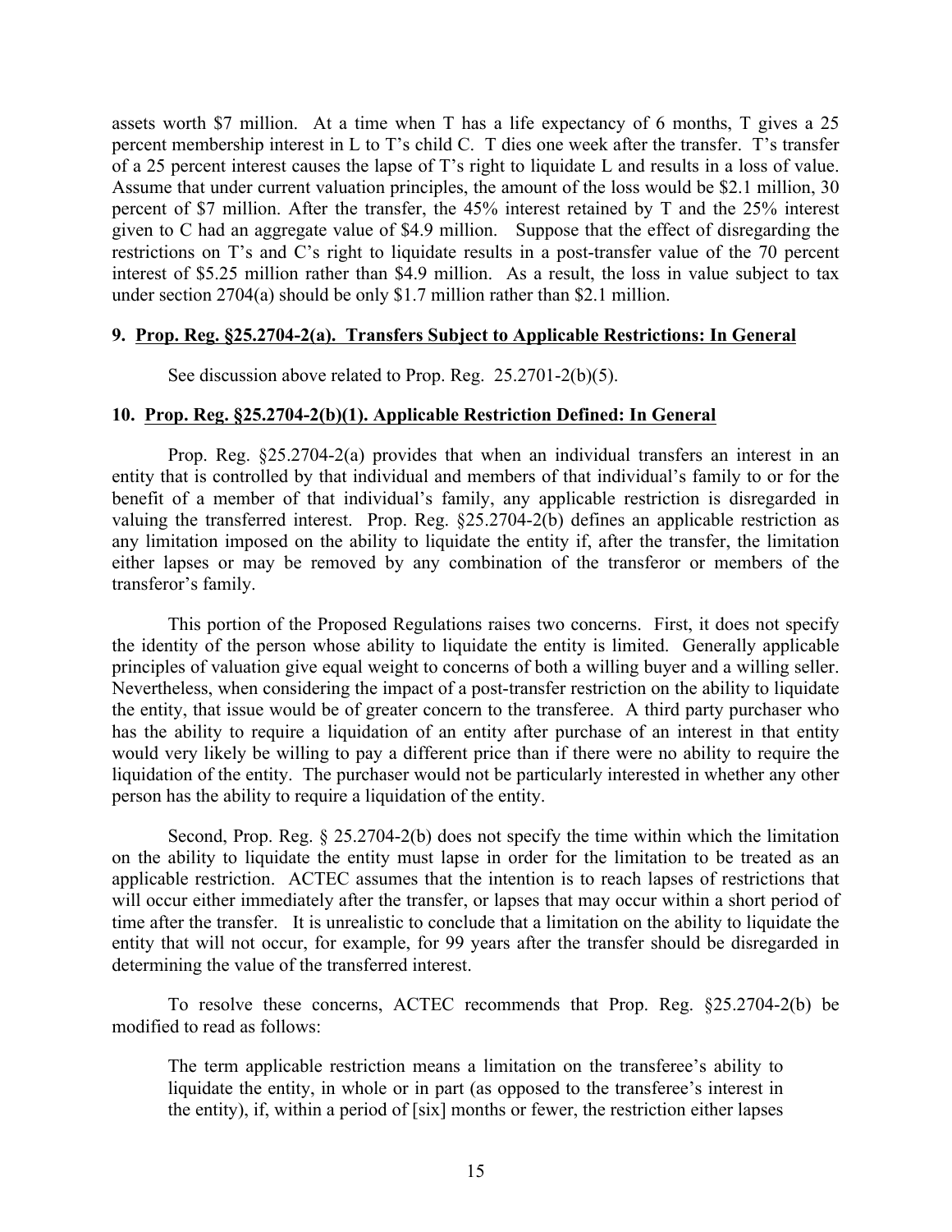assets worth \$7 million. At a time when T has a life expectancy of 6 months, T gives a 25 percent membership interest in L to T's child C. T dies one week after the transfer. T's transfer of a 25 percent interest causes the lapse of T's right to liquidate L and results in a loss of value. Assume that under current valuation principles, the amount of the loss would be \$2.1 million, 30 percent of \$7 million. After the transfer, the 45% interest retained by T and the 25% interest given to C had an aggregate value of \$4.9 million. Suppose that the effect of disregarding the restrictions on T's and C's right to liquidate results in a post-transfer value of the 70 percent interest of \$5.25 million rather than \$4.9 million. As a result, the loss in value subject to tax under section 2704(a) should be only \$1.7 million rather than \$2.1 million.

# **9. Prop. Reg. §25.2704-2(a). Transfers Subject to Applicable Restrictions: In General**

See discussion above related to Prop. Reg. 25.2701-2(b)(5).

### **10. Prop. Reg. §25.2704-2(b)(1). Applicable Restriction Defined: In General**

Prop. Reg. §25.2704-2(a) provides that when an individual transfers an interest in an entity that is controlled by that individual and members of that individual's family to or for the benefit of a member of that individual's family, any applicable restriction is disregarded in valuing the transferred interest. Prop. Reg. §25.2704-2(b) defines an applicable restriction as any limitation imposed on the ability to liquidate the entity if, after the transfer, the limitation either lapses or may be removed by any combination of the transferor or members of the transferor's family.

This portion of the Proposed Regulations raises two concerns. First, it does not specify the identity of the person whose ability to liquidate the entity is limited. Generally applicable principles of valuation give equal weight to concerns of both a willing buyer and a willing seller. Nevertheless, when considering the impact of a post-transfer restriction on the ability to liquidate the entity, that issue would be of greater concern to the transferee. A third party purchaser who has the ability to require a liquidation of an entity after purchase of an interest in that entity would very likely be willing to pay a different price than if there were no ability to require the liquidation of the entity. The purchaser would not be particularly interested in whether any other person has the ability to require a liquidation of the entity.

Second, Prop. Reg. § 25.2704-2(b) does not specify the time within which the limitation on the ability to liquidate the entity must lapse in order for the limitation to be treated as an applicable restriction. ACTEC assumes that the intention is to reach lapses of restrictions that will occur either immediately after the transfer, or lapses that may occur within a short period of time after the transfer. It is unrealistic to conclude that a limitation on the ability to liquidate the entity that will not occur, for example, for 99 years after the transfer should be disregarded in determining the value of the transferred interest.

To resolve these concerns, ACTEC recommends that Prop. Reg. §25.2704-2(b) be modified to read as follows:

The term applicable restriction means a limitation on the transferee's ability to liquidate the entity, in whole or in part (as opposed to the transferee's interest in the entity), if, within a period of [six] months or fewer, the restriction either lapses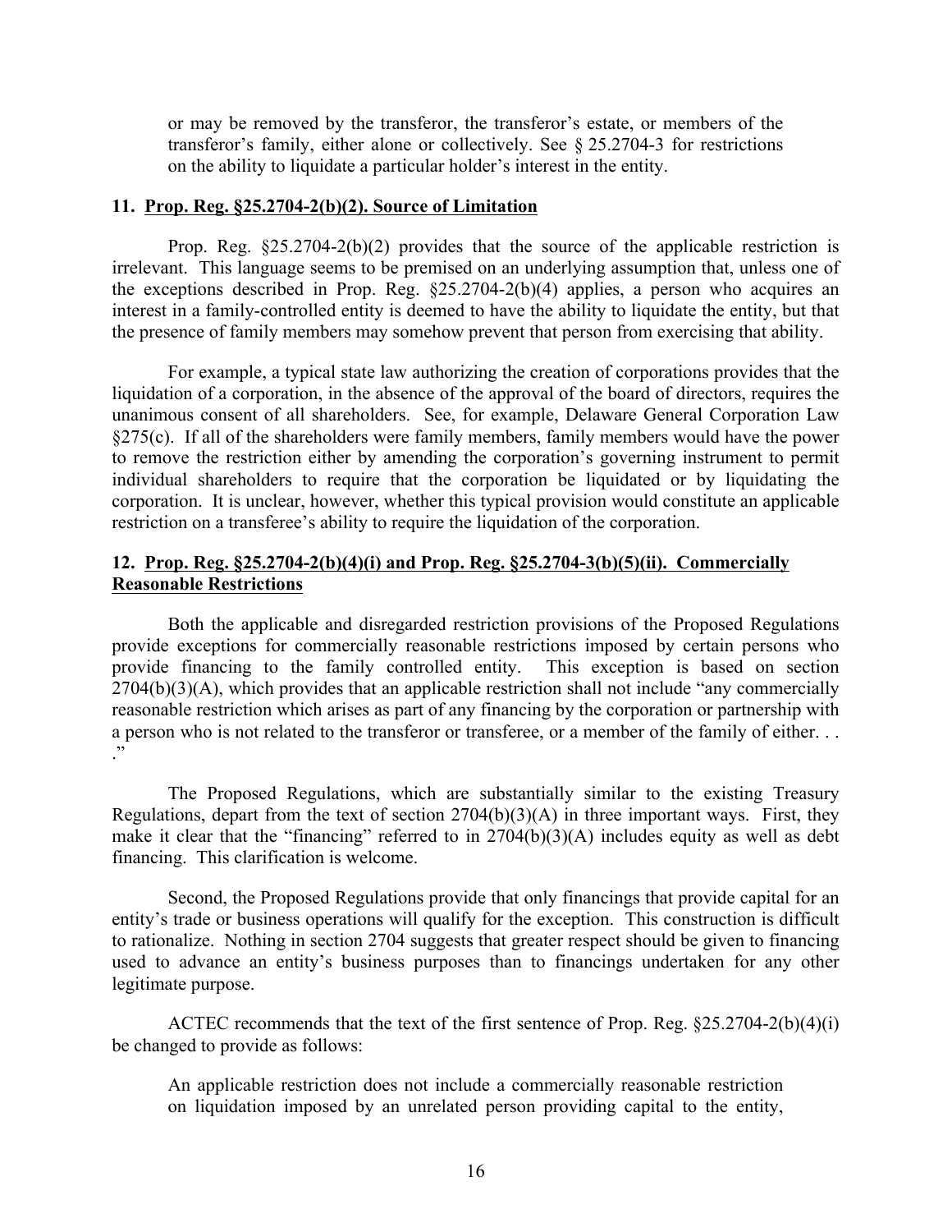or may be removed by the transferor, the transferor's estate, or members of the transferor's family, either alone or collectively. See § 25.2704-3 for restrictions on the ability to liquidate a particular holder's interest in the entity.

### **11. Prop. Reg. §25.2704-2(b)(2). Source of Limitation**

Prop. Reg. §25.2704-2(b)(2) provides that the source of the applicable restriction is irrelevant. This language seems to be premised on an underlying assumption that, unless one of the exceptions described in Prop. Reg. §25.2704-2(b)(4) applies, a person who acquires an interest in a family-controlled entity is deemed to have the ability to liquidate the entity, but that the presence of family members may somehow prevent that person from exercising that ability.

For example, a typical state law authorizing the creation of corporations provides that the liquidation of a corporation, in the absence of the approval of the board of directors, requires the unanimous consent of all shareholders. See, for example, Delaware General Corporation Law §275(c). If all of the shareholders were family members, family members would have the power to remove the restriction either by amending the corporation's governing instrument to permit individual shareholders to require that the corporation be liquidated or by liquidating the corporation. It is unclear, however, whether this typical provision would constitute an applicable restriction on a transferee's ability to require the liquidation of the corporation.

# **12. Prop. Reg. §25.2704-2(b)(4)(i) and Prop. Reg. §25.2704-3(b)(5)(ii). Commercially Reasonable Restrictions**

Both the applicable and disregarded restriction provisions of the Proposed Regulations provide exceptions for commercially reasonable restrictions imposed by certain persons who provide financing to the family controlled entity. This exception is based on section 2704(b)(3)(A), which provides that an applicable restriction shall not include "any commercially reasonable restriction which arises as part of any financing by the corporation or partnership with a person who is not related to the transferor or transferee, or a member of the family of either. . .  $\cdot$ "

The Proposed Regulations, which are substantially similar to the existing Treasury Regulations, depart from the text of section  $2704(b)(3)(A)$  in three important ways. First, they make it clear that the "financing" referred to in 2704(b)(3)(A) includes equity as well as debt financing. This clarification is welcome.

Second, the Proposed Regulations provide that only financings that provide capital for an entity's trade or business operations will qualify for the exception. This construction is difficult to rationalize. Nothing in section 2704 suggests that greater respect should be given to financing used to advance an entity's business purposes than to financings undertaken for any other legitimate purpose.

ACTEC recommends that the text of the first sentence of Prop. Reg. §25.2704-2(b)(4)(i) be changed to provide as follows:

An applicable restriction does not include a commercially reasonable restriction on liquidation imposed by an unrelated person providing capital to the entity,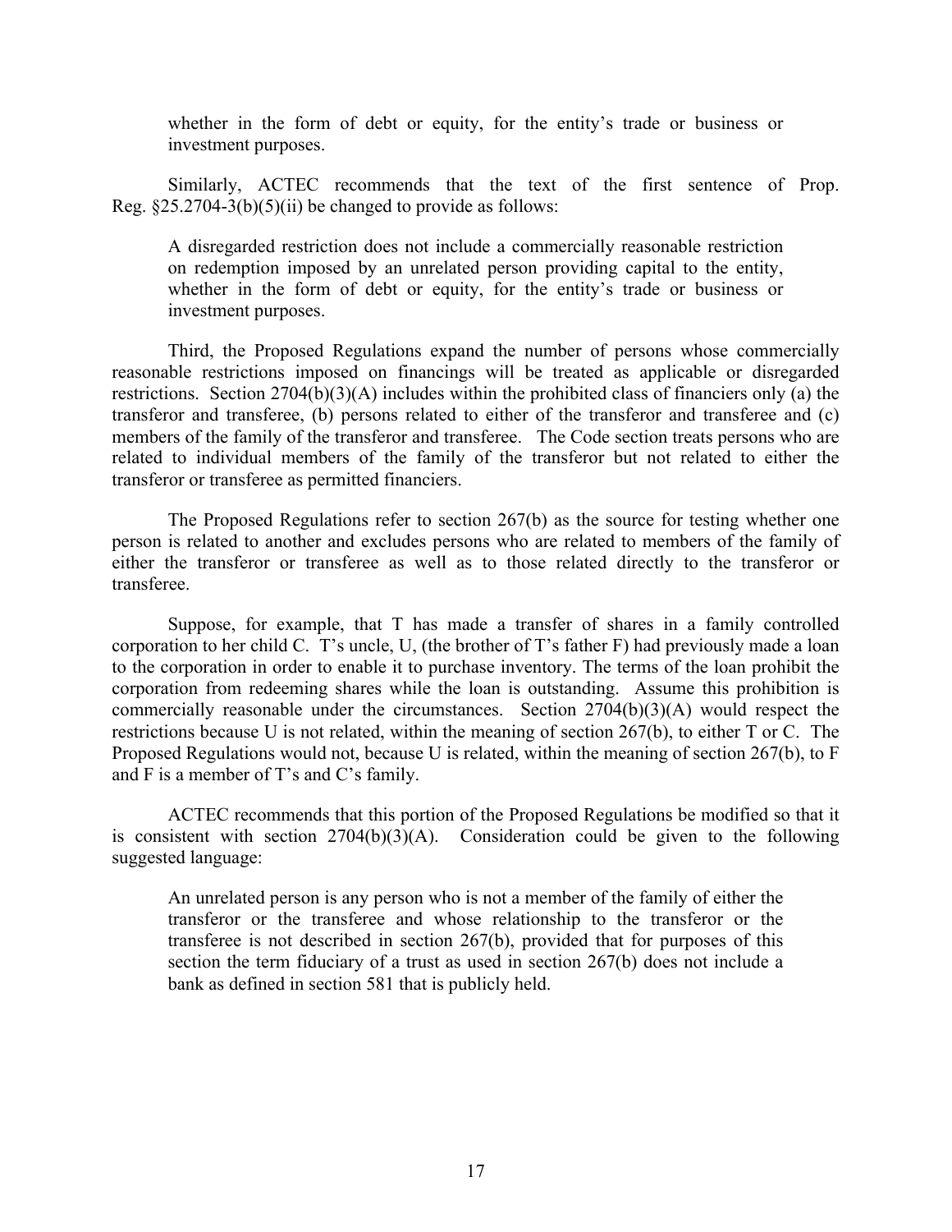whether in the form of debt or equity, for the entity's trade or business or investment purposes.

Similarly, ACTEC recommends that the text of the first sentence of Prop. Reg.  $\S 25.2704-3(b)(5)(ii)$  be changed to provide as follows:

A disregarded restriction does not include a commercially reasonable restriction on redemption imposed by an unrelated person providing capital to the entity, whether in the form of debt or equity, for the entity's trade or business or investment purposes.

Third, the Proposed Regulations expand the number of persons whose commercially reasonable restrictions imposed on financings will be treated as applicable or disregarded restrictions. Section 2704(b)(3)(A) includes within the prohibited class of financiers only (a) the transferor and transferee, (b) persons related to either of the transferor and transferee and (c) members of the family of the transferor and transferee. The Code section treats persons who are related to individual members of the family of the transferor but not related to either the transferor or transferee as permitted financiers.

The Proposed Regulations refer to section 267(b) as the source for testing whether one person is related to another and excludes persons who are related to members of the family of either the transferor or transferee as well as to those related directly to the transferor or transferee.

Suppose, for example, that T has made a transfer of shares in a family controlled corporation to her child C. T's uncle, U, (the brother of T's father F) had previously made a loan to the corporation in order to enable it to purchase inventory. The terms of the loan prohibit the corporation from redeeming shares while the loan is outstanding. Assume this prohibition is commercially reasonable under the circumstances. Section 2704(b)(3)(A) would respect the restrictions because U is not related, within the meaning of section 267(b), to either T or C. The Proposed Regulations would not, because U is related, within the meaning of section 267(b), to F and F is a member of T's and C's family.

ACTEC recommends that this portion of the Proposed Regulations be modified so that it is consistent with section  $2704(b)(3)(A)$ . Consideration could be given to the following suggested language:

An unrelated person is any person who is not a member of the family of either the transferor or the transferee and whose relationship to the transferor or the transferee is not described in section 267(b), provided that for purposes of this section the term fiduciary of a trust as used in section 267(b) does not include a bank as defined in section 581 that is publicly held.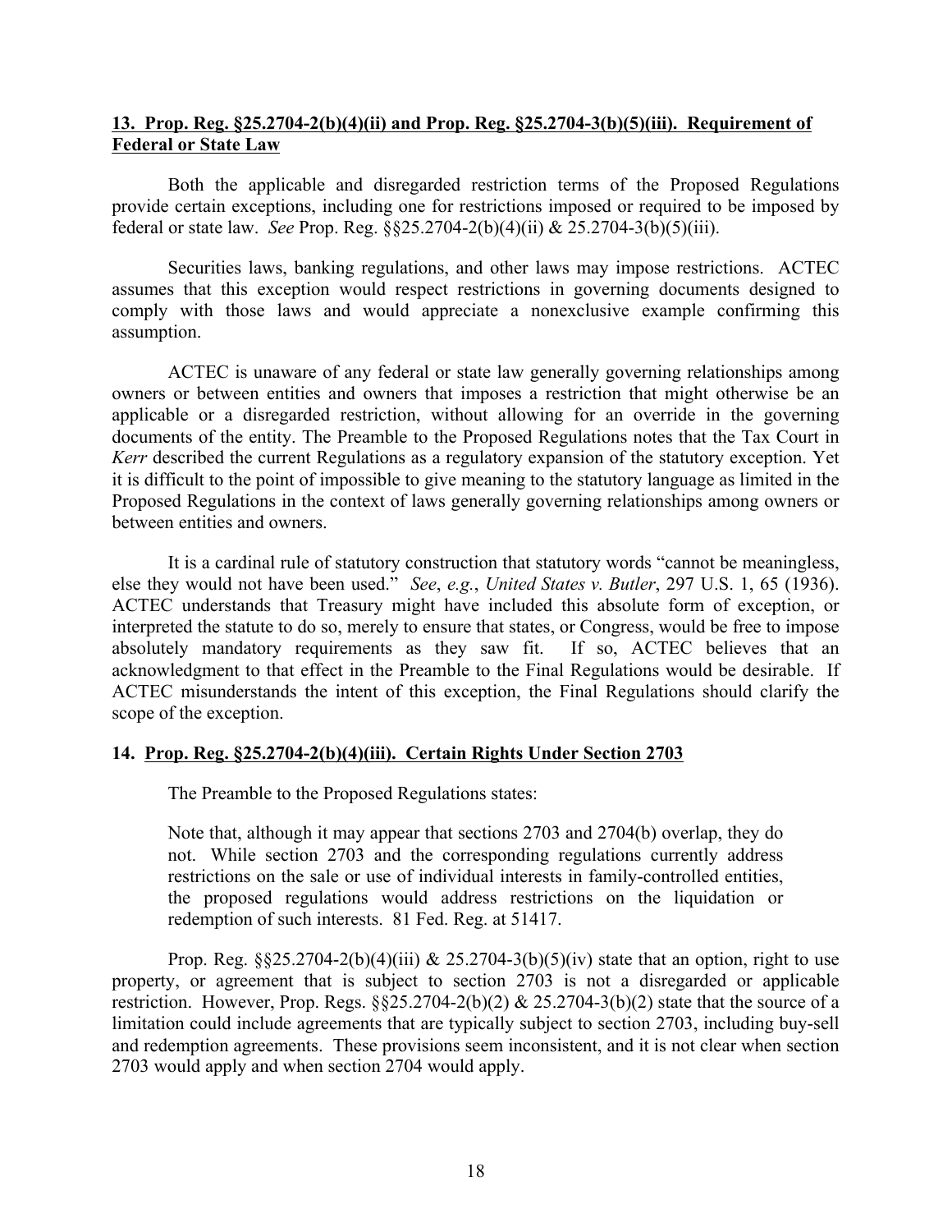# **13. Prop. Reg. §25.2704-2(b)(4)(ii) and Prop. Reg. §25.2704-3(b)(5)(iii). Requirement of Federal or State Law**

Both the applicable and disregarded restriction terms of the Proposed Regulations provide certain exceptions, including one for restrictions imposed or required to be imposed by federal or state law. *See* Prop. Reg. §§25.2704-2(b)(4)(ii) & 25.2704-3(b)(5)(iii).

Securities laws, banking regulations, and other laws may impose restrictions. ACTEC assumes that this exception would respect restrictions in governing documents designed to comply with those laws and would appreciate a nonexclusive example confirming this assumption.

ACTEC is unaware of any federal or state law generally governing relationships among owners or between entities and owners that imposes a restriction that might otherwise be an applicable or a disregarded restriction, without allowing for an override in the governing documents of the entity. The Preamble to the Proposed Regulations notes that the Tax Court in *Kerr* described the current Regulations as a regulatory expansion of the statutory exception. Yet it is difficult to the point of impossible to give meaning to the statutory language as limited in the Proposed Regulations in the context of laws generally governing relationships among owners or between entities and owners.

It is a cardinal rule of statutory construction that statutory words "cannot be meaningless, else they would not have been used." *See*, *e.g.*, *United States v. Butler*, 297 U.S. 1, 65 (1936). ACTEC understands that Treasury might have included this absolute form of exception, or interpreted the statute to do so, merely to ensure that states, or Congress, would be free to impose absolutely mandatory requirements as they saw fit. If so, ACTEC believes that an acknowledgment to that effect in the Preamble to the Final Regulations would be desirable. If ACTEC misunderstands the intent of this exception, the Final Regulations should clarify the scope of the exception.

# **14. Prop. Reg. §25.2704-2(b)(4)(iii). Certain Rights Under Section 2703**

The Preamble to the Proposed Regulations states:

Note that, although it may appear that sections 2703 and 2704(b) overlap, they do not. While section 2703 and the corresponding regulations currently address restrictions on the sale or use of individual interests in family-controlled entities, the proposed regulations would address restrictions on the liquidation or redemption of such interests. 81 Fed. Reg. at 51417.

Prop. Reg. §§25.2704-2(b)(4)(iii) & 25.2704-3(b)(5)(iv) state that an option, right to use property, or agreement that is subject to section 2703 is not a disregarded or applicable restriction. However, Prop. Regs.  $\S$ 25.2704-2(b)(2) & 25.2704-3(b)(2) state that the source of a limitation could include agreements that are typically subject to section 2703, including buy-sell and redemption agreements. These provisions seem inconsistent, and it is not clear when section 2703 would apply and when section 2704 would apply.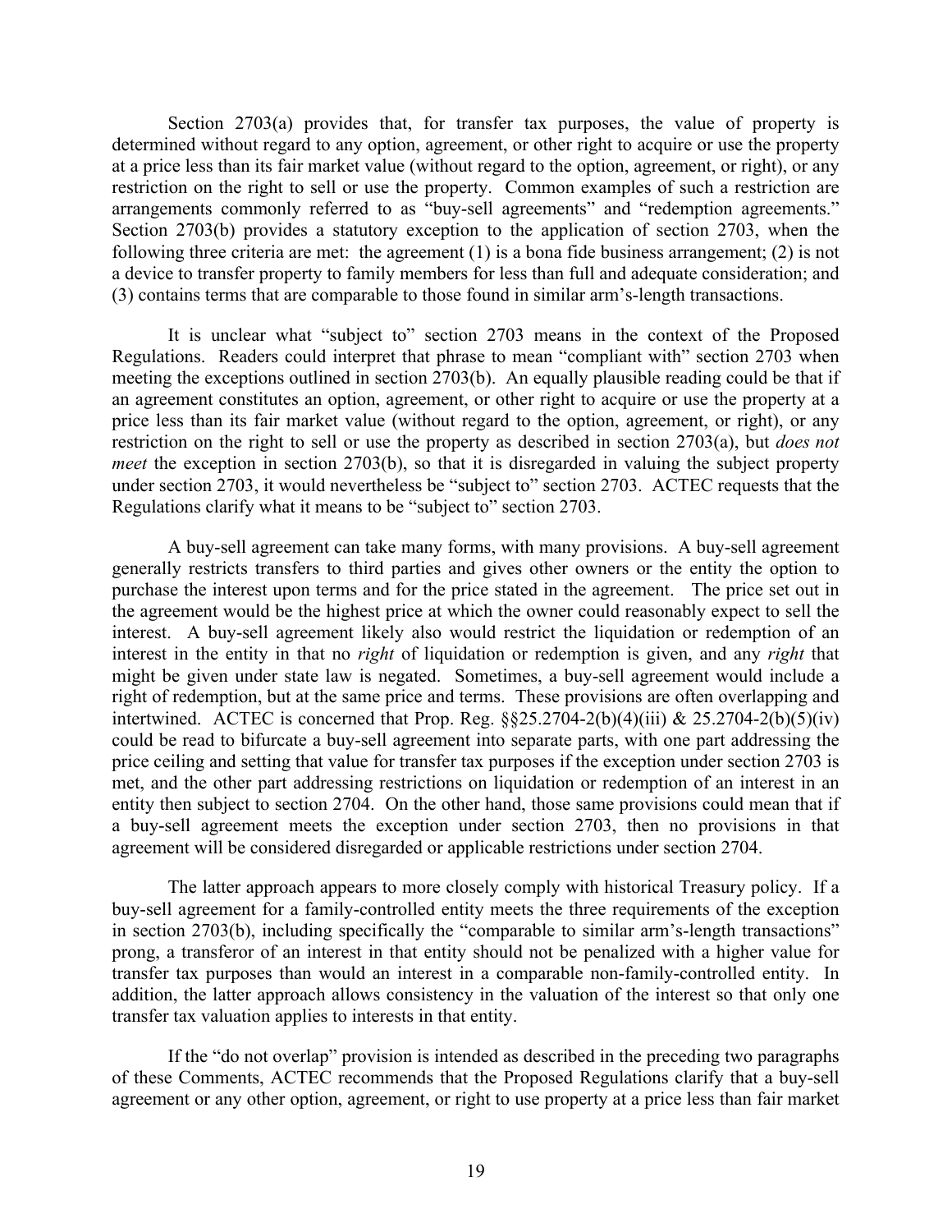Section 2703(a) provides that, for transfer tax purposes, the value of property is determined without regard to any option, agreement, or other right to acquire or use the property at a price less than its fair market value (without regard to the option, agreement, or right), or any restriction on the right to sell or use the property. Common examples of such a restriction are arrangements commonly referred to as "buy-sell agreements" and "redemption agreements." Section 2703(b) provides a statutory exception to the application of section 2703, when the following three criteria are met: the agreement (1) is a bona fide business arrangement; (2) is not a device to transfer property to family members for less than full and adequate consideration; and (3) contains terms that are comparable to those found in similar arm's-length transactions.

It is unclear what "subject to" section 2703 means in the context of the Proposed Regulations. Readers could interpret that phrase to mean "compliant with" section 2703 when meeting the exceptions outlined in section 2703(b). An equally plausible reading could be that if an agreement constitutes an option, agreement, or other right to acquire or use the property at a price less than its fair market value (without regard to the option, agreement, or right), or any restriction on the right to sell or use the property as described in section 2703(a), but *does not meet* the exception in section 2703(b), so that it is disregarded in valuing the subject property under section 2703, it would nevertheless be "subject to" section 2703. ACTEC requests that the Regulations clarify what it means to be "subject to" section 2703.

A buy-sell agreement can take many forms, with many provisions. A buy-sell agreement generally restricts transfers to third parties and gives other owners or the entity the option to purchase the interest upon terms and for the price stated in the agreement. The price set out in the agreement would be the highest price at which the owner could reasonably expect to sell the interest. A buy-sell agreement likely also would restrict the liquidation or redemption of an interest in the entity in that no *right* of liquidation or redemption is given, and any *right* that might be given under state law is negated. Sometimes, a buy-sell agreement would include a right of redemption, but at the same price and terms. These provisions are often overlapping and intertwined. ACTEC is concerned that Prop. Reg.  $\S$  $\S$ 25.2704-2(b)(4)(iii) & 25.2704-2(b)(5)(iv) could be read to bifurcate a buy-sell agreement into separate parts, with one part addressing the price ceiling and setting that value for transfer tax purposes if the exception under section 2703 is met, and the other part addressing restrictions on liquidation or redemption of an interest in an entity then subject to section 2704. On the other hand, those same provisions could mean that if a buy-sell agreement meets the exception under section 2703, then no provisions in that agreement will be considered disregarded or applicable restrictions under section 2704.

The latter approach appears to more closely comply with historical Treasury policy. If a buy-sell agreement for a family-controlled entity meets the three requirements of the exception in section 2703(b), including specifically the "comparable to similar arm's-length transactions" prong, a transferor of an interest in that entity should not be penalized with a higher value for transfer tax purposes than would an interest in a comparable non-family-controlled entity. In addition, the latter approach allows consistency in the valuation of the interest so that only one transfer tax valuation applies to interests in that entity.

If the "do not overlap" provision is intended as described in the preceding two paragraphs of these Comments, ACTEC recommends that the Proposed Regulations clarify that a buy-sell agreement or any other option, agreement, or right to use property at a price less than fair market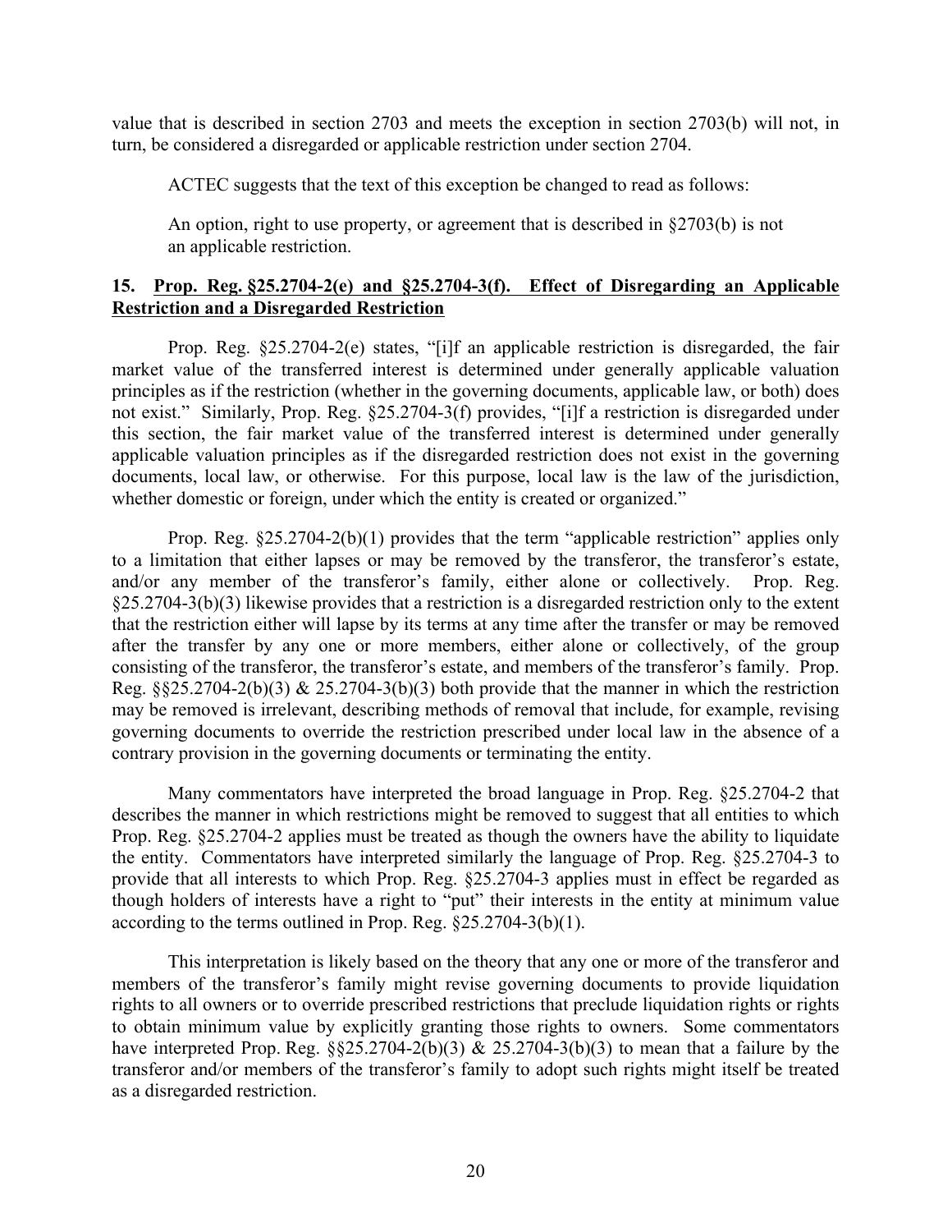value that is described in section 2703 and meets the exception in section 2703(b) will not, in turn, be considered a disregarded or applicable restriction under section 2704.

ACTEC suggests that the text of this exception be changed to read as follows:

An option, right to use property, or agreement that is described in  $\S2703(b)$  is not an applicable restriction.

# **15. Prop. Reg. §25.2704-2(e) and §25.2704-3(f). Effect of Disregarding an Applicable Restriction and a Disregarded Restriction**

Prop. Reg. §25.2704-2(e) states, "[i]f an applicable restriction is disregarded, the fair market value of the transferred interest is determined under generally applicable valuation principles as if the restriction (whether in the governing documents, applicable law, or both) does not exist." Similarly, Prop. Reg. §25.2704-3(f) provides, "[i]f a restriction is disregarded under this section, the fair market value of the transferred interest is determined under generally applicable valuation principles as if the disregarded restriction does not exist in the governing documents, local law, or otherwise. For this purpose, local law is the law of the jurisdiction, whether domestic or foreign, under which the entity is created or organized."

Prop. Reg. §25.2704-2(b)(1) provides that the term "applicable restriction" applies only to a limitation that either lapses or may be removed by the transferor, the transferor's estate, and/or any member of the transferor's family, either alone or collectively. Prop. Reg. §25.2704-3(b)(3) likewise provides that a restriction is a disregarded restriction only to the extent that the restriction either will lapse by its terms at any time after the transfer or may be removed after the transfer by any one or more members, either alone or collectively, of the group consisting of the transferor, the transferor's estate, and members of the transferor's family. Prop. Reg.  $\S$  $\S$ 25.2704-2(b)(3) & 25.2704-3(b)(3) both provide that the manner in which the restriction may be removed is irrelevant, describing methods of removal that include, for example, revising governing documents to override the restriction prescribed under local law in the absence of a contrary provision in the governing documents or terminating the entity.

Many commentators have interpreted the broad language in Prop. Reg. §25.2704-2 that describes the manner in which restrictions might be removed to suggest that all entities to which Prop. Reg. §25.2704-2 applies must be treated as though the owners have the ability to liquidate the entity. Commentators have interpreted similarly the language of Prop. Reg. §25.2704-3 to provide that all interests to which Prop. Reg. §25.2704-3 applies must in effect be regarded as though holders of interests have a right to "put" their interests in the entity at minimum value according to the terms outlined in Prop. Reg. §25.2704-3(b)(1).

This interpretation is likely based on the theory that any one or more of the transferor and members of the transferor's family might revise governing documents to provide liquidation rights to all owners or to override prescribed restrictions that preclude liquidation rights or rights to obtain minimum value by explicitly granting those rights to owners. Some commentators have interpreted Prop. Reg.  $\S$  $\S$ 25.2704-2(b)(3) & 25.2704-3(b)(3) to mean that a failure by the transferor and/or members of the transferor's family to adopt such rights might itself be treated as a disregarded restriction.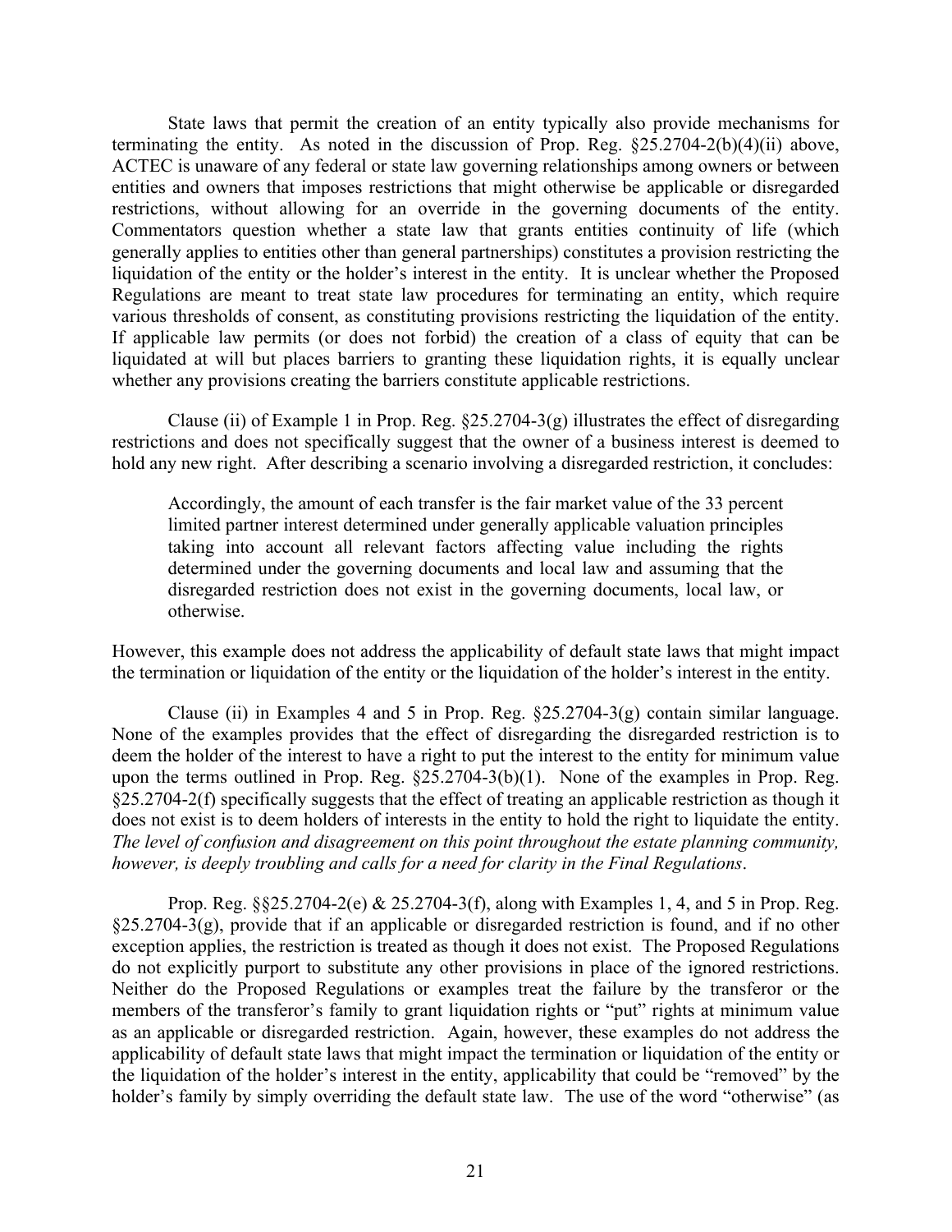State laws that permit the creation of an entity typically also provide mechanisms for terminating the entity. As noted in the discussion of Prop. Reg. §25.2704-2(b)(4)(ii) above, ACTEC is unaware of any federal or state law governing relationships among owners or between entities and owners that imposes restrictions that might otherwise be applicable or disregarded restrictions, without allowing for an override in the governing documents of the entity. Commentators question whether a state law that grants entities continuity of life (which generally applies to entities other than general partnerships) constitutes a provision restricting the liquidation of the entity or the holder's interest in the entity. It is unclear whether the Proposed Regulations are meant to treat state law procedures for terminating an entity, which require various thresholds of consent, as constituting provisions restricting the liquidation of the entity. If applicable law permits (or does not forbid) the creation of a class of equity that can be liquidated at will but places barriers to granting these liquidation rights, it is equally unclear whether any provisions creating the barriers constitute applicable restrictions.

Clause (ii) of Example 1 in Prop. Reg.  $\S25.2704-3(g)$  illustrates the effect of disregarding restrictions and does not specifically suggest that the owner of a business interest is deemed to hold any new right. After describing a scenario involving a disregarded restriction, it concludes:

Accordingly, the amount of each transfer is the fair market value of the 33 percent limited partner interest determined under generally applicable valuation principles taking into account all relevant factors affecting value including the rights determined under the governing documents and local law and assuming that the disregarded restriction does not exist in the governing documents, local law, or otherwise.

However, this example does not address the applicability of default state laws that might impact the termination or liquidation of the entity or the liquidation of the holder's interest in the entity.

Clause (ii) in Examples 4 and 5 in Prop. Reg.  $\S25.2704-3(g)$  contain similar language. None of the examples provides that the effect of disregarding the disregarded restriction is to deem the holder of the interest to have a right to put the interest to the entity for minimum value upon the terms outlined in Prop. Reg. §25.2704-3(b)(1). None of the examples in Prop. Reg. §25.2704-2(f) specifically suggests that the effect of treating an applicable restriction as though it does not exist is to deem holders of interests in the entity to hold the right to liquidate the entity. *The level of confusion and disagreement on this point throughout the estate planning community, however, is deeply troubling and calls for a need for clarity in the Final Regulations*.

Prop. Reg. §§25.2704-2(e) & 25.2704-3(f), along with Examples 1, 4, and 5 in Prop. Reg. §25.2704-3(g), provide that if an applicable or disregarded restriction is found, and if no other exception applies, the restriction is treated as though it does not exist. The Proposed Regulations do not explicitly purport to substitute any other provisions in place of the ignored restrictions. Neither do the Proposed Regulations or examples treat the failure by the transferor or the members of the transferor's family to grant liquidation rights or "put" rights at minimum value as an applicable or disregarded restriction. Again, however, these examples do not address the applicability of default state laws that might impact the termination or liquidation of the entity or the liquidation of the holder's interest in the entity, applicability that could be "removed" by the holder's family by simply overriding the default state law. The use of the word "otherwise" (as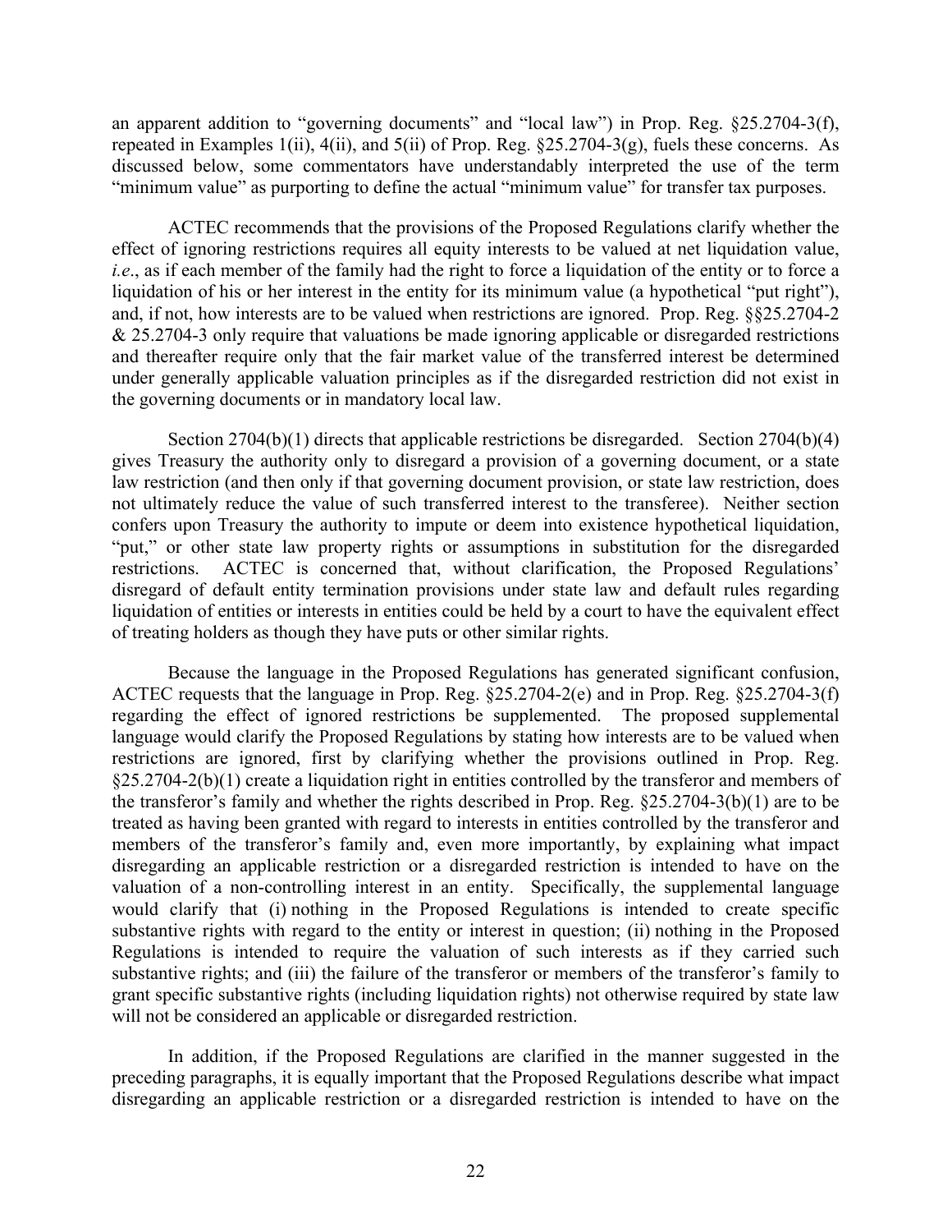an apparent addition to "governing documents" and "local law") in Prop. Reg. §25.2704-3(f), repeated in Examples 1(ii), 4(ii), and 5(ii) of Prop. Reg. §25.2704-3(g), fuels these concerns. As discussed below, some commentators have understandably interpreted the use of the term "minimum value" as purporting to define the actual "minimum value" for transfer tax purposes.

ACTEC recommends that the provisions of the Proposed Regulations clarify whether the effect of ignoring restrictions requires all equity interests to be valued at net liquidation value, *i.e.*, as if each member of the family had the right to force a liquidation of the entity or to force a liquidation of his or her interest in the entity for its minimum value (a hypothetical "put right"), and, if not, how interests are to be valued when restrictions are ignored. Prop. Reg. §§25.2704-2 & 25.2704-3 only require that valuations be made ignoring applicable or disregarded restrictions and thereafter require only that the fair market value of the transferred interest be determined under generally applicable valuation principles as if the disregarded restriction did not exist in the governing documents or in mandatory local law.

Section 2704(b)(1) directs that applicable restrictions be disregarded. Section 2704(b)(4) gives Treasury the authority only to disregard a provision of a governing document, or a state law restriction (and then only if that governing document provision, or state law restriction, does not ultimately reduce the value of such transferred interest to the transferee). Neither section confers upon Treasury the authority to impute or deem into existence hypothetical liquidation, "put," or other state law property rights or assumptions in substitution for the disregarded restrictions. ACTEC is concerned that, without clarification, the Proposed Regulations' disregard of default entity termination provisions under state law and default rules regarding liquidation of entities or interests in entities could be held by a court to have the equivalent effect of treating holders as though they have puts or other similar rights.

Because the language in the Proposed Regulations has generated significant confusion, ACTEC requests that the language in Prop. Reg. §25.2704-2(e) and in Prop. Reg. §25.2704-3(f) regarding the effect of ignored restrictions be supplemented. The proposed supplemental language would clarify the Proposed Regulations by stating how interests are to be valued when restrictions are ignored, first by clarifying whether the provisions outlined in Prop. Reg. §25.2704-2(b)(1) create a liquidation right in entities controlled by the transferor and members of the transferor's family and whether the rights described in Prop. Reg. §25.2704-3(b)(1) are to be treated as having been granted with regard to interests in entities controlled by the transferor and members of the transferor's family and, even more importantly, by explaining what impact disregarding an applicable restriction or a disregarded restriction is intended to have on the valuation of a non-controlling interest in an entity. Specifically, the supplemental language would clarify that (i) nothing in the Proposed Regulations is intended to create specific substantive rights with regard to the entity or interest in question; (ii) nothing in the Proposed Regulations is intended to require the valuation of such interests as if they carried such substantive rights; and (iii) the failure of the transferor or members of the transferor's family to grant specific substantive rights (including liquidation rights) not otherwise required by state law will not be considered an applicable or disregarded restriction.

In addition, if the Proposed Regulations are clarified in the manner suggested in the preceding paragraphs, it is equally important that the Proposed Regulations describe what impact disregarding an applicable restriction or a disregarded restriction is intended to have on the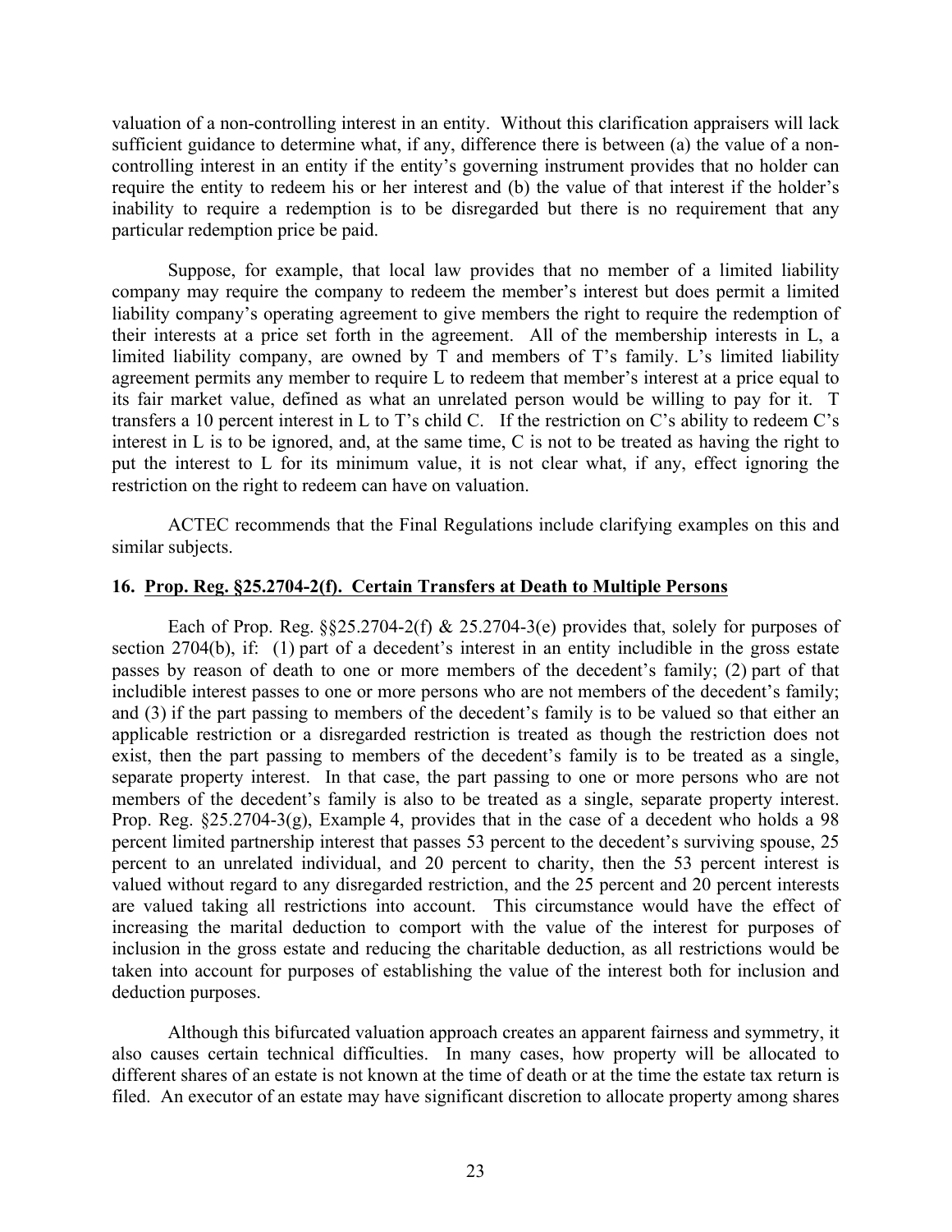valuation of a non-controlling interest in an entity. Without this clarification appraisers will lack sufficient guidance to determine what, if any, difference there is between (a) the value of a noncontrolling interest in an entity if the entity's governing instrument provides that no holder can require the entity to redeem his or her interest and (b) the value of that interest if the holder's inability to require a redemption is to be disregarded but there is no requirement that any particular redemption price be paid.

Suppose, for example, that local law provides that no member of a limited liability company may require the company to redeem the member's interest but does permit a limited liability company's operating agreement to give members the right to require the redemption of their interests at a price set forth in the agreement. All of the membership interests in L, a limited liability company, are owned by T and members of T's family. L's limited liability agreement permits any member to require L to redeem that member's interest at a price equal to its fair market value, defined as what an unrelated person would be willing to pay for it. T transfers a 10 percent interest in L to T's child C. If the restriction on C's ability to redeem C's interest in L is to be ignored, and, at the same time, C is not to be treated as having the right to put the interest to L for its minimum value, it is not clear what, if any, effect ignoring the restriction on the right to redeem can have on valuation.

ACTEC recommends that the Final Regulations include clarifying examples on this and similar subjects.

# **16. Prop. Reg. §25.2704-2(f). Certain Transfers at Death to Multiple Persons**

Each of Prop. Reg.  $\S$  $\S$ 25.2704-2(f) & 25.2704-3(e) provides that, solely for purposes of section 2704(b), if: (1) part of a decedent's interest in an entity includible in the gross estate passes by reason of death to one or more members of the decedent's family; (2) part of that includible interest passes to one or more persons who are not members of the decedent's family; and (3) if the part passing to members of the decedent's family is to be valued so that either an applicable restriction or a disregarded restriction is treated as though the restriction does not exist, then the part passing to members of the decedent's family is to be treated as a single, separate property interest. In that case, the part passing to one or more persons who are not members of the decedent's family is also to be treated as a single, separate property interest. Prop. Reg. §25.2704-3(g), Example 4, provides that in the case of a decedent who holds a 98 percent limited partnership interest that passes 53 percent to the decedent's surviving spouse, 25 percent to an unrelated individual, and 20 percent to charity, then the 53 percent interest is valued without regard to any disregarded restriction, and the 25 percent and 20 percent interests are valued taking all restrictions into account. This circumstance would have the effect of increasing the marital deduction to comport with the value of the interest for purposes of inclusion in the gross estate and reducing the charitable deduction, as all restrictions would be taken into account for purposes of establishing the value of the interest both for inclusion and deduction purposes.

Although this bifurcated valuation approach creates an apparent fairness and symmetry, it also causes certain technical difficulties. In many cases, how property will be allocated to different shares of an estate is not known at the time of death or at the time the estate tax return is filed. An executor of an estate may have significant discretion to allocate property among shares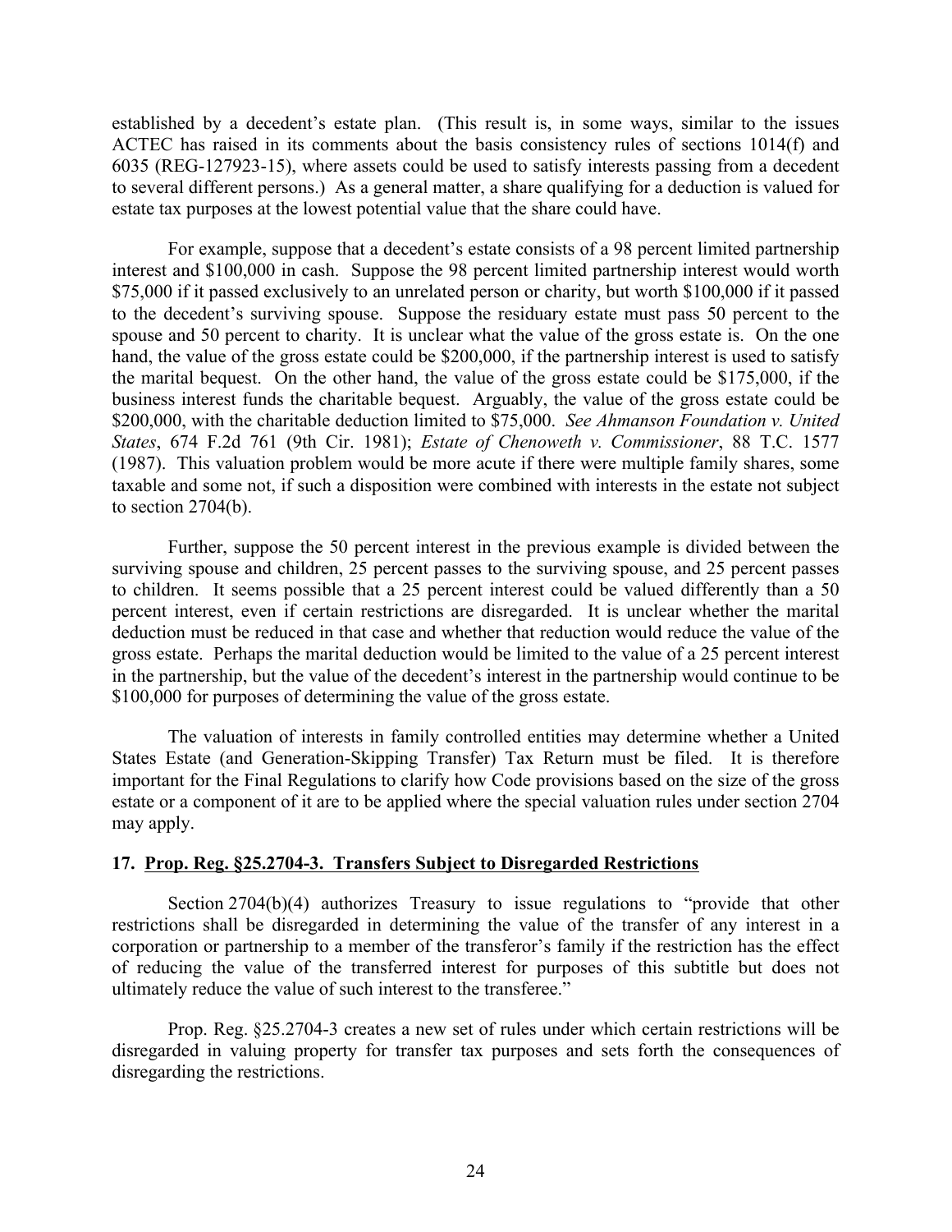established by a decedent's estate plan. (This result is, in some ways, similar to the issues ACTEC has raised in its comments about the basis consistency rules of sections 1014(f) and 6035 (REG-127923-15), where assets could be used to satisfy interests passing from a decedent to several different persons.) As a general matter, a share qualifying for a deduction is valued for estate tax purposes at the lowest potential value that the share could have.

For example, suppose that a decedent's estate consists of a 98 percent limited partnership interest and \$100,000 in cash. Suppose the 98 percent limited partnership interest would worth \$75,000 if it passed exclusively to an unrelated person or charity, but worth \$100,000 if it passed to the decedent's surviving spouse. Suppose the residuary estate must pass 50 percent to the spouse and 50 percent to charity. It is unclear what the value of the gross estate is. On the one hand, the value of the gross estate could be \$200,000, if the partnership interest is used to satisfy the marital bequest. On the other hand, the value of the gross estate could be \$175,000, if the business interest funds the charitable bequest. Arguably, the value of the gross estate could be \$200,000, with the charitable deduction limited to \$75,000. *See Ahmanson Foundation v. United States*, 674 F.2d 761 (9th Cir. 1981); *Estate of Chenoweth v. Commissioner*, 88 T.C. 1577 (1987). This valuation problem would be more acute if there were multiple family shares, some taxable and some not, if such a disposition were combined with interests in the estate not subject to section 2704(b).

Further, suppose the 50 percent interest in the previous example is divided between the surviving spouse and children, 25 percent passes to the surviving spouse, and 25 percent passes to children. It seems possible that a 25 percent interest could be valued differently than a 50 percent interest, even if certain restrictions are disregarded. It is unclear whether the marital deduction must be reduced in that case and whether that reduction would reduce the value of the gross estate. Perhaps the marital deduction would be limited to the value of a 25 percent interest in the partnership, but the value of the decedent's interest in the partnership would continue to be \$100,000 for purposes of determining the value of the gross estate.

The valuation of interests in family controlled entities may determine whether a United States Estate (and Generation-Skipping Transfer) Tax Return must be filed. It is therefore important for the Final Regulations to clarify how Code provisions based on the size of the gross estate or a component of it are to be applied where the special valuation rules under section 2704 may apply.

# **17. Prop. Reg. §25.2704-3. Transfers Subject to Disregarded Restrictions**

Section 2704(b)(4) authorizes Treasury to issue regulations to "provide that other restrictions shall be disregarded in determining the value of the transfer of any interest in a corporation or partnership to a member of the transferor's family if the restriction has the effect of reducing the value of the transferred interest for purposes of this subtitle but does not ultimately reduce the value of such interest to the transferee."

Prop. Reg. §25.2704-3 creates a new set of rules under which certain restrictions will be disregarded in valuing property for transfer tax purposes and sets forth the consequences of disregarding the restrictions.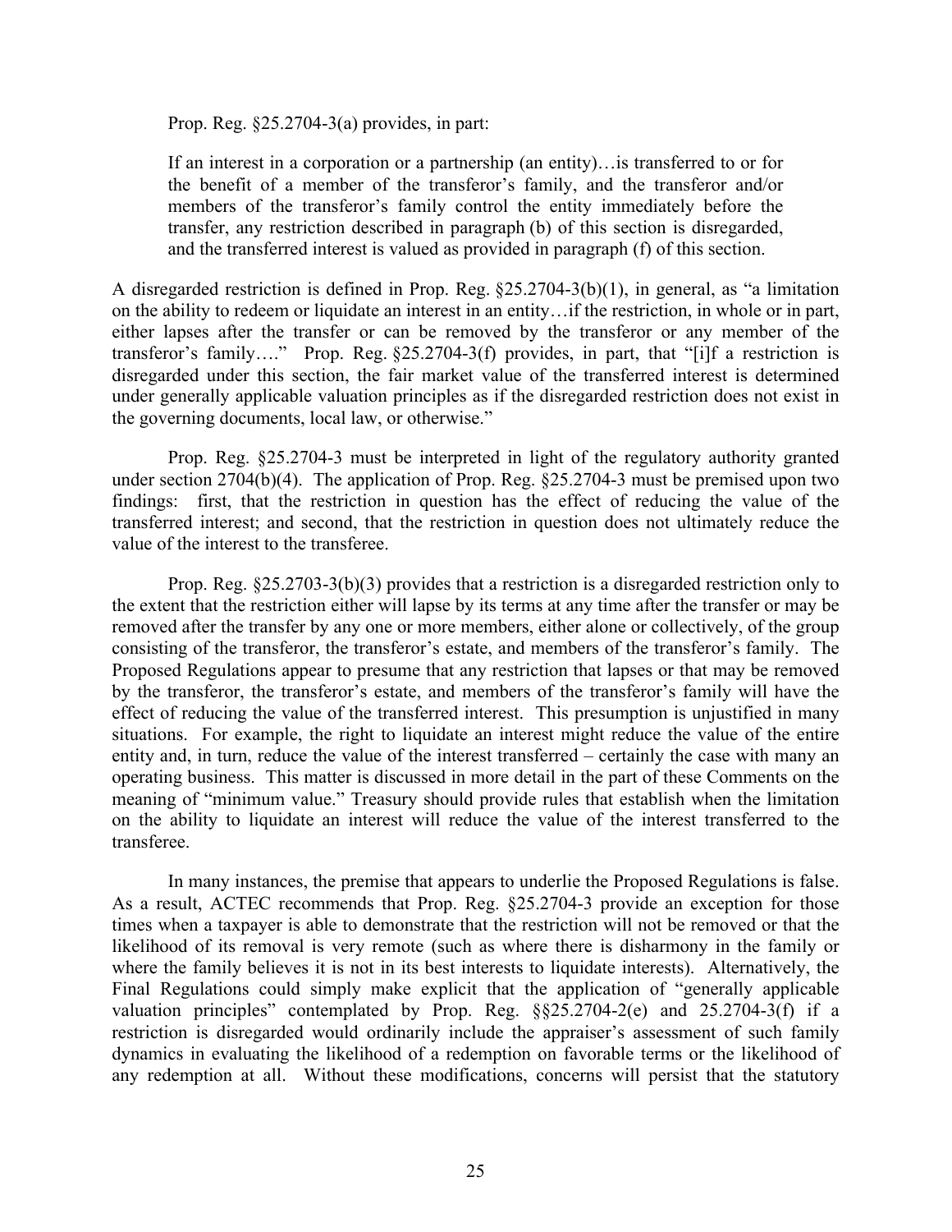Prop. Reg. §25.2704-3(a) provides, in part:

If an interest in a corporation or a partnership (an entity)…is transferred to or for the benefit of a member of the transferor's family, and the transferor and/or members of the transferor's family control the entity immediately before the transfer, any restriction described in paragraph (b) of this section is disregarded, and the transferred interest is valued as provided in paragraph (f) of this section.

A disregarded restriction is defined in Prop. Reg. §25.2704-3(b)(1), in general, as "a limitation on the ability to redeem or liquidate an interest in an entity…if the restriction, in whole or in part, either lapses after the transfer or can be removed by the transferor or any member of the transferor's family…." Prop. Reg. §25.2704-3(f) provides, in part, that "[i]f a restriction is disregarded under this section, the fair market value of the transferred interest is determined under generally applicable valuation principles as if the disregarded restriction does not exist in the governing documents, local law, or otherwise."

Prop. Reg. §25.2704-3 must be interpreted in light of the regulatory authority granted under section 2704(b)(4). The application of Prop. Reg. §25.2704-3 must be premised upon two findings: first, that the restriction in question has the effect of reducing the value of the transferred interest; and second, that the restriction in question does not ultimately reduce the value of the interest to the transferee.

Prop. Reg. §25.2703-3(b)(3) provides that a restriction is a disregarded restriction only to the extent that the restriction either will lapse by its terms at any time after the transfer or may be removed after the transfer by any one or more members, either alone or collectively, of the group consisting of the transferor, the transferor's estate, and members of the transferor's family. The Proposed Regulations appear to presume that any restriction that lapses or that may be removed by the transferor, the transferor's estate, and members of the transferor's family will have the effect of reducing the value of the transferred interest. This presumption is unjustified in many situations. For example, the right to liquidate an interest might reduce the value of the entire entity and, in turn, reduce the value of the interest transferred – certainly the case with many an operating business. This matter is discussed in more detail in the part of these Comments on the meaning of "minimum value." Treasury should provide rules that establish when the limitation on the ability to liquidate an interest will reduce the value of the interest transferred to the transferee.

In many instances, the premise that appears to underlie the Proposed Regulations is false. As a result, ACTEC recommends that Prop. Reg. §25.2704-3 provide an exception for those times when a taxpayer is able to demonstrate that the restriction will not be removed or that the likelihood of its removal is very remote (such as where there is disharmony in the family or where the family believes it is not in its best interests to liquidate interests). Alternatively, the Final Regulations could simply make explicit that the application of "generally applicable" valuation principles" contemplated by Prop. Reg. §§25.2704-2(e) and 25.2704-3(f) if a restriction is disregarded would ordinarily include the appraiser's assessment of such family dynamics in evaluating the likelihood of a redemption on favorable terms or the likelihood of any redemption at all. Without these modifications, concerns will persist that the statutory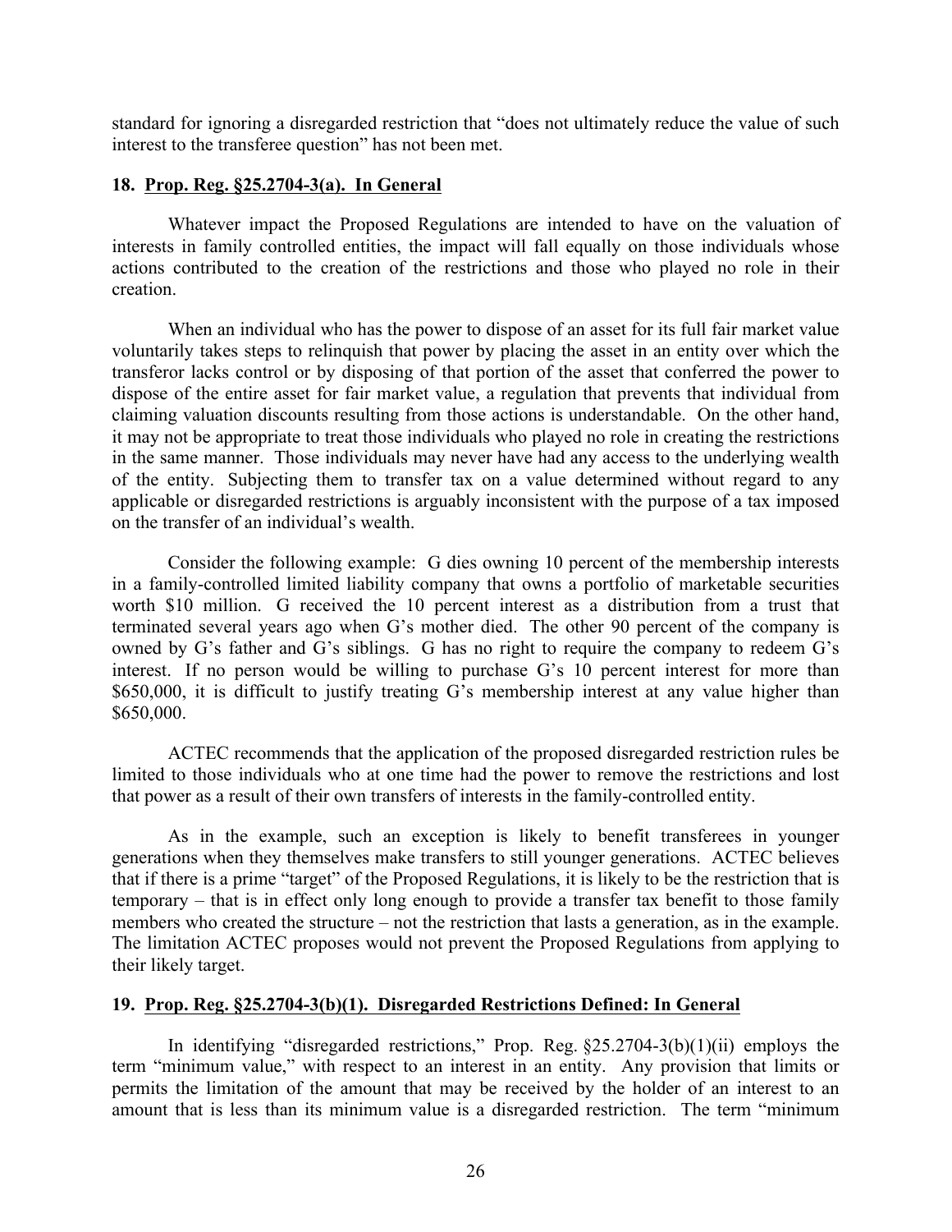standard for ignoring a disregarded restriction that "does not ultimately reduce the value of such interest to the transferee question" has not been met.

# **18. Prop. Reg. §25.2704-3(a). In General**

Whatever impact the Proposed Regulations are intended to have on the valuation of interests in family controlled entities, the impact will fall equally on those individuals whose actions contributed to the creation of the restrictions and those who played no role in their creation.

When an individual who has the power to dispose of an asset for its full fair market value voluntarily takes steps to relinquish that power by placing the asset in an entity over which the transferor lacks control or by disposing of that portion of the asset that conferred the power to dispose of the entire asset for fair market value, a regulation that prevents that individual from claiming valuation discounts resulting from those actions is understandable. On the other hand, it may not be appropriate to treat those individuals who played no role in creating the restrictions in the same manner. Those individuals may never have had any access to the underlying wealth of the entity. Subjecting them to transfer tax on a value determined without regard to any applicable or disregarded restrictions is arguably inconsistent with the purpose of a tax imposed on the transfer of an individual's wealth.

Consider the following example: G dies owning 10 percent of the membership interests in a family-controlled limited liability company that owns a portfolio of marketable securities worth \$10 million. G received the 10 percent interest as a distribution from a trust that terminated several years ago when G's mother died. The other 90 percent of the company is owned by G's father and G's siblings. G has no right to require the company to redeem G's interest. If no person would be willing to purchase G's 10 percent interest for more than \$650,000, it is difficult to justify treating G's membership interest at any value higher than \$650,000.

ACTEC recommends that the application of the proposed disregarded restriction rules be limited to those individuals who at one time had the power to remove the restrictions and lost that power as a result of their own transfers of interests in the family-controlled entity.

As in the example, such an exception is likely to benefit transferees in younger generations when they themselves make transfers to still younger generations. ACTEC believes that if there is a prime "target" of the Proposed Regulations, it is likely to be the restriction that is temporary – that is in effect only long enough to provide a transfer tax benefit to those family members who created the structure – not the restriction that lasts a generation, as in the example. The limitation ACTEC proposes would not prevent the Proposed Regulations from applying to their likely target.

# **19. Prop. Reg. §25.2704-3(b)(1). Disregarded Restrictions Defined: In General**

In identifying "disregarded restrictions," Prop. Reg. §25.2704-3(b)(1)(ii) employs the term "minimum value," with respect to an interest in an entity. Any provision that limits or permits the limitation of the amount that may be received by the holder of an interest to an amount that is less than its minimum value is a disregarded restriction. The term "minimum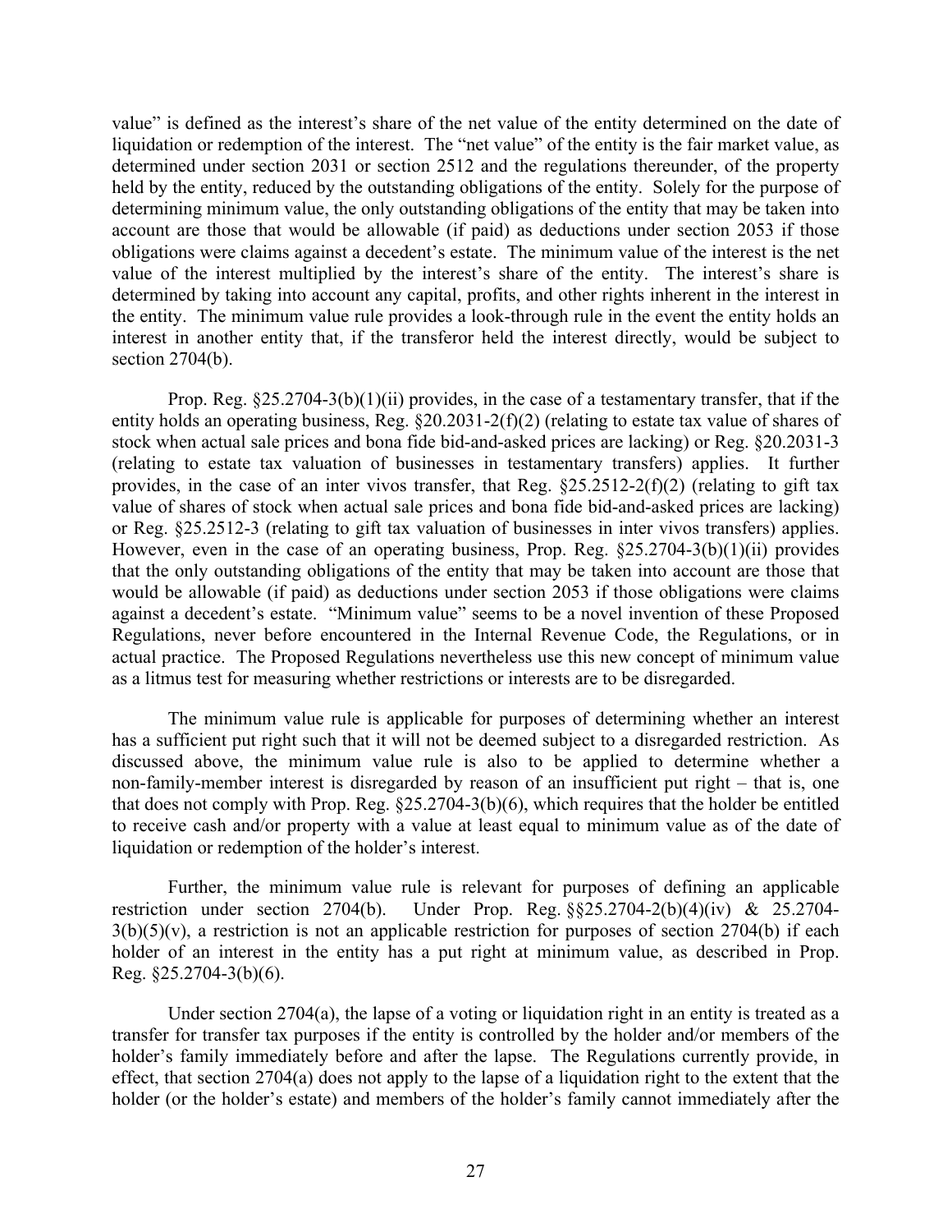value" is defined as the interest's share of the net value of the entity determined on the date of liquidation or redemption of the interest. The "net value" of the entity is the fair market value, as determined under section 2031 or section 2512 and the regulations thereunder, of the property held by the entity, reduced by the outstanding obligations of the entity. Solely for the purpose of determining minimum value, the only outstanding obligations of the entity that may be taken into account are those that would be allowable (if paid) as deductions under section 2053 if those obligations were claims against a decedent's estate. The minimum value of the interest is the net value of the interest multiplied by the interest's share of the entity. The interest's share is determined by taking into account any capital, profits, and other rights inherent in the interest in the entity. The minimum value rule provides a look-through rule in the event the entity holds an interest in another entity that, if the transferor held the interest directly, would be subject to section 2704(b).

Prop. Reg. §25.2704-3(b)(1)(ii) provides, in the case of a testamentary transfer, that if the entity holds an operating business, Reg. §20.2031-2(f)(2) (relating to estate tax value of shares of stock when actual sale prices and bona fide bid-and-asked prices are lacking) or Reg. §20.2031-3 (relating to estate tax valuation of businesses in testamentary transfers) applies. It further provides, in the case of an inter vivos transfer, that Reg. §25.2512-2(f)(2) (relating to gift tax value of shares of stock when actual sale prices and bona fide bid-and-asked prices are lacking) or Reg. §25.2512-3 (relating to gift tax valuation of businesses in inter vivos transfers) applies. However, even in the case of an operating business, Prop. Reg. §25.2704-3(b)(1)(ii) provides that the only outstanding obligations of the entity that may be taken into account are those that would be allowable (if paid) as deductions under section 2053 if those obligations were claims against a decedent's estate. "Minimum value" seems to be a novel invention of these Proposed Regulations, never before encountered in the Internal Revenue Code, the Regulations, or in actual practice. The Proposed Regulations nevertheless use this new concept of minimum value as a litmus test for measuring whether restrictions or interests are to be disregarded.

The minimum value rule is applicable for purposes of determining whether an interest has a sufficient put right such that it will not be deemed subject to a disregarded restriction. As discussed above, the minimum value rule is also to be applied to determine whether a non-family-member interest is disregarded by reason of an insufficient put right – that is, one that does not comply with Prop. Reg. §25.2704-3(b)(6), which requires that the holder be entitled to receive cash and/or property with a value at least equal to minimum value as of the date of liquidation or redemption of the holder's interest.

Further, the minimum value rule is relevant for purposes of defining an applicable restriction under section 2704(b). Under Prop. Reg. §§25.2704-2(b)(4)(iv) & 25.2704-  $3(b)(5)(v)$ , a restriction is not an applicable restriction for purposes of section 2704(b) if each holder of an interest in the entity has a put right at minimum value, as described in Prop. Reg. §25.2704-3(b)(6).

Under section  $2704(a)$ , the lapse of a voting or liquidation right in an entity is treated as a transfer for transfer tax purposes if the entity is controlled by the holder and/or members of the holder's family immediately before and after the lapse. The Regulations currently provide, in effect, that section 2704(a) does not apply to the lapse of a liquidation right to the extent that the holder (or the holder's estate) and members of the holder's family cannot immediately after the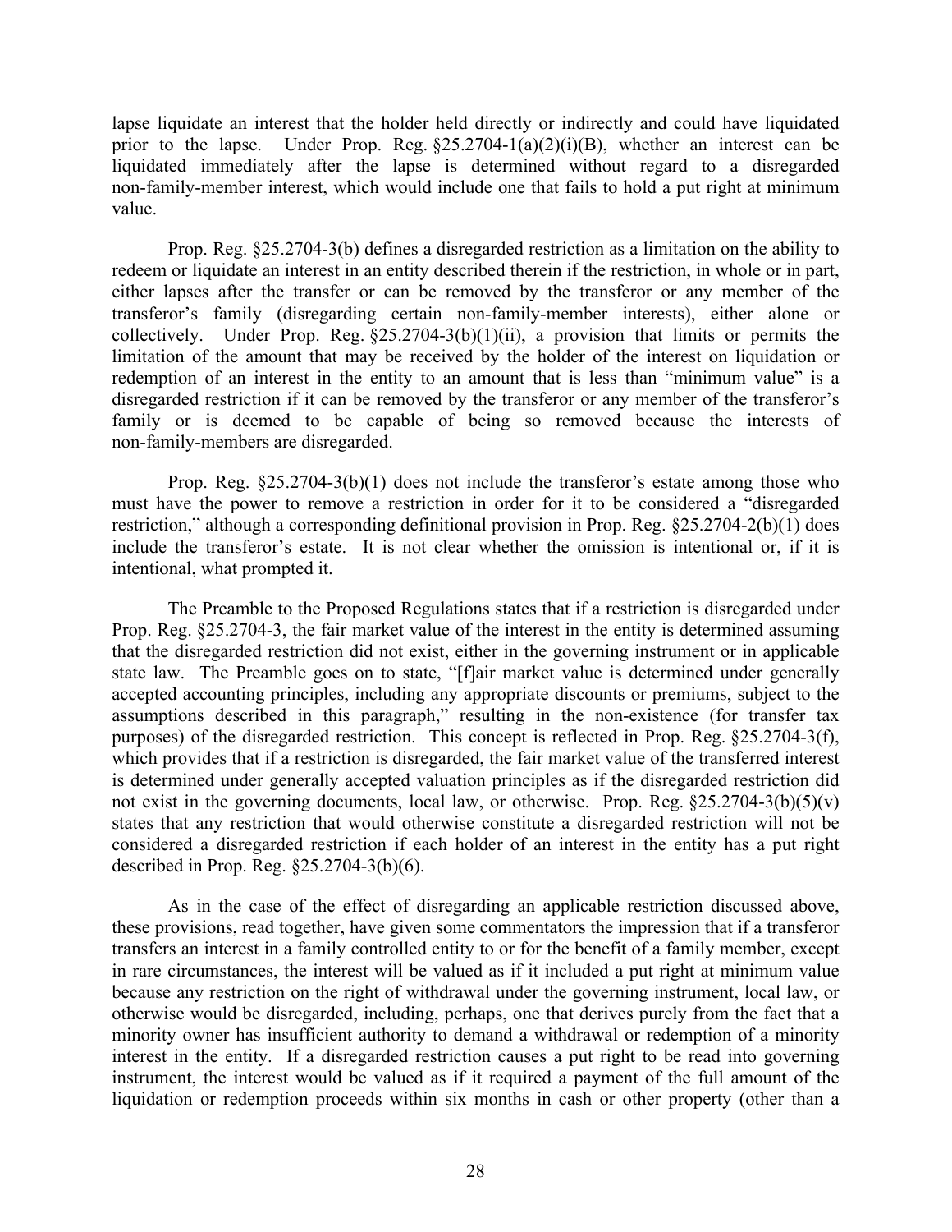lapse liquidate an interest that the holder held directly or indirectly and could have liquidated prior to the lapse. Under Prop. Reg.  $\S25.2704-1(a)(2)(i)(B)$ , whether an interest can be liquidated immediately after the lapse is determined without regard to a disregarded non-family-member interest, which would include one that fails to hold a put right at minimum value.

Prop. Reg. §25.2704-3(b) defines a disregarded restriction as a limitation on the ability to redeem or liquidate an interest in an entity described therein if the restriction, in whole or in part, either lapses after the transfer or can be removed by the transferor or any member of the transferor's family (disregarding certain non-family-member interests), either alone or collectively. Under Prop. Reg.  $\S 25.2704-3(b)(1)(ii)$ , a provision that limits or permits the limitation of the amount that may be received by the holder of the interest on liquidation or redemption of an interest in the entity to an amount that is less than "minimum value" is a disregarded restriction if it can be removed by the transferor or any member of the transferor's family or is deemed to be capable of being so removed because the interests of non-family-members are disregarded.

Prop. Reg. §25.2704-3(b)(1) does not include the transferor's estate among those who must have the power to remove a restriction in order for it to be considered a "disregarded restriction," although a corresponding definitional provision in Prop. Reg. §25.2704-2(b)(1) does include the transferor's estate. It is not clear whether the omission is intentional or, if it is intentional, what prompted it.

The Preamble to the Proposed Regulations states that if a restriction is disregarded under Prop. Reg. §25.2704-3, the fair market value of the interest in the entity is determined assuming that the disregarded restriction did not exist, either in the governing instrument or in applicable state law. The Preamble goes on to state, "[f]air market value is determined under generally accepted accounting principles, including any appropriate discounts or premiums, subject to the assumptions described in this paragraph," resulting in the non-existence (for transfer tax purposes) of the disregarded restriction. This concept is reflected in Prop. Reg. §25.2704-3(f), which provides that if a restriction is disregarded, the fair market value of the transferred interest is determined under generally accepted valuation principles as if the disregarded restriction did not exist in the governing documents, local law, or otherwise. Prop. Reg.  $\S 25.2704-3(b)(5)(v)$ states that any restriction that would otherwise constitute a disregarded restriction will not be considered a disregarded restriction if each holder of an interest in the entity has a put right described in Prop. Reg. §25.2704-3(b)(6).

As in the case of the effect of disregarding an applicable restriction discussed above, these provisions, read together, have given some commentators the impression that if a transferor transfers an interest in a family controlled entity to or for the benefit of a family member, except in rare circumstances, the interest will be valued as if it included a put right at minimum value because any restriction on the right of withdrawal under the governing instrument, local law, or otherwise would be disregarded, including, perhaps, one that derives purely from the fact that a minority owner has insufficient authority to demand a withdrawal or redemption of a minority interest in the entity. If a disregarded restriction causes a put right to be read into governing instrument, the interest would be valued as if it required a payment of the full amount of the liquidation or redemption proceeds within six months in cash or other property (other than a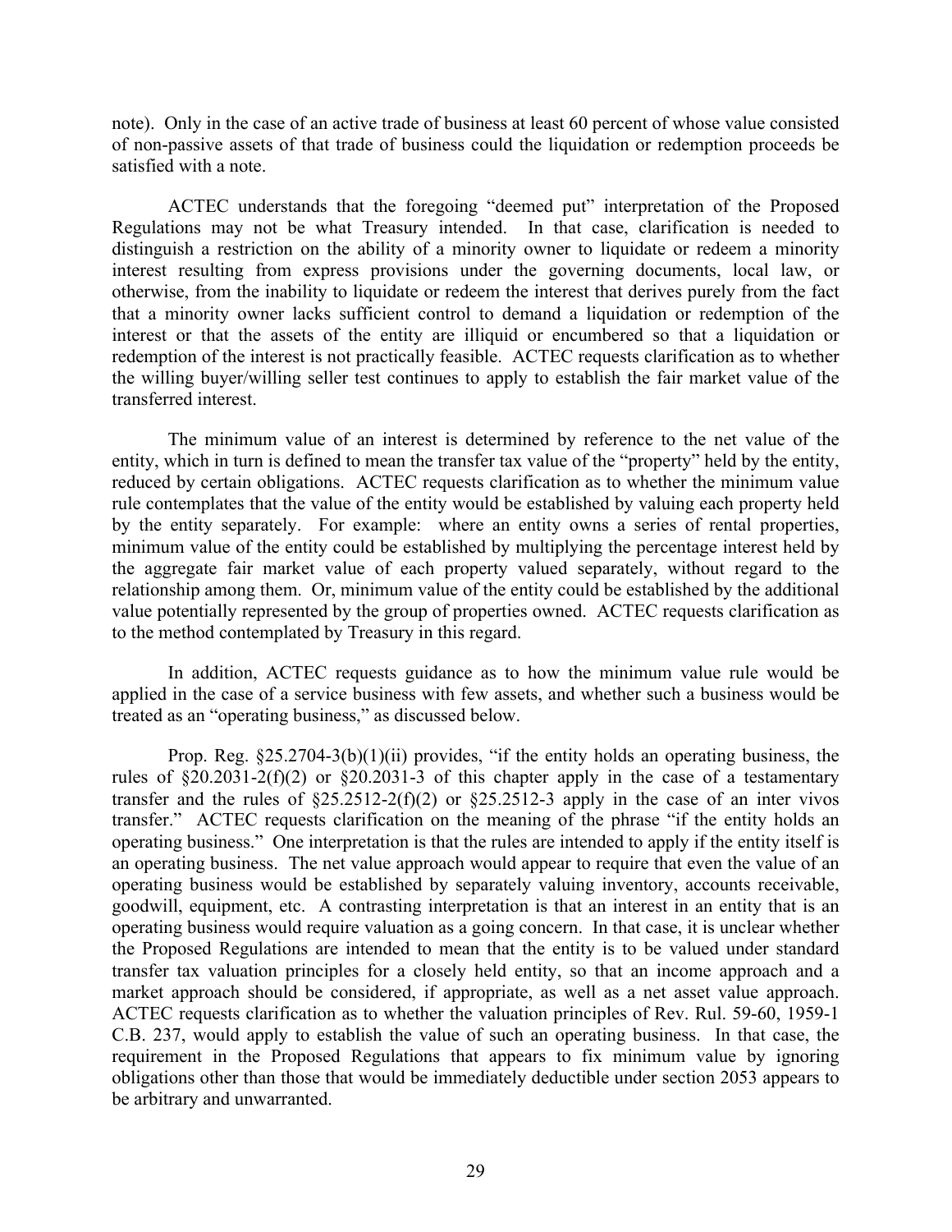note). Only in the case of an active trade of business at least 60 percent of whose value consisted of non-passive assets of that trade of business could the liquidation or redemption proceeds be satisfied with a note.

ACTEC understands that the foregoing "deemed put" interpretation of the Proposed Regulations may not be what Treasury intended. In that case, clarification is needed to distinguish a restriction on the ability of a minority owner to liquidate or redeem a minority interest resulting from express provisions under the governing documents, local law, or otherwise, from the inability to liquidate or redeem the interest that derives purely from the fact that a minority owner lacks sufficient control to demand a liquidation or redemption of the interest or that the assets of the entity are illiquid or encumbered so that a liquidation or redemption of the interest is not practically feasible. ACTEC requests clarification as to whether the willing buyer/willing seller test continues to apply to establish the fair market value of the transferred interest.

The minimum value of an interest is determined by reference to the net value of the entity, which in turn is defined to mean the transfer tax value of the "property" held by the entity, reduced by certain obligations. ACTEC requests clarification as to whether the minimum value rule contemplates that the value of the entity would be established by valuing each property held by the entity separately. For example: where an entity owns a series of rental properties, minimum value of the entity could be established by multiplying the percentage interest held by the aggregate fair market value of each property valued separately, without regard to the relationship among them. Or, minimum value of the entity could be established by the additional value potentially represented by the group of properties owned. ACTEC requests clarification as to the method contemplated by Treasury in this regard.

In addition, ACTEC requests guidance as to how the minimum value rule would be applied in the case of a service business with few assets, and whether such a business would be treated as an "operating business," as discussed below.

Prop. Reg.  $\S 25.2704-3(b)(1)(ii)$  provides, "if the entity holds an operating business, the rules of  $\S 20.2031-2(f)(2)$  or  $\S 20.2031-3$  of this chapter apply in the case of a testamentary transfer and the rules of  $\S25.2512-2(f)(2)$  or  $\S25.2512-3$  apply in the case of an inter vivos transfer." ACTEC requests clarification on the meaning of the phrase "if the entity holds an operating business." One interpretation is that the rules are intended to apply if the entity itself is an operating business. The net value approach would appear to require that even the value of an operating business would be established by separately valuing inventory, accounts receivable, goodwill, equipment, etc. A contrasting interpretation is that an interest in an entity that is an operating business would require valuation as a going concern. In that case, it is unclear whether the Proposed Regulations are intended to mean that the entity is to be valued under standard transfer tax valuation principles for a closely held entity, so that an income approach and a market approach should be considered, if appropriate, as well as a net asset value approach. ACTEC requests clarification as to whether the valuation principles of Rev. Rul. 59-60, 1959-1 C.B. 237, would apply to establish the value of such an operating business. In that case, the requirement in the Proposed Regulations that appears to fix minimum value by ignoring obligations other than those that would be immediately deductible under section 2053 appears to be arbitrary and unwarranted.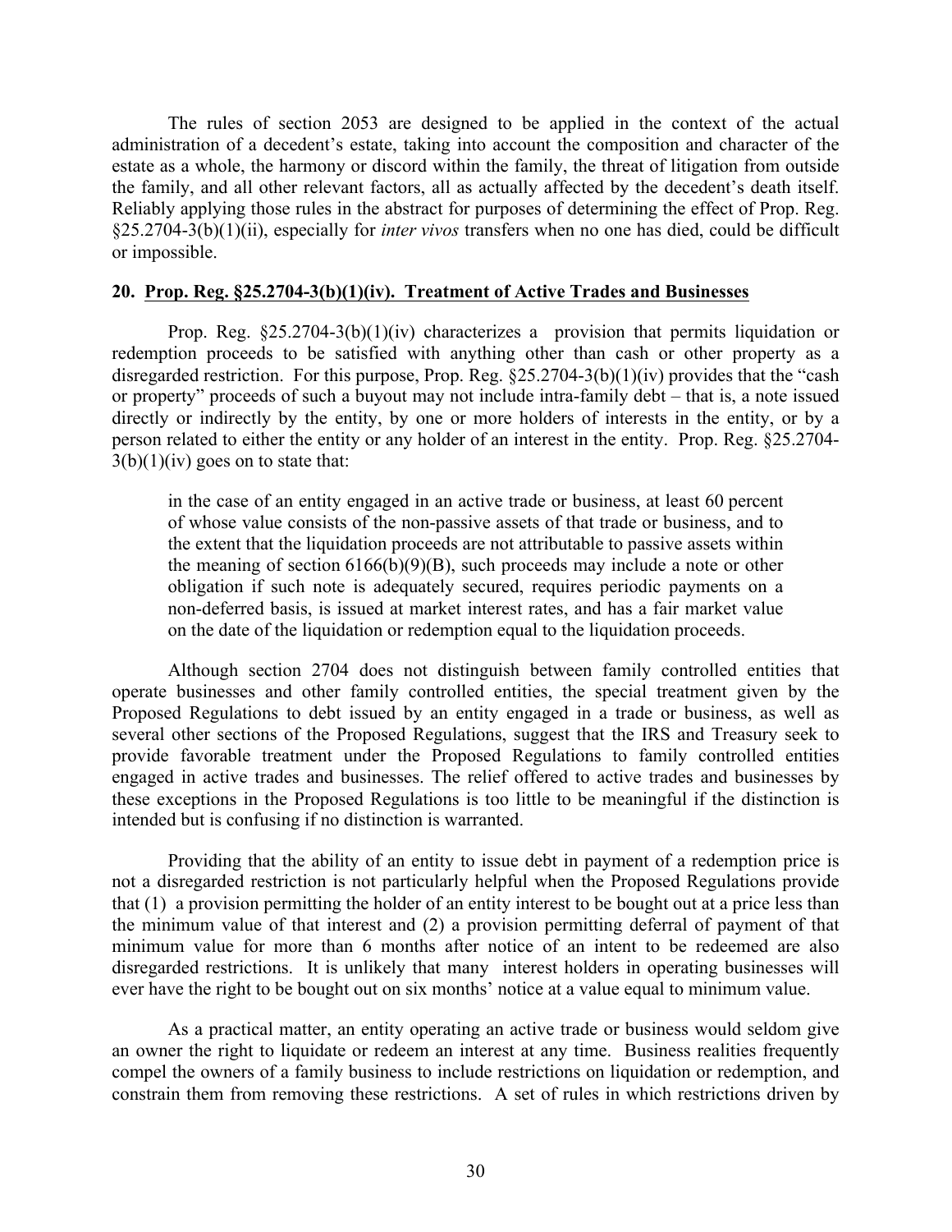The rules of section 2053 are designed to be applied in the context of the actual administration of a decedent's estate, taking into account the composition and character of the estate as a whole, the harmony or discord within the family, the threat of litigation from outside the family, and all other relevant factors, all as actually affected by the decedent's death itself. Reliably applying those rules in the abstract for purposes of determining the effect of Prop. Reg. §25.2704-3(b)(1)(ii), especially for *inter vivos* transfers when no one has died, could be difficult or impossible.

### **20. Prop. Reg. §25.2704-3(b)(1)(iv). Treatment of Active Trades and Businesses**

Prop. Reg.  $\S25.2704-3(b)(1)(iv)$  characterizes a provision that permits liquidation or redemption proceeds to be satisfied with anything other than cash or other property as a disregarded restriction. For this purpose, Prop. Reg. §25.2704-3(b)(1)(iv) provides that the "cash or property" proceeds of such a buyout may not include intra-family debt – that is, a note issued directly or indirectly by the entity, by one or more holders of interests in the entity, or by a person related to either the entity or any holder of an interest in the entity. Prop. Reg. §25.2704-  $3(b)(1)(iv)$  goes on to state that:

in the case of an entity engaged in an active trade or business, at least 60 percent of whose value consists of the non-passive assets of that trade or business, and to the extent that the liquidation proceeds are not attributable to passive assets within the meaning of section  $6166(b)(9)(B)$ , such proceeds may include a note or other obligation if such note is adequately secured, requires periodic payments on a non-deferred basis, is issued at market interest rates, and has a fair market value on the date of the liquidation or redemption equal to the liquidation proceeds.

Although section 2704 does not distinguish between family controlled entities that operate businesses and other family controlled entities, the special treatment given by the Proposed Regulations to debt issued by an entity engaged in a trade or business, as well as several other sections of the Proposed Regulations, suggest that the IRS and Treasury seek to provide favorable treatment under the Proposed Regulations to family controlled entities engaged in active trades and businesses. The relief offered to active trades and businesses by these exceptions in the Proposed Regulations is too little to be meaningful if the distinction is intended but is confusing if no distinction is warranted.

Providing that the ability of an entity to issue debt in payment of a redemption price is not a disregarded restriction is not particularly helpful when the Proposed Regulations provide that (1) a provision permitting the holder of an entity interest to be bought out at a price less than the minimum value of that interest and (2) a provision permitting deferral of payment of that minimum value for more than 6 months after notice of an intent to be redeemed are also disregarded restrictions. It is unlikely that many interest holders in operating businesses will ever have the right to be bought out on six months' notice at a value equal to minimum value.

As a practical matter, an entity operating an active trade or business would seldom give an owner the right to liquidate or redeem an interest at any time. Business realities frequently compel the owners of a family business to include restrictions on liquidation or redemption, and constrain them from removing these restrictions. A set of rules in which restrictions driven by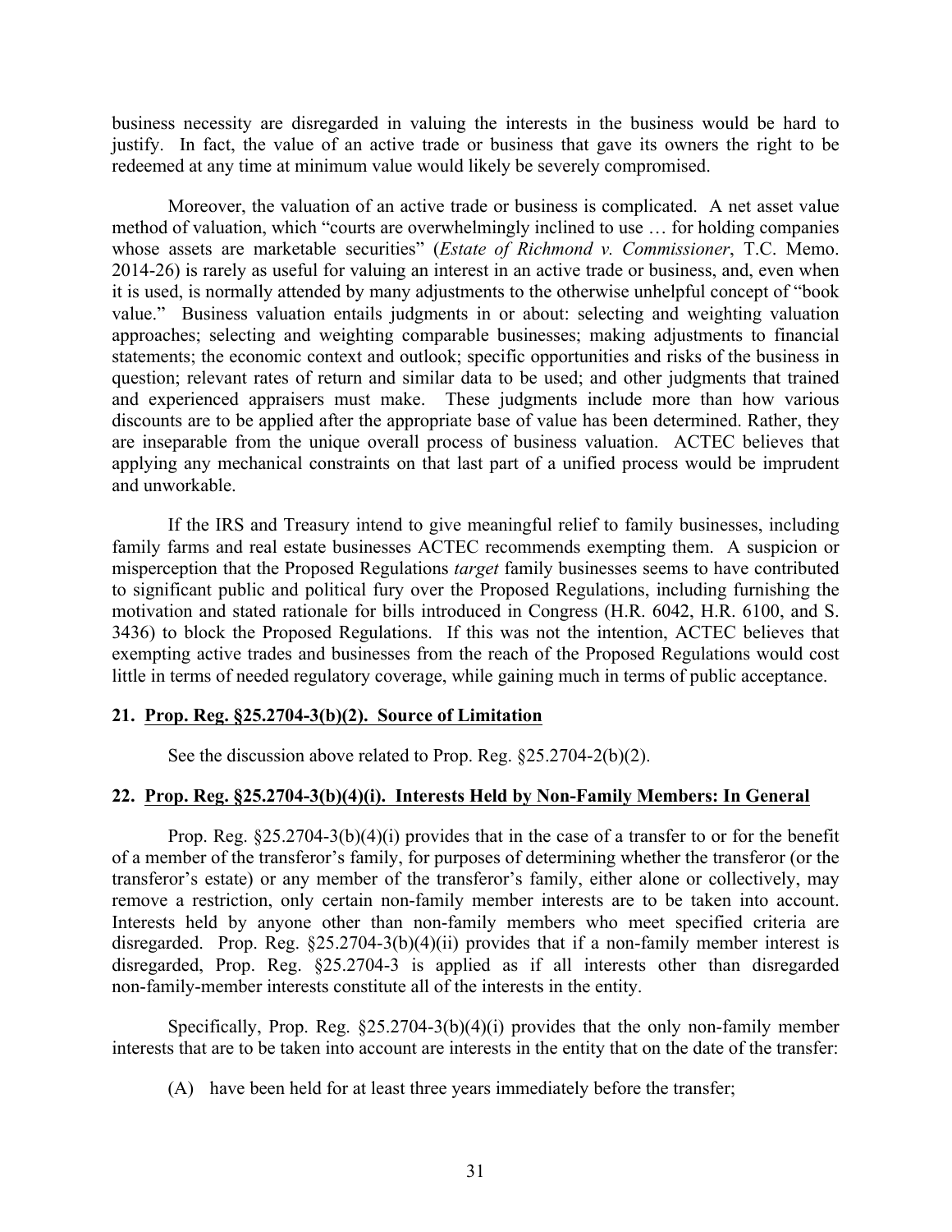business necessity are disregarded in valuing the interests in the business would be hard to justify. In fact, the value of an active trade or business that gave its owners the right to be redeemed at any time at minimum value would likely be severely compromised.

Moreover, the valuation of an active trade or business is complicated. A net asset value method of valuation, which "courts are overwhelmingly inclined to use … for holding companies whose assets are marketable securities" (*Estate of Richmond v. Commissioner*, T.C. Memo. 2014-26) is rarely as useful for valuing an interest in an active trade or business, and, even when it is used, is normally attended by many adjustments to the otherwise unhelpful concept of "book value." Business valuation entails judgments in or about: selecting and weighting valuation approaches; selecting and weighting comparable businesses; making adjustments to financial statements; the economic context and outlook; specific opportunities and risks of the business in question; relevant rates of return and similar data to be used; and other judgments that trained and experienced appraisers must make. These judgments include more than how various discounts are to be applied after the appropriate base of value has been determined. Rather, they are inseparable from the unique overall process of business valuation. ACTEC believes that applying any mechanical constraints on that last part of a unified process would be imprudent and unworkable.

If the IRS and Treasury intend to give meaningful relief to family businesses, including family farms and real estate businesses ACTEC recommends exempting them. A suspicion or misperception that the Proposed Regulations *target* family businesses seems to have contributed to significant public and political fury over the Proposed Regulations, including furnishing the motivation and stated rationale for bills introduced in Congress (H.R. 6042, H.R. 6100, and S. 3436) to block the Proposed Regulations. If this was not the intention, ACTEC believes that exempting active trades and businesses from the reach of the Proposed Regulations would cost little in terms of needed regulatory coverage, while gaining much in terms of public acceptance.

# **21. Prop. Reg. §25.2704-3(b)(2). Source of Limitation**

See the discussion above related to Prop. Reg. §25.2704-2(b)(2).

# **22. Prop. Reg. §25.2704-3(b)(4)(i). Interests Held by Non-Family Members: In General**

Prop. Reg. §25.2704-3(b)(4)(i) provides that in the case of a transfer to or for the benefit of a member of the transferor's family, for purposes of determining whether the transferor (or the transferor's estate) or any member of the transferor's family, either alone or collectively, may remove a restriction, only certain non-family member interests are to be taken into account. Interests held by anyone other than non-family members who meet specified criteria are disregarded. Prop. Reg.  $\S25.2704-3(b)(4)(ii)$  provides that if a non-family member interest is disregarded, Prop. Reg. §25.2704-3 is applied as if all interests other than disregarded non-family-member interests constitute all of the interests in the entity.

Specifically, Prop. Reg.  $\S25.2704-3(b)(4)(i)$  provides that the only non-family member interests that are to be taken into account are interests in the entity that on the date of the transfer:

(A) have been held for at least three years immediately before the transfer;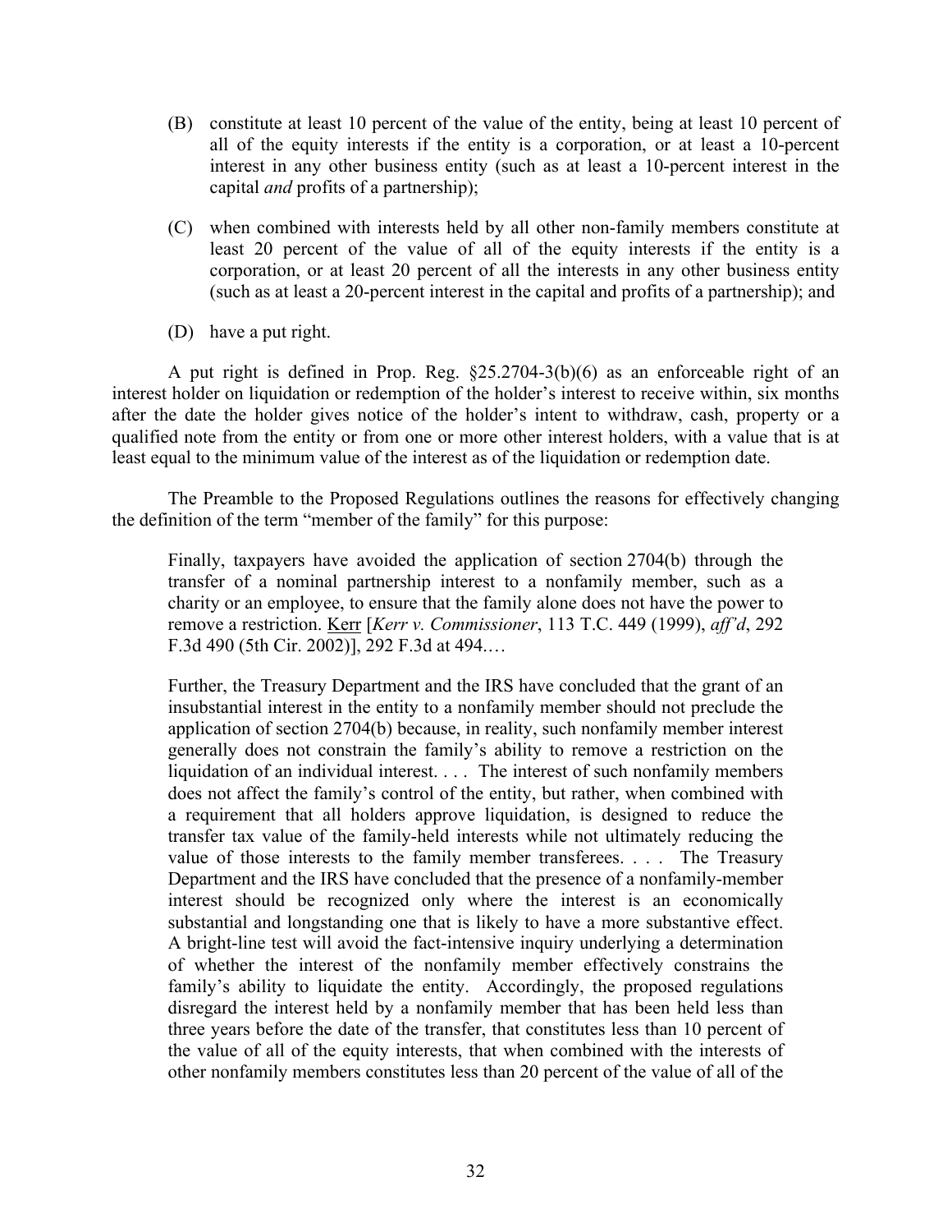- (B) constitute at least 10 percent of the value of the entity, being at least 10 percent of all of the equity interests if the entity is a corporation, or at least a 10-percent interest in any other business entity (such as at least a 10-percent interest in the capital *and* profits of a partnership);
- (C) when combined with interests held by all other non-family members constitute at least 20 percent of the value of all of the equity interests if the entity is a corporation, or at least 20 percent of all the interests in any other business entity (such as at least a 20-percent interest in the capital and profits of a partnership); and
- (D) have a put right.

A put right is defined in Prop. Reg. §25.2704-3(b)(6) as an enforceable right of an interest holder on liquidation or redemption of the holder's interest to receive within, six months after the date the holder gives notice of the holder's intent to withdraw, cash, property or a qualified note from the entity or from one or more other interest holders, with a value that is at least equal to the minimum value of the interest as of the liquidation or redemption date.

The Preamble to the Proposed Regulations outlines the reasons for effectively changing the definition of the term "member of the family" for this purpose:

Finally, taxpayers have avoided the application of section 2704(b) through the transfer of a nominal partnership interest to a nonfamily member, such as a charity or an employee, to ensure that the family alone does not have the power to remove a restriction. Kerr [*Kerr v. Commissioner*, 113 T.C. 449 (1999), *aff'd*, 292 F.3d 490 (5th Cir. 2002)], 292 F.3d at 494.…

Further, the Treasury Department and the IRS have concluded that the grant of an insubstantial interest in the entity to a nonfamily member should not preclude the application of section 2704(b) because, in reality, such nonfamily member interest generally does not constrain the family's ability to remove a restriction on the liquidation of an individual interest. . . . The interest of such nonfamily members does not affect the family's control of the entity, but rather, when combined with a requirement that all holders approve liquidation, is designed to reduce the transfer tax value of the family-held interests while not ultimately reducing the value of those interests to the family member transferees. . . . The Treasury Department and the IRS have concluded that the presence of a nonfamily-member interest should be recognized only where the interest is an economically substantial and longstanding one that is likely to have a more substantive effect. A bright-line test will avoid the fact-intensive inquiry underlying a determination of whether the interest of the nonfamily member effectively constrains the family's ability to liquidate the entity. Accordingly, the proposed regulations disregard the interest held by a nonfamily member that has been held less than three years before the date of the transfer, that constitutes less than 10 percent of the value of all of the equity interests, that when combined with the interests of other nonfamily members constitutes less than 20 percent of the value of all of the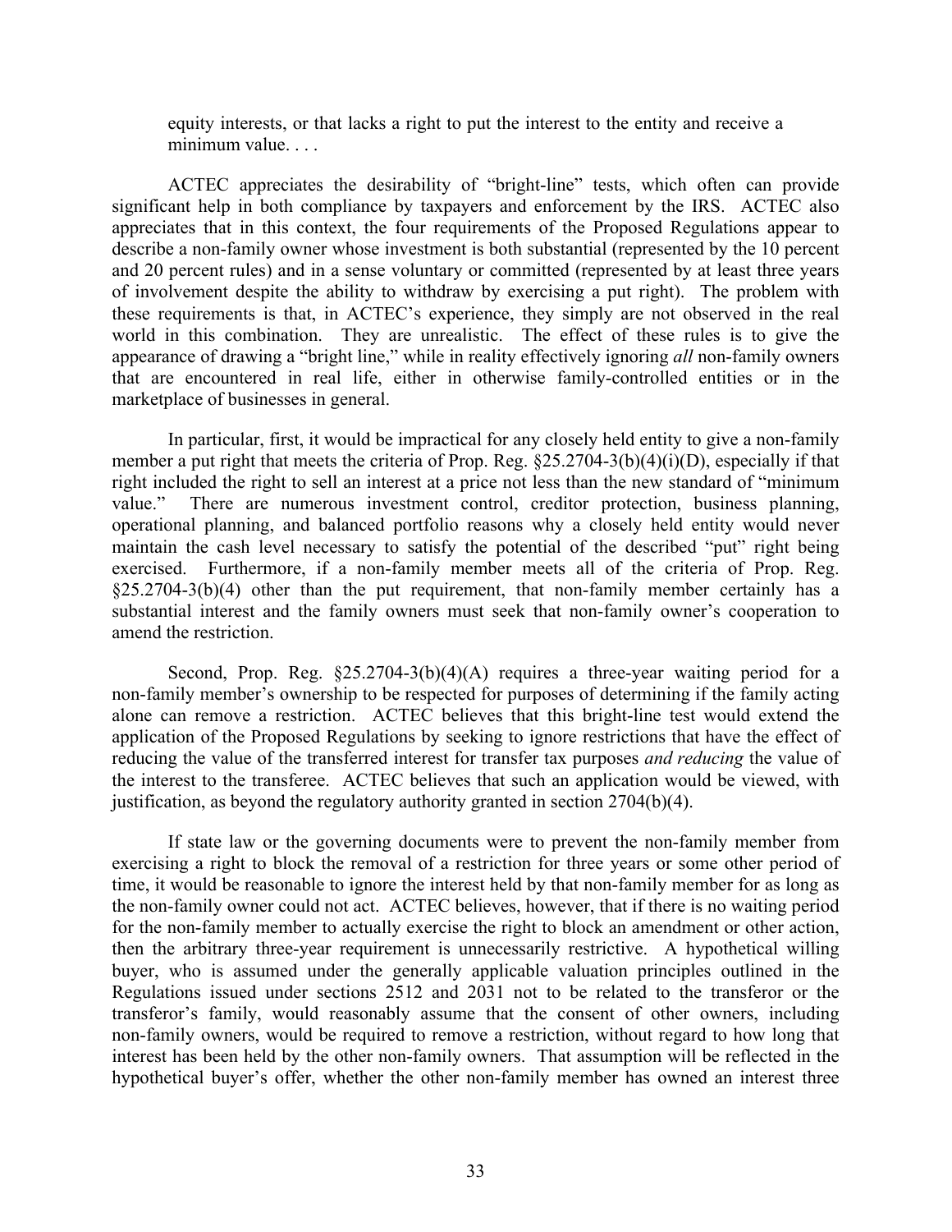equity interests, or that lacks a right to put the interest to the entity and receive a minimum value. . . .

ACTEC appreciates the desirability of "bright-line" tests, which often can provide significant help in both compliance by taxpayers and enforcement by the IRS. ACTEC also appreciates that in this context, the four requirements of the Proposed Regulations appear to describe a non-family owner whose investment is both substantial (represented by the 10 percent and 20 percent rules) and in a sense voluntary or committed (represented by at least three years of involvement despite the ability to withdraw by exercising a put right). The problem with these requirements is that, in ACTEC's experience, they simply are not observed in the real world in this combination. They are unrealistic. The effect of these rules is to give the appearance of drawing a "bright line," while in reality effectively ignoring *all* non-family owners that are encountered in real life, either in otherwise family-controlled entities or in the marketplace of businesses in general.

In particular, first, it would be impractical for any closely held entity to give a non-family member a put right that meets the criteria of Prop. Reg.  $\S25.2704-3(b)(4)(i)(D)$ , especially if that right included the right to sell an interest at a price not less than the new standard of "minimum value." There are numerous investment control, creditor protection, business planning, operational planning, and balanced portfolio reasons why a closely held entity would never maintain the cash level necessary to satisfy the potential of the described "put" right being exercised. Furthermore, if a non-family member meets all of the criteria of Prop. Reg.  $\S25.2704-3(b)(4)$  other than the put requirement, that non-family member certainly has a substantial interest and the family owners must seek that non-family owner's cooperation to amend the restriction.

Second, Prop. Reg.  $\S25.2704-3(b)(4)(A)$  requires a three-year waiting period for a non-family member's ownership to be respected for purposes of determining if the family acting alone can remove a restriction. ACTEC believes that this bright-line test would extend the application of the Proposed Regulations by seeking to ignore restrictions that have the effect of reducing the value of the transferred interest for transfer tax purposes *and reducing* the value of the interest to the transferee. ACTEC believes that such an application would be viewed, with justification, as beyond the regulatory authority granted in section 2704(b)(4).

If state law or the governing documents were to prevent the non-family member from exercising a right to block the removal of a restriction for three years or some other period of time, it would be reasonable to ignore the interest held by that non-family member for as long as the non-family owner could not act. ACTEC believes, however, that if there is no waiting period for the non-family member to actually exercise the right to block an amendment or other action, then the arbitrary three-year requirement is unnecessarily restrictive. A hypothetical willing buyer, who is assumed under the generally applicable valuation principles outlined in the Regulations issued under sections 2512 and 2031 not to be related to the transferor or the transferor's family, would reasonably assume that the consent of other owners, including non-family owners, would be required to remove a restriction, without regard to how long that interest has been held by the other non-family owners. That assumption will be reflected in the hypothetical buyer's offer, whether the other non-family member has owned an interest three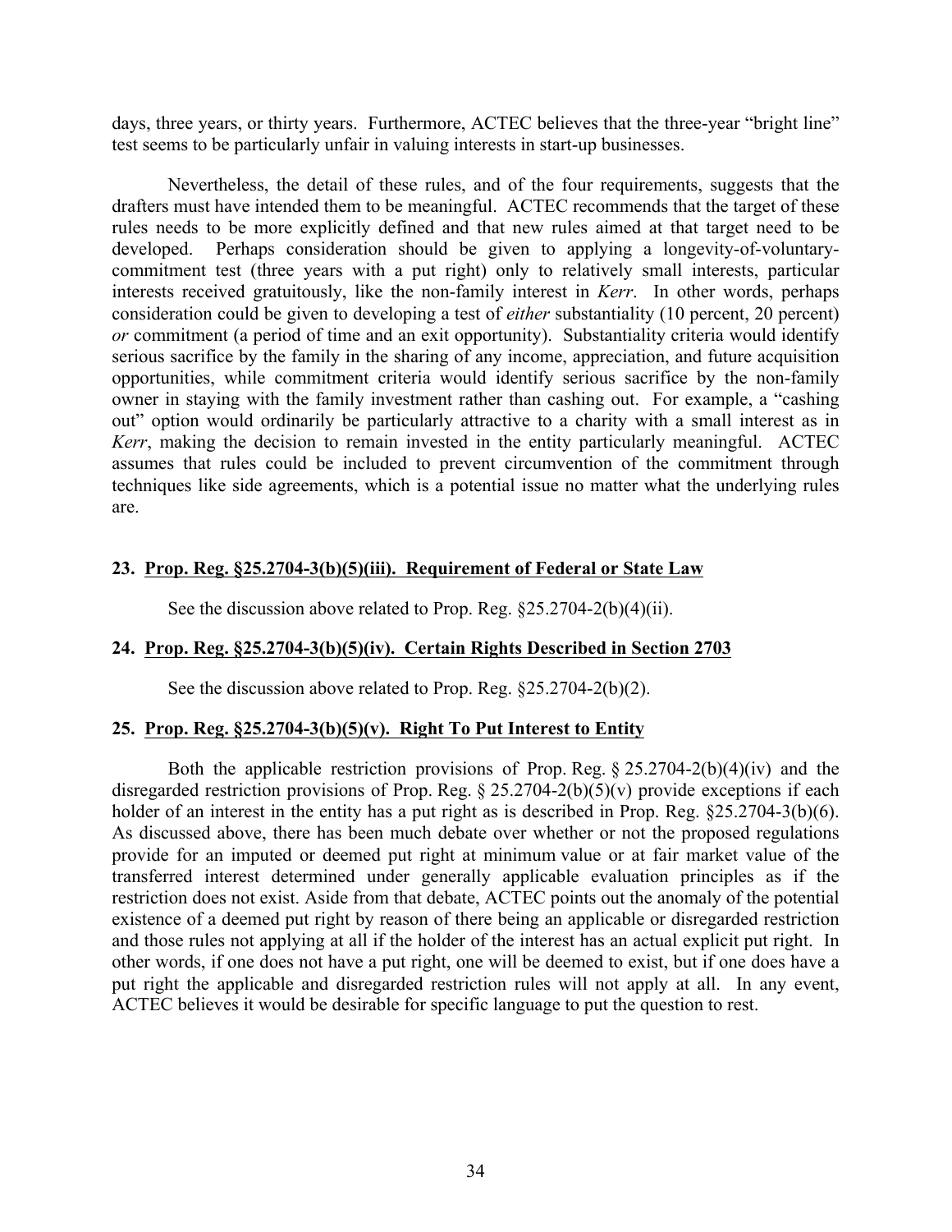days, three years, or thirty years. Furthermore, ACTEC believes that the three-year "bright line" test seems to be particularly unfair in valuing interests in start-up businesses.

Nevertheless, the detail of these rules, and of the four requirements, suggests that the drafters must have intended them to be meaningful. ACTEC recommends that the target of these rules needs to be more explicitly defined and that new rules aimed at that target need to be developed. Perhaps consideration should be given to applying a longevity-of-voluntarycommitment test (three years with a put right) only to relatively small interests, particular interests received gratuitously, like the non-family interest in *Kerr*. In other words, perhaps consideration could be given to developing a test of *either* substantiality (10 percent, 20 percent) *or* commitment (a period of time and an exit opportunity). Substantiality criteria would identify serious sacrifice by the family in the sharing of any income, appreciation, and future acquisition opportunities, while commitment criteria would identify serious sacrifice by the non-family owner in staying with the family investment rather than cashing out. For example, a "cashing out" option would ordinarily be particularly attractive to a charity with a small interest as in *Kerr*, making the decision to remain invested in the entity particularly meaningful. ACTEC assumes that rules could be included to prevent circumvention of the commitment through techniques like side agreements, which is a potential issue no matter what the underlying rules are.

# **23. Prop. Reg. §25.2704-3(b)(5)(iii). Requirement of Federal or State Law**

See the discussion above related to Prop. Reg. §25.2704-2(b)(4)(ii).

# **24. Prop. Reg. §25.2704-3(b)(5)(iv). Certain Rights Described in Section 2703**

See the discussion above related to Prop. Reg. §25.2704-2(b)(2).

# **25. Prop. Reg. §25.2704-3(b)(5)(v). Right To Put Interest to Entity**

Both the applicable restriction provisions of Prop. Reg.  $\S 25.2704-2(b)(4)(iv)$  and the disregarded restriction provisions of Prop. Reg.  $\S 25.2704-2(b)(5)(v)$  provide exceptions if each holder of an interest in the entity has a put right as is described in Prop. Reg. §25.2704-3(b)(6). As discussed above, there has been much debate over whether or not the proposed regulations provide for an imputed or deemed put right at minimum value or at fair market value of the transferred interest determined under generally applicable evaluation principles as if the restriction does not exist. Aside from that debate, ACTEC points out the anomaly of the potential existence of a deemed put right by reason of there being an applicable or disregarded restriction and those rules not applying at all if the holder of the interest has an actual explicit put right. In other words, if one does not have a put right, one will be deemed to exist, but if one does have a put right the applicable and disregarded restriction rules will not apply at all. In any event, ACTEC believes it would be desirable for specific language to put the question to rest.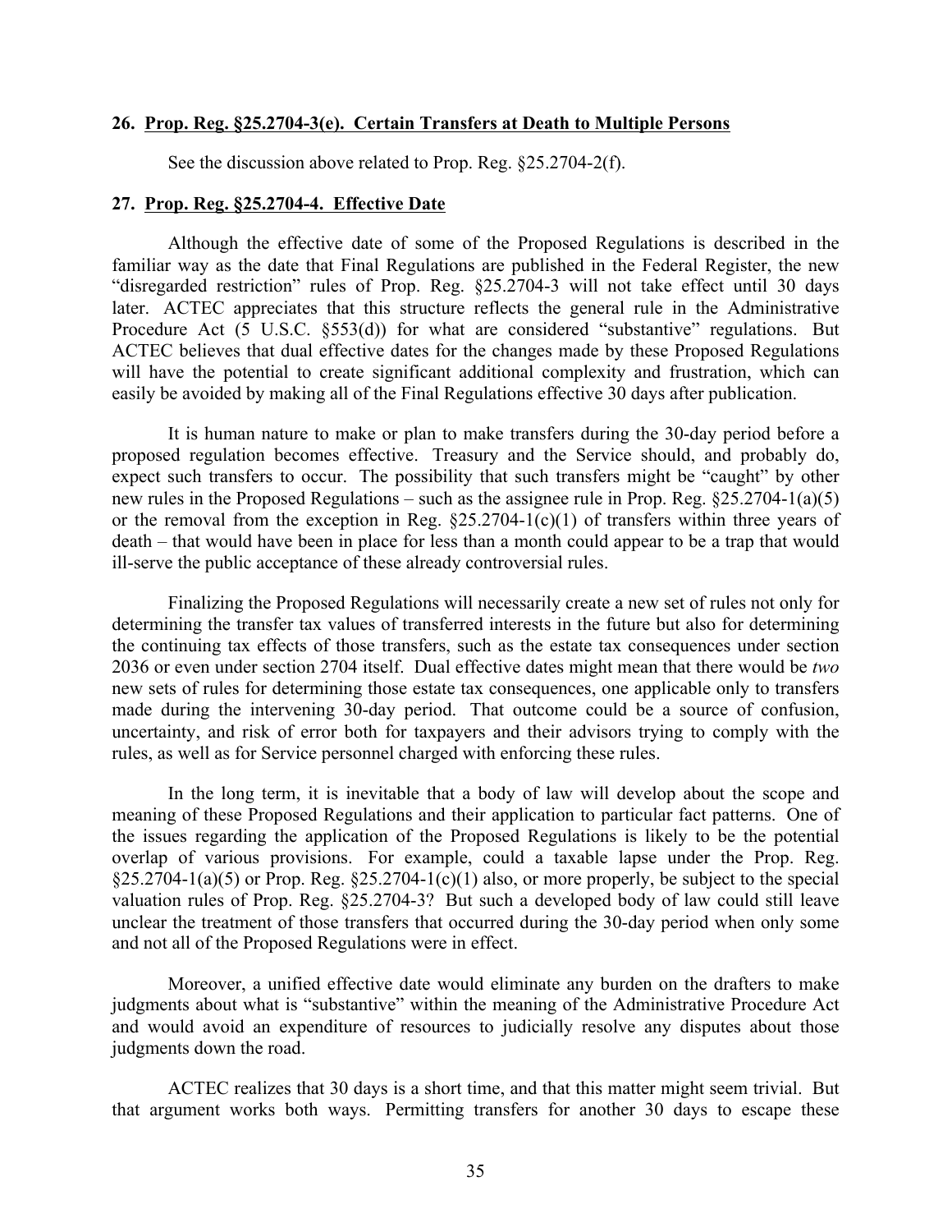#### **26. Prop. Reg. §25.2704-3(e). Certain Transfers at Death to Multiple Persons**

See the discussion above related to Prop. Reg. §25.2704-2(f).

#### **27. Prop. Reg. §25.2704-4. Effective Date**

Although the effective date of some of the Proposed Regulations is described in the familiar way as the date that Final Regulations are published in the Federal Register, the new "disregarded restriction" rules of Prop. Reg. §25.2704-3 will not take effect until 30 days later. ACTEC appreciates that this structure reflects the general rule in the Administrative Procedure Act  $(\overline{5} \text{ U.S.C. } \S 53(d))$  for what are considered "substantive" regulations. But ACTEC believes that dual effective dates for the changes made by these Proposed Regulations will have the potential to create significant additional complexity and frustration, which can easily be avoided by making all of the Final Regulations effective 30 days after publication.

It is human nature to make or plan to make transfers during the 30-day period before a proposed regulation becomes effective. Treasury and the Service should, and probably do, expect such transfers to occur. The possibility that such transfers might be "caught" by other new rules in the Proposed Regulations – such as the assignee rule in Prop. Reg. §25.2704-1(a)(5) or the removal from the exception in Reg.  $\S25.2704-1(c)(1)$  of transfers within three years of death – that would have been in place for less than a month could appear to be a trap that would ill-serve the public acceptance of these already controversial rules.

Finalizing the Proposed Regulations will necessarily create a new set of rules not only for determining the transfer tax values of transferred interests in the future but also for determining the continuing tax effects of those transfers, such as the estate tax consequences under section 2036 or even under section 2704 itself. Dual effective dates might mean that there would be *two* new sets of rules for determining those estate tax consequences, one applicable only to transfers made during the intervening 30-day period. That outcome could be a source of confusion, uncertainty, and risk of error both for taxpayers and their advisors trying to comply with the rules, as well as for Service personnel charged with enforcing these rules.

In the long term, it is inevitable that a body of law will develop about the scope and meaning of these Proposed Regulations and their application to particular fact patterns. One of the issues regarding the application of the Proposed Regulations is likely to be the potential overlap of various provisions. For example, could a taxable lapse under the Prop. Reg. §25.2704-1(a)(5) or Prop. Reg. §25.2704-1(c)(1) also, or more properly, be subject to the special valuation rules of Prop. Reg. §25.2704-3? But such a developed body of law could still leave unclear the treatment of those transfers that occurred during the 30-day period when only some and not all of the Proposed Regulations were in effect.

Moreover, a unified effective date would eliminate any burden on the drafters to make judgments about what is "substantive" within the meaning of the Administrative Procedure Act and would avoid an expenditure of resources to judicially resolve any disputes about those judgments down the road.

ACTEC realizes that 30 days is a short time, and that this matter might seem trivial. But that argument works both ways. Permitting transfers for another 30 days to escape these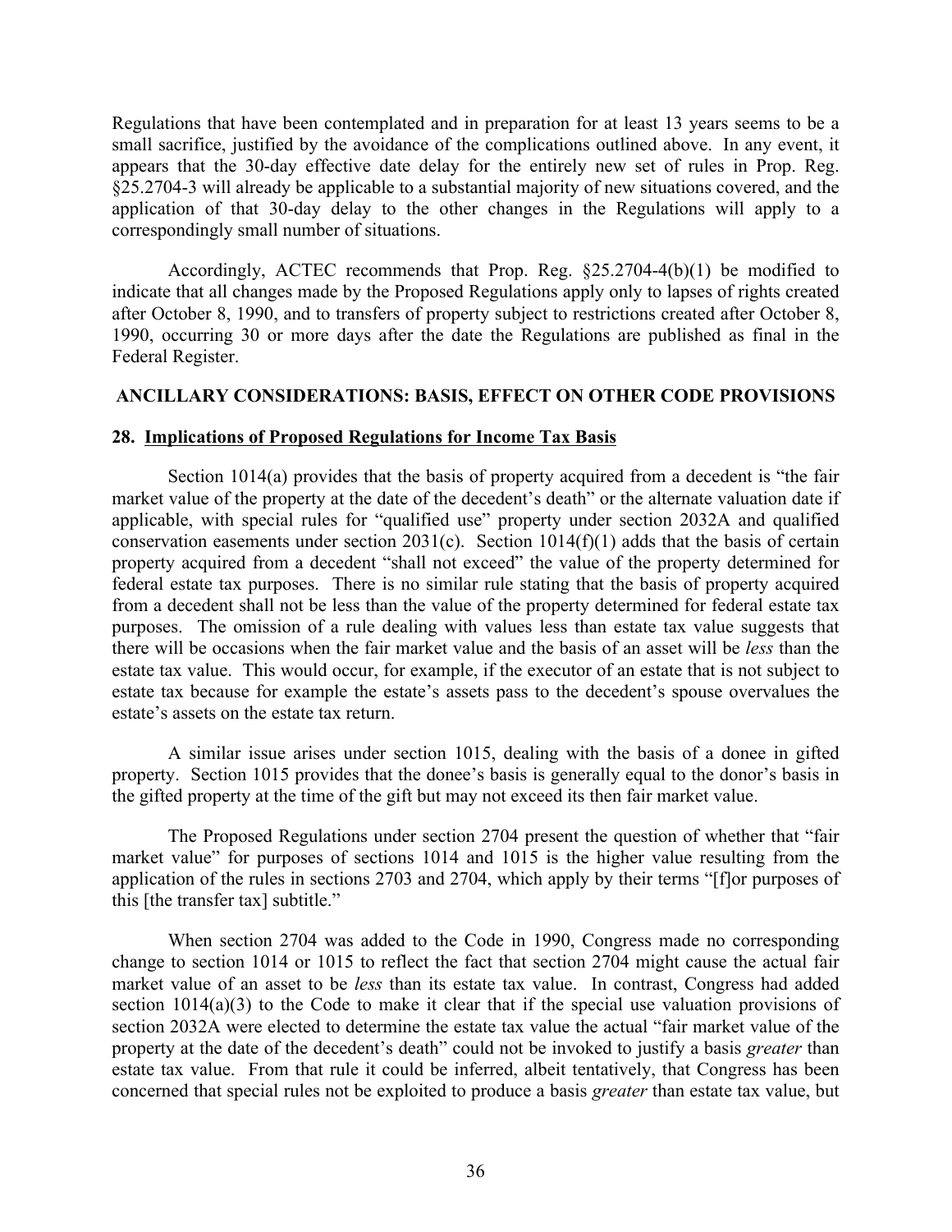Regulations that have been contemplated and in preparation for at least 13 years seems to be a small sacrifice, justified by the avoidance of the complications outlined above. In any event, it appears that the 30-day effective date delay for the entirely new set of rules in Prop. Reg. §25.2704-3 will already be applicable to a substantial majority of new situations covered, and the application of that 30-day delay to the other changes in the Regulations will apply to a correspondingly small number of situations.

Accordingly, ACTEC recommends that Prop. Reg. §25.2704-4(b)(1) be modified to indicate that all changes made by the Proposed Regulations apply only to lapses of rights created after October 8, 1990, and to transfers of property subject to restrictions created after October 8, 1990, occurring 30 or more days after the date the Regulations are published as final in the Federal Register.

### **ANCILLARY CONSIDERATIONS: BASIS, EFFECT ON OTHER CODE PROVISIONS**

#### **28. Implications of Proposed Regulations for Income Tax Basis**

Section 1014(a) provides that the basis of property acquired from a decedent is "the fair market value of the property at the date of the decedent's death" or the alternate valuation date if applicable, with special rules for "qualified use" property under section 2032A and qualified conservation easements under section 2031(c). Section 1014(f)(1) adds that the basis of certain property acquired from a decedent "shall not exceed" the value of the property determined for federal estate tax purposes. There is no similar rule stating that the basis of property acquired from a decedent shall not be less than the value of the property determined for federal estate tax purposes. The omission of a rule dealing with values less than estate tax value suggests that there will be occasions when the fair market value and the basis of an asset will be *less* than the estate tax value. This would occur, for example, if the executor of an estate that is not subject to estate tax because for example the estate's assets pass to the decedent's spouse overvalues the estate's assets on the estate tax return.

A similar issue arises under section 1015, dealing with the basis of a donee in gifted property. Section 1015 provides that the donee's basis is generally equal to the donor's basis in the gifted property at the time of the gift but may not exceed its then fair market value.

The Proposed Regulations under section 2704 present the question of whether that "fair market value" for purposes of sections 1014 and 1015 is the higher value resulting from the application of the rules in sections 2703 and 2704, which apply by their terms "[f]or purposes of this [the transfer tax] subtitle."

When section 2704 was added to the Code in 1990, Congress made no corresponding change to section 1014 or 1015 to reflect the fact that section 2704 might cause the actual fair market value of an asset to be *less* than its estate tax value. In contrast, Congress had added section 1014(a)(3) to the Code to make it clear that if the special use valuation provisions of section 2032A were elected to determine the estate tax value the actual "fair market value of the property at the date of the decedent's death" could not be invoked to justify a basis *greater* than estate tax value. From that rule it could be inferred, albeit tentatively, that Congress has been concerned that special rules not be exploited to produce a basis *greater* than estate tax value, but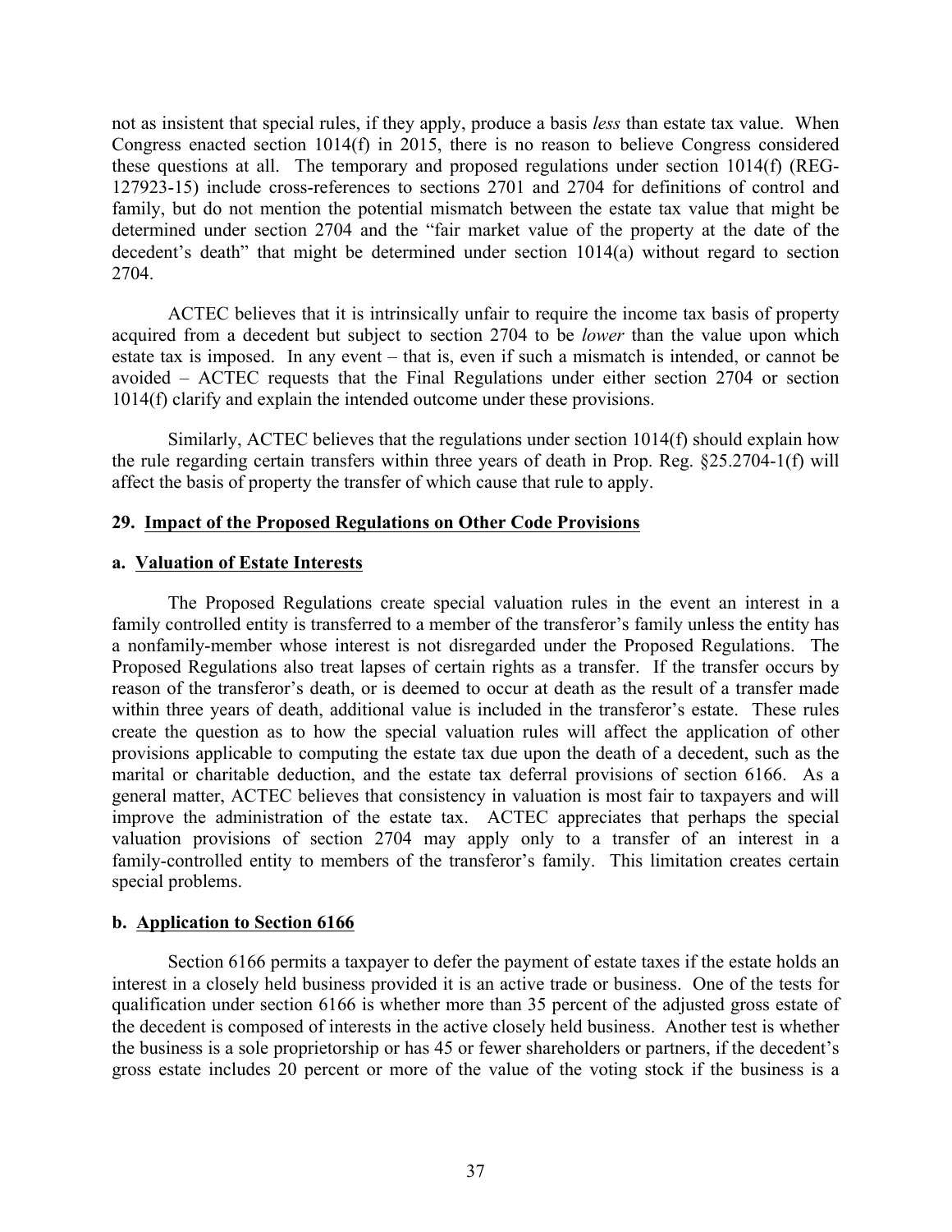not as insistent that special rules, if they apply, produce a basis *less* than estate tax value. When Congress enacted section 1014(f) in 2015, there is no reason to believe Congress considered these questions at all. The temporary and proposed regulations under section 1014(f) (REG-127923-15) include cross-references to sections 2701 and 2704 for definitions of control and family, but do not mention the potential mismatch between the estate tax value that might be determined under section 2704 and the "fair market value of the property at the date of the decedent's death" that might be determined under section 1014(a) without regard to section 2704.

ACTEC believes that it is intrinsically unfair to require the income tax basis of property acquired from a decedent but subject to section 2704 to be *lower* than the value upon which estate tax is imposed. In any event – that is, even if such a mismatch is intended, or cannot be avoided – ACTEC requests that the Final Regulations under either section 2704 or section 1014(f) clarify and explain the intended outcome under these provisions.

Similarly, ACTEC believes that the regulations under section 1014(f) should explain how the rule regarding certain transfers within three years of death in Prop. Reg. §25.2704-1(f) will affect the basis of property the transfer of which cause that rule to apply.

# **29. Impact of the Proposed Regulations on Other Code Provisions**

### **a. Valuation of Estate Interests**

The Proposed Regulations create special valuation rules in the event an interest in a family controlled entity is transferred to a member of the transferor's family unless the entity has a nonfamily-member whose interest is not disregarded under the Proposed Regulations. The Proposed Regulations also treat lapses of certain rights as a transfer. If the transfer occurs by reason of the transferor's death, or is deemed to occur at death as the result of a transfer made within three years of death, additional value is included in the transferor's estate. These rules create the question as to how the special valuation rules will affect the application of other provisions applicable to computing the estate tax due upon the death of a decedent, such as the marital or charitable deduction, and the estate tax deferral provisions of section 6166. As a general matter, ACTEC believes that consistency in valuation is most fair to taxpayers and will improve the administration of the estate tax. ACTEC appreciates that perhaps the special valuation provisions of section 2704 may apply only to a transfer of an interest in a family-controlled entity to members of the transferor's family. This limitation creates certain special problems.

# **b. Application to Section 6166**

Section 6166 permits a taxpayer to defer the payment of estate taxes if the estate holds an interest in a closely held business provided it is an active trade or business. One of the tests for qualification under section 6166 is whether more than 35 percent of the adjusted gross estate of the decedent is composed of interests in the active closely held business. Another test is whether the business is a sole proprietorship or has 45 or fewer shareholders or partners, if the decedent's gross estate includes 20 percent or more of the value of the voting stock if the business is a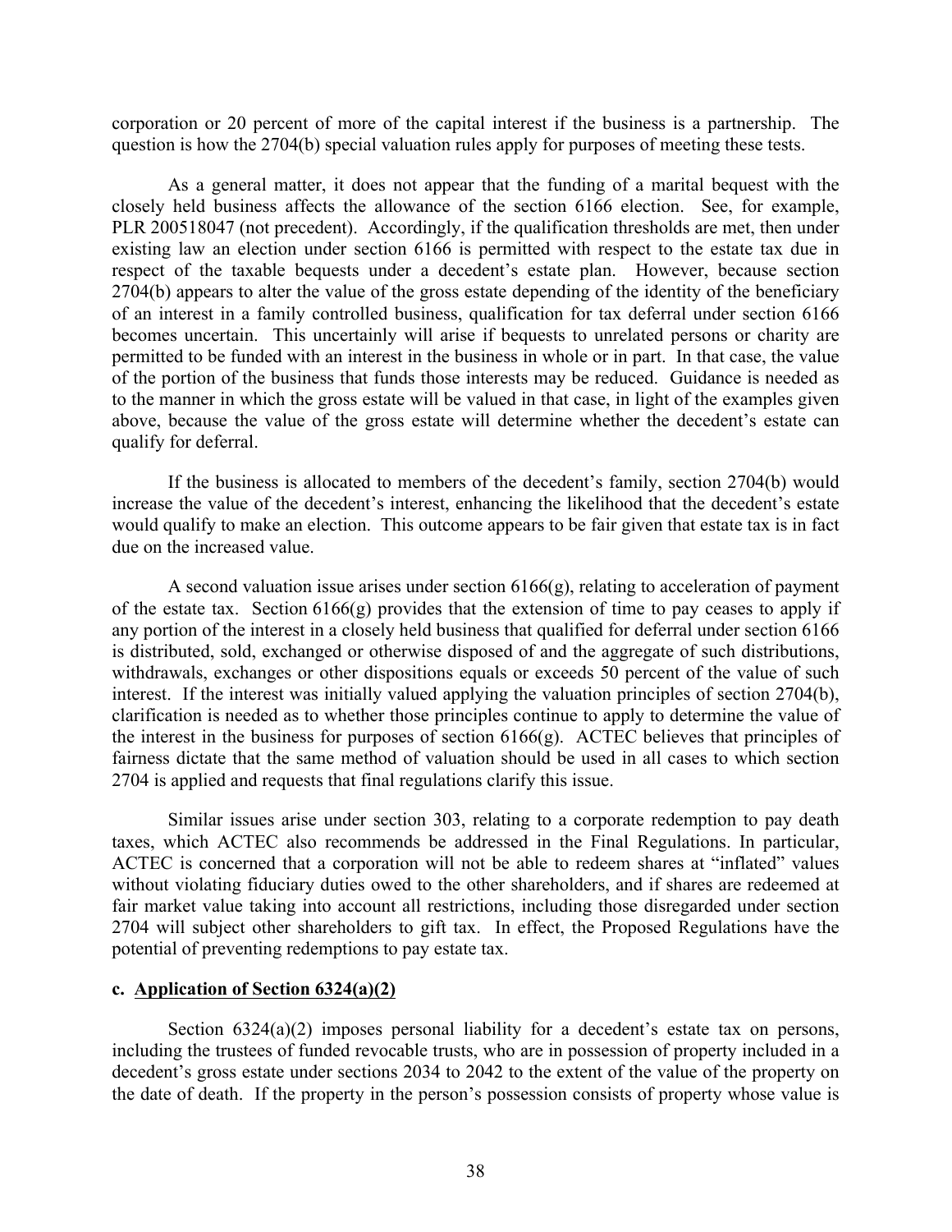corporation or 20 percent of more of the capital interest if the business is a partnership. The question is how the 2704(b) special valuation rules apply for purposes of meeting these tests.

As a general matter, it does not appear that the funding of a marital bequest with the closely held business affects the allowance of the section 6166 election. See, for example, PLR 200518047 (not precedent). Accordingly, if the qualification thresholds are met, then under existing law an election under section 6166 is permitted with respect to the estate tax due in respect of the taxable bequests under a decedent's estate plan. However, because section 2704(b) appears to alter the value of the gross estate depending of the identity of the beneficiary of an interest in a family controlled business, qualification for tax deferral under section 6166 becomes uncertain. This uncertainly will arise if bequests to unrelated persons or charity are permitted to be funded with an interest in the business in whole or in part. In that case, the value of the portion of the business that funds those interests may be reduced. Guidance is needed as to the manner in which the gross estate will be valued in that case, in light of the examples given above, because the value of the gross estate will determine whether the decedent's estate can qualify for deferral.

If the business is allocated to members of the decedent's family, section 2704(b) would increase the value of the decedent's interest, enhancing the likelihood that the decedent's estate would qualify to make an election. This outcome appears to be fair given that estate tax is in fact due on the increased value.

A second valuation issue arises under section 6166(g), relating to acceleration of payment of the estate tax. Section  $6166(g)$  provides that the extension of time to pay ceases to apply if any portion of the interest in a closely held business that qualified for deferral under section 6166 is distributed, sold, exchanged or otherwise disposed of and the aggregate of such distributions, withdrawals, exchanges or other dispositions equals or exceeds 50 percent of the value of such interest. If the interest was initially valued applying the valuation principles of section 2704(b), clarification is needed as to whether those principles continue to apply to determine the value of the interest in the business for purposes of section  $6166(g)$ . ACTEC believes that principles of fairness dictate that the same method of valuation should be used in all cases to which section 2704 is applied and requests that final regulations clarify this issue.

Similar issues arise under section 303, relating to a corporate redemption to pay death taxes, which ACTEC also recommends be addressed in the Final Regulations. In particular, ACTEC is concerned that a corporation will not be able to redeem shares at "inflated" values without violating fiduciary duties owed to the other shareholders, and if shares are redeemed at fair market value taking into account all restrictions, including those disregarded under section 2704 will subject other shareholders to gift tax. In effect, the Proposed Regulations have the potential of preventing redemptions to pay estate tax.

#### **c. Application of Section 6324(a)(2)**

Section 6324(a)(2) imposes personal liability for a decedent's estate tax on persons, including the trustees of funded revocable trusts, who are in possession of property included in a decedent's gross estate under sections 2034 to 2042 to the extent of the value of the property on the date of death. If the property in the person's possession consists of property whose value is